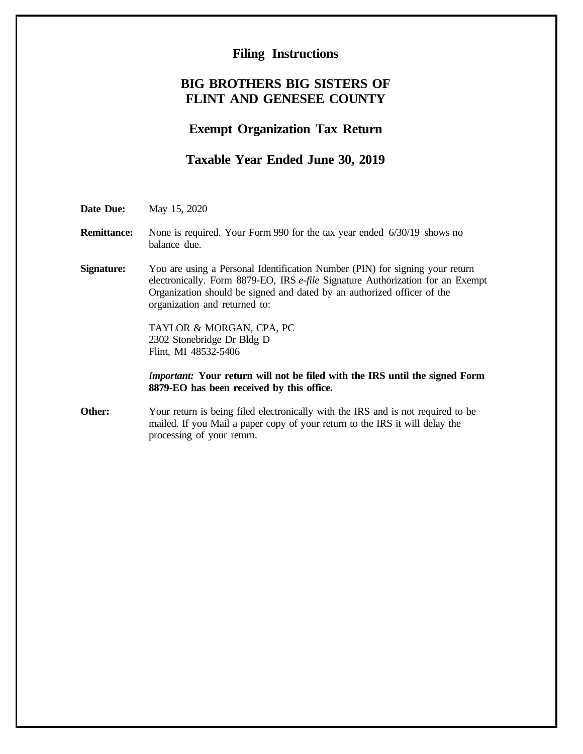## **Filing Instructions**

## **BIG BROTHERS BIG SISTERS OF FLINT AND GENESEE COUNTY**

# **Exempt Organization Tax Return**

## **Taxable Year Ended June 30, 2019**

**Date Due:** May 15, 2020

**Remittance:** None is required. Your Form 990 for the tax year ended 6/30/19 shows no balance due.

**Signature:** You are using a Personal Identification Number (PIN) for signing your return electronically. Form 8879-EO, IRS *e-file* Signature Authorization for an Exempt Organization should be signed and dated by an authorized officer of the organization and returned to:

> TAYLOR & MORGAN, CPA, PC 2302 Stonebridge Dr Bldg D Flint, MI 48532-5406

*Important:* **Your return will not be filed with the IRS until the signed Form 8879-EO has been received by this office.**

**Other:** Your return is being filed electronically with the IRS and is not required to be mailed. If you Mail a paper copy of your return to the IRS it will delay the processing of your return.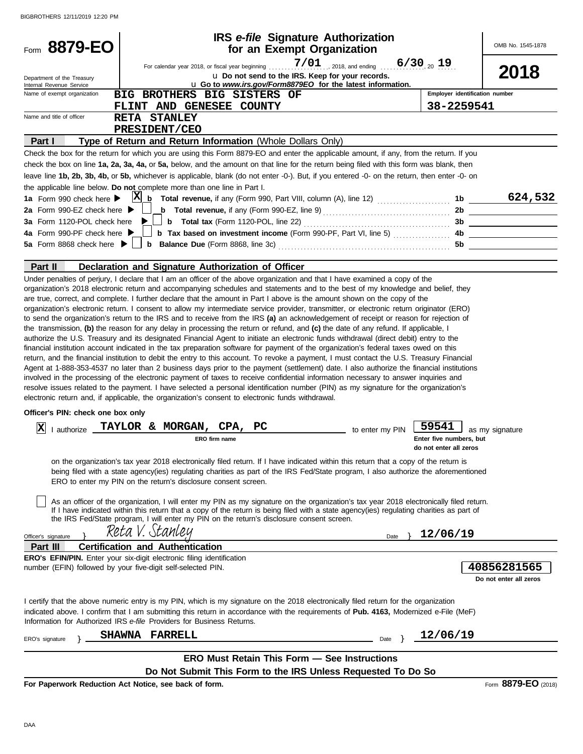| Form 8879-EO                                            |                                                                                                                                                                                                                                                                                                                                                                                                                                                                                                                                                                                                                                                                                                                                                                                                                                                                                                                                                                                                                                                                                                                                                                                                                                                                                                                                                                                                                                                                                                                      | <b>IRS</b> e-file Signature Authorization<br>for an Exempt Organization                                    |                 |                                                   | OMB No. 1545-1878                     |
|---------------------------------------------------------|----------------------------------------------------------------------------------------------------------------------------------------------------------------------------------------------------------------------------------------------------------------------------------------------------------------------------------------------------------------------------------------------------------------------------------------------------------------------------------------------------------------------------------------------------------------------------------------------------------------------------------------------------------------------------------------------------------------------------------------------------------------------------------------------------------------------------------------------------------------------------------------------------------------------------------------------------------------------------------------------------------------------------------------------------------------------------------------------------------------------------------------------------------------------------------------------------------------------------------------------------------------------------------------------------------------------------------------------------------------------------------------------------------------------------------------------------------------------------------------------------------------------|------------------------------------------------------------------------------------------------------------|-----------------|---------------------------------------------------|---------------------------------------|
|                                                         |                                                                                                                                                                                                                                                                                                                                                                                                                                                                                                                                                                                                                                                                                                                                                                                                                                                                                                                                                                                                                                                                                                                                                                                                                                                                                                                                                                                                                                                                                                                      |                                                                                                            |                 |                                                   |                                       |
| Department of the Treasury                              |                                                                                                                                                                                                                                                                                                                                                                                                                                                                                                                                                                                                                                                                                                                                                                                                                                                                                                                                                                                                                                                                                                                                                                                                                                                                                                                                                                                                                                                                                                                      | u Do not send to the IRS. Keep for your records.                                                           |                 |                                                   | 2018                                  |
| Internal Revenue Service<br>Name of exempt organization |                                                                                                                                                                                                                                                                                                                                                                                                                                                                                                                                                                                                                                                                                                                                                                                                                                                                                                                                                                                                                                                                                                                                                                                                                                                                                                                                                                                                                                                                                                                      | u Go to www.irs.gov/Form8879EO for the latest information.                                                 |                 | Employer identification number                    |                                       |
|                                                         | BIG BROTHERS BIG SISTERS OF                                                                                                                                                                                                                                                                                                                                                                                                                                                                                                                                                                                                                                                                                                                                                                                                                                                                                                                                                                                                                                                                                                                                                                                                                                                                                                                                                                                                                                                                                          |                                                                                                            |                 |                                                   |                                       |
| Name and title of officer                               | FLINT AND GENESEE COUNTY<br><b>RETA STANLEY</b>                                                                                                                                                                                                                                                                                                                                                                                                                                                                                                                                                                                                                                                                                                                                                                                                                                                                                                                                                                                                                                                                                                                                                                                                                                                                                                                                                                                                                                                                      |                                                                                                            |                 | 38-2259541                                        |                                       |
|                                                         | PRESIDENT/CEO                                                                                                                                                                                                                                                                                                                                                                                                                                                                                                                                                                                                                                                                                                                                                                                                                                                                                                                                                                                                                                                                                                                                                                                                                                                                                                                                                                                                                                                                                                        |                                                                                                            |                 |                                                   |                                       |
| Part I                                                  | Type of Return and Return Information (Whole Dollars Only)                                                                                                                                                                                                                                                                                                                                                                                                                                                                                                                                                                                                                                                                                                                                                                                                                                                                                                                                                                                                                                                                                                                                                                                                                                                                                                                                                                                                                                                           |                                                                                                            |                 |                                                   |                                       |
|                                                         | Check the box for the return for which you are using this Form 8879-EO and enter the applicable amount, if any, from the return. If you                                                                                                                                                                                                                                                                                                                                                                                                                                                                                                                                                                                                                                                                                                                                                                                                                                                                                                                                                                                                                                                                                                                                                                                                                                                                                                                                                                              |                                                                                                            |                 |                                                   |                                       |
|                                                         | check the box on line 1a, 2a, 3a, 4a, or 5a, below, and the amount on that line for the return being filed with this form was blank, then                                                                                                                                                                                                                                                                                                                                                                                                                                                                                                                                                                                                                                                                                                                                                                                                                                                                                                                                                                                                                                                                                                                                                                                                                                                                                                                                                                            |                                                                                                            |                 |                                                   |                                       |
|                                                         | leave line 1b, 2b, 3b, 4b, or 5b, whichever is applicable, blank (do not enter -0-). But, if you entered -0- on the return, then enter -0- on                                                                                                                                                                                                                                                                                                                                                                                                                                                                                                                                                                                                                                                                                                                                                                                                                                                                                                                                                                                                                                                                                                                                                                                                                                                                                                                                                                        |                                                                                                            |                 |                                                   |                                       |
|                                                         | the applicable line below. Do not complete more than one line in Part I.                                                                                                                                                                                                                                                                                                                                                                                                                                                                                                                                                                                                                                                                                                                                                                                                                                                                                                                                                                                                                                                                                                                                                                                                                                                                                                                                                                                                                                             |                                                                                                            |                 |                                                   |                                       |
|                                                         |                                                                                                                                                                                                                                                                                                                                                                                                                                                                                                                                                                                                                                                                                                                                                                                                                                                                                                                                                                                                                                                                                                                                                                                                                                                                                                                                                                                                                                                                                                                      |                                                                                                            |                 |                                                   |                                       |
| 2a Form 990-EZ check here $\blacktriangleright$         |                                                                                                                                                                                                                                                                                                                                                                                                                                                                                                                                                                                                                                                                                                                                                                                                                                                                                                                                                                                                                                                                                                                                                                                                                                                                                                                                                                                                                                                                                                                      | <b>b</b> Total revenue, if any (Form 990-EZ, line 9) $\ldots$ $\ldots$ $\ldots$ $\ldots$ $\ldots$ $\ldots$ |                 |                                                   | 2b                                    |
| 3a Form 1120-POL check here                             |                                                                                                                                                                                                                                                                                                                                                                                                                                                                                                                                                                                                                                                                                                                                                                                                                                                                                                                                                                                                                                                                                                                                                                                                                                                                                                                                                                                                                                                                                                                      |                                                                                                            |                 |                                                   |                                       |
| 4a Form 990-PF check here                               |                                                                                                                                                                                                                                                                                                                                                                                                                                                                                                                                                                                                                                                                                                                                                                                                                                                                                                                                                                                                                                                                                                                                                                                                                                                                                                                                                                                                                                                                                                                      | <b>b</b> Tax based on investment income (Form 990-PF, Part VI, line 5)                                     |                 |                                                   | 4b                                    |
| 5a Form 8868 check here $\blacktriangleright$ $\Box$    |                                                                                                                                                                                                                                                                                                                                                                                                                                                                                                                                                                                                                                                                                                                                                                                                                                                                                                                                                                                                                                                                                                                                                                                                                                                                                                                                                                                                                                                                                                                      |                                                                                                            |                 |                                                   |                                       |
|                                                         |                                                                                                                                                                                                                                                                                                                                                                                                                                                                                                                                                                                                                                                                                                                                                                                                                                                                                                                                                                                                                                                                                                                                                                                                                                                                                                                                                                                                                                                                                                                      |                                                                                                            |                 |                                                   |                                       |
| Part II                                                 | Declaration and Signature Authorization of Officer                                                                                                                                                                                                                                                                                                                                                                                                                                                                                                                                                                                                                                                                                                                                                                                                                                                                                                                                                                                                                                                                                                                                                                                                                                                                                                                                                                                                                                                                   |                                                                                                            |                 |                                                   |                                       |
|                                                         | are true, correct, and complete. I further declare that the amount in Part I above is the amount shown on the copy of the<br>organization's electronic return. I consent to allow my intermediate service provider, transmitter, or electronic return originator (ERO)<br>to send the organization's return to the IRS and to receive from the IRS (a) an acknowledgement of receipt or reason for rejection of<br>the transmission, (b) the reason for any delay in processing the return or refund, and (c) the date of any refund. If applicable, I<br>authorize the U.S. Treasury and its designated Financial Agent to initiate an electronic funds withdrawal (direct debit) entry to the<br>financial institution account indicated in the tax preparation software for payment of the organization's federal taxes owed on this<br>return, and the financial institution to debit the entry to this account. To revoke a payment, I must contact the U.S. Treasury Financial<br>Agent at 1-888-353-4537 no later than 2 business days prior to the payment (settlement) date. I also authorize the financial institutions<br>involved in the processing of the electronic payment of taxes to receive confidential information necessary to answer inquiries and<br>resolve issues related to the payment. I have selected a personal identification number (PIN) as my signature for the organization's<br>electronic return and, if applicable, the organization's consent to electronic funds withdrawal. |                                                                                                            |                 |                                                   |                                       |
| Officer's PIN: check one box only                       |                                                                                                                                                                                                                                                                                                                                                                                                                                                                                                                                                                                                                                                                                                                                                                                                                                                                                                                                                                                                                                                                                                                                                                                                                                                                                                                                                                                                                                                                                                                      |                                                                                                            |                 |                                                   |                                       |
| ΙX                                                      | authorize TAYLOR & MORGAN, CPA,                                                                                                                                                                                                                                                                                                                                                                                                                                                                                                                                                                                                                                                                                                                                                                                                                                                                                                                                                                                                                                                                                                                                                                                                                                                                                                                                                                                                                                                                                      | PС                                                                                                         |                 | 59541                                             |                                       |
|                                                         | ERO firm name                                                                                                                                                                                                                                                                                                                                                                                                                                                                                                                                                                                                                                                                                                                                                                                                                                                                                                                                                                                                                                                                                                                                                                                                                                                                                                                                                                                                                                                                                                        |                                                                                                            | to enter my PIN | Enter five numbers, but<br>do not enter all zeros | as my signature                       |
|                                                         | on the organization's tax year 2018 electronically filed return. If I have indicated within this return that a copy of the return is<br>being filed with a state agency(ies) regulating charities as part of the IRS Fed/State program, I also authorize the aforementioned<br>ERO to enter my PIN on the return's disclosure consent screen.<br>As an officer of the organization, I will enter my PIN as my signature on the organization's tax year 2018 electronically filed return.                                                                                                                                                                                                                                                                                                                                                                                                                                                                                                                                                                                                                                                                                                                                                                                                                                                                                                                                                                                                                             |                                                                                                            |                 |                                                   |                                       |
|                                                         | If I have indicated within this return that a copy of the return is being filed with a state agency(ies) regulating charities as part of<br>the IRS Fed/State program, I will enter my PIN on the return's disclosure consent screen.                                                                                                                                                                                                                                                                                                                                                                                                                                                                                                                                                                                                                                                                                                                                                                                                                                                                                                                                                                                                                                                                                                                                                                                                                                                                                |                                                                                                            |                 |                                                   |                                       |
| Officer's signature                                     | Reta V. Stanley                                                                                                                                                                                                                                                                                                                                                                                                                                                                                                                                                                                                                                                                                                                                                                                                                                                                                                                                                                                                                                                                                                                                                                                                                                                                                                                                                                                                                                                                                                      |                                                                                                            | Date            | 12/06/19                                          |                                       |
| Part III                                                | <b>Certification and Authentication</b>                                                                                                                                                                                                                                                                                                                                                                                                                                                                                                                                                                                                                                                                                                                                                                                                                                                                                                                                                                                                                                                                                                                                                                                                                                                                                                                                                                                                                                                                              |                                                                                                            |                 |                                                   |                                       |
|                                                         | <b>ERO's EFIN/PIN.</b> Enter your six-digit electronic filing identification                                                                                                                                                                                                                                                                                                                                                                                                                                                                                                                                                                                                                                                                                                                                                                                                                                                                                                                                                                                                                                                                                                                                                                                                                                                                                                                                                                                                                                         |                                                                                                            |                 |                                                   |                                       |
|                                                         | number (EFIN) followed by your five-digit self-selected PIN.                                                                                                                                                                                                                                                                                                                                                                                                                                                                                                                                                                                                                                                                                                                                                                                                                                                                                                                                                                                                                                                                                                                                                                                                                                                                                                                                                                                                                                                         |                                                                                                            |                 |                                                   | 40856281565<br>Do not enter all zeros |
|                                                         | I certify that the above numeric entry is my PIN, which is my signature on the 2018 electronically filed return for the organization<br>indicated above. I confirm that I am submitting this return in accordance with the requirements of Pub. 4163, Modernized e-File (MeF)<br>Information for Authorized IRS e-file Providers for Business Returns.                                                                                                                                                                                                                                                                                                                                                                                                                                                                                                                                                                                                                                                                                                                                                                                                                                                                                                                                                                                                                                                                                                                                                               |                                                                                                            |                 |                                                   |                                       |
|                                                         | <b>FARRELL</b><br><b>SHAWNA</b>                                                                                                                                                                                                                                                                                                                                                                                                                                                                                                                                                                                                                                                                                                                                                                                                                                                                                                                                                                                                                                                                                                                                                                                                                                                                                                                                                                                                                                                                                      |                                                                                                            | Date }          | 12/06/19                                          |                                       |
| ERO's signature                                         |                                                                                                                                                                                                                                                                                                                                                                                                                                                                                                                                                                                                                                                                                                                                                                                                                                                                                                                                                                                                                                                                                                                                                                                                                                                                                                                                                                                                                                                                                                                      |                                                                                                            |                 |                                                   |                                       |
|                                                         |                                                                                                                                                                                                                                                                                                                                                                                                                                                                                                                                                                                                                                                                                                                                                                                                                                                                                                                                                                                                                                                                                                                                                                                                                                                                                                                                                                                                                                                                                                                      | <b>ERO Must Retain This Form - See Instructions</b>                                                        |                 |                                                   |                                       |
|                                                         |                                                                                                                                                                                                                                                                                                                                                                                                                                                                                                                                                                                                                                                                                                                                                                                                                                                                                                                                                                                                                                                                                                                                                                                                                                                                                                                                                                                                                                                                                                                      | Do Not Submit This Form to the IRS Unless Requested To Do So                                               |                 |                                                   |                                       |
|                                                         | For Paperwork Reduction Act Notice, see back of form.                                                                                                                                                                                                                                                                                                                                                                                                                                                                                                                                                                                                                                                                                                                                                                                                                                                                                                                                                                                                                                                                                                                                                                                                                                                                                                                                                                                                                                                                |                                                                                                            |                 |                                                   | Form 8879-EO (2018)                   |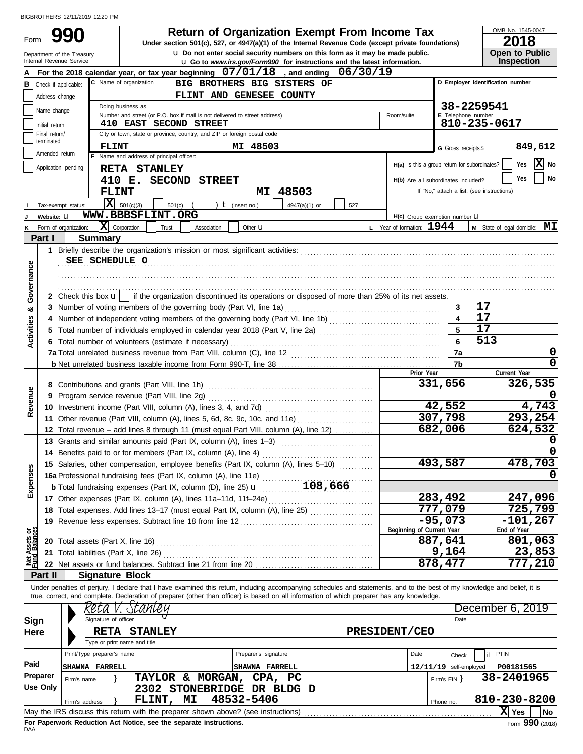Form 990

u **Do not enter social security numbers on this form as it may be made public. Open to Public 990 2018 2018 Depending Solution Solution Solution Solution Script Act at the Internal Revenue Code (except private foundations)** 

OMB No. 1545-0047

| LV I U     |                       |
|------------|-----------------------|
|            | <b>Open to Public</b> |
| Inenaction |                       |

|                                |                               | Department of the Treasury<br>Internal Revenue Service |                                   |                                                                                                      |                            |                      | Q Do not enter social security numbers on this form as it may be made public.<br><b>u</b> Go to www.irs.gov/Form990 for instructions and the latest information.           |     |                                               |                          |                     |                                            | Open to Public<br><b>Inspection</b> |                   |
|--------------------------------|-------------------------------|--------------------------------------------------------|-----------------------------------|------------------------------------------------------------------------------------------------------|----------------------------|----------------------|----------------------------------------------------------------------------------------------------------------------------------------------------------------------------|-----|-----------------------------------------------|--------------------------|---------------------|--------------------------------------------|-------------------------------------|-------------------|
|                                |                               |                                                        |                                   |                                                                                                      |                            |                      | For the 2018 calendar year, or tax year beginning $07/01/18$ , and ending $06/30/19$                                                                                       |     |                                               |                          |                     |                                            |                                     |                   |
|                                | <b>B</b> Check if applicable: |                                                        | C Name of organization            |                                                                                                      |                            |                      | BIG BROTHERS BIG SISTERS OF                                                                                                                                                |     |                                               |                          |                     | D Employer identification number           |                                     |                   |
|                                | Address change                |                                                        |                                   |                                                                                                      | FLINT AND GENESEE COUNTY   |                      |                                                                                                                                                                            |     |                                               |                          |                     |                                            |                                     |                   |
|                                | Name change                   |                                                        | Doing business as                 |                                                                                                      |                            |                      |                                                                                                                                                                            |     |                                               |                          |                     | 38-2259541                                 |                                     |                   |
|                                | Initial return                |                                                        |                                   | Number and street (or P.O. box if mail is not delivered to street address)<br>410 EAST SECOND STREET |                            |                      |                                                                                                                                                                            |     | Room/suite                                    |                          |                     | E Telephone number<br>810-235-0617         |                                     |                   |
|                                | Final return/                 |                                                        |                                   | City or town, state or province, country, and ZIP or foreign postal code                             |                            |                      |                                                                                                                                                                            |     |                                               |                          |                     |                                            |                                     |                   |
|                                | terminated                    |                                                        | <b>FLINT</b>                      |                                                                                                      |                            | MI 48503             |                                                                                                                                                                            |     |                                               |                          | G Gross receipts \$ |                                            |                                     | 849,612           |
|                                | Amended return                |                                                        |                                   | F Name and address of principal officer:                                                             |                            |                      |                                                                                                                                                                            |     |                                               |                          |                     |                                            |                                     |                   |
|                                | Application pending           |                                                        |                                   | RETA STANLEY                                                                                         |                            |                      |                                                                                                                                                                            |     | H(a) Is this a group return for subordinates? |                          |                     |                                            | Yes                                 | $ \mathbf{X} $ No |
|                                |                               |                                                        |                                   | 410 E. SECOND STREET                                                                                 |                            |                      |                                                                                                                                                                            |     | H(b) Are all subordinates included?           |                          |                     |                                            | Yes                                 | No                |
|                                |                               |                                                        | <b>FLINT</b>                      |                                                                                                      |                            |                      | MI 48503                                                                                                                                                                   |     |                                               |                          |                     | If "No," attach a list. (see instructions) |                                     |                   |
|                                |                               | Tax-exempt status:                                     | $\overline{\mathbf{X}}$ 501(c)(3) | $501(c)$ (                                                                                           | $\lambda$                  | $t$ (insert no.)     | 4947(a)(1) or                                                                                                                                                              | 527 |                                               |                          |                     |                                            |                                     |                   |
|                                | Website: U                    |                                                        |                                   | WWW.BBBSFLINT.ORG                                                                                    |                            |                      |                                                                                                                                                                            |     | H(c) Group exemption number LI                |                          |                     |                                            |                                     |                   |
|                                |                               | K Form of organization:                                | $ \mathbf{X} $ Corporation        | Trust                                                                                                | Association                | Other $\mathbf u$    |                                                                                                                                                                            |     | L Year of formation: $1944$                   |                          |                     |                                            | M State of legal domicile: MI       |                   |
|                                | <b>Part I</b>                 |                                                        | <b>Summary</b>                    |                                                                                                      |                            |                      |                                                                                                                                                                            |     |                                               |                          |                     |                                            |                                     |                   |
|                                |                               |                                                        |                                   |                                                                                                      |                            |                      |                                                                                                                                                                            |     |                                               |                          |                     |                                            |                                     |                   |
|                                |                               | SEE SCHEDULE O                                         |                                   |                                                                                                      |                            |                      |                                                                                                                                                                            |     |                                               |                          |                     |                                            |                                     |                   |
| Governance                     |                               |                                                        |                                   |                                                                                                      |                            |                      |                                                                                                                                                                            |     |                                               |                          |                     |                                            |                                     |                   |
|                                |                               |                                                        |                                   |                                                                                                      |                            |                      |                                                                                                                                                                            |     |                                               |                          |                     |                                            |                                     |                   |
|                                |                               |                                                        |                                   |                                                                                                      |                            |                      | 2 Check this box $\mathbf{u}$   if the organization discontinued its operations or disposed of more than 25% of its net assets.                                            |     |                                               |                          |                     |                                            |                                     |                   |
| ಯ                              |                               |                                                        |                                   |                                                                                                      |                            |                      |                                                                                                                                                                            |     |                                               |                          | 3                   | 17                                         |                                     |                   |
|                                | 4                             |                                                        |                                   |                                                                                                      |                            |                      | Number of independent voting members of the governing body (Part VI, line 1b) [[[[[[[[[[[[[[[[[[[[[[[[[[[[[[[                                                              |     |                                               |                          | 4                   | 17                                         |                                     |                   |
| Activities                     | 5.                            |                                                        |                                   |                                                                                                      |                            |                      | Total number of individuals employed in calendar year 2018 (Part V, line 2a) [[[[[[[[[[[[[[[[[[[[[[[[[[[[[[[[                                                              |     |                                               |                          |                     | 17                                         |                                     |                   |
|                                | 6                             |                                                        |                                   | Total number of volunteers (estimate if necessary)                                                   |                            |                      |                                                                                                                                                                            |     |                                               |                          | 6                   | 513                                        |                                     |                   |
|                                |                               |                                                        |                                   |                                                                                                      |                            |                      |                                                                                                                                                                            |     |                                               |                          | 7a                  |                                            |                                     | 0                 |
|                                |                               |                                                        |                                   |                                                                                                      |                            |                      |                                                                                                                                                                            |     | Prior Year                                    |                          | 7b                  |                                            | Current Year                        | 0                 |
|                                | 8                             |                                                        |                                   |                                                                                                      |                            |                      |                                                                                                                                                                            |     |                                               | 331,656                  |                     |                                            | 326,535                             |                   |
| Revenue                        | 9                             |                                                        |                                   | Program service revenue (Part VIII, line 2g)                                                         |                            |                      |                                                                                                                                                                            |     |                                               |                          |                     |                                            |                                     |                   |
|                                |                               |                                                        |                                   | 10 Investment income (Part VIII, column (A), lines 3, 4, and 7d)                                     |                            |                      |                                                                                                                                                                            |     |                                               | 42,552                   |                     |                                            |                                     | 4,743             |
|                                | 11                            |                                                        |                                   |                                                                                                      |                            |                      |                                                                                                                                                                            |     |                                               | 307,798                  |                     |                                            | 293,254                             |                   |
|                                | 12                            |                                                        |                                   |                                                                                                      |                            |                      | Total revenue – add lines 8 through 11 (must equal Part VIII, column (A), line 12)                                                                                         |     |                                               | 682,006                  |                     |                                            | 624,532                             |                   |
|                                |                               |                                                        |                                   | 13 Grants and similar amounts paid (Part IX, column (A), lines 1-3)                                  |                            |                      |                                                                                                                                                                            |     |                                               |                          |                     |                                            |                                     | 0                 |
|                                |                               |                                                        |                                   | 14 Benefits paid to or for members (Part IX, column (A), line 4)                                     |                            |                      |                                                                                                                                                                            |     |                                               |                          |                     |                                            |                                     | 0                 |
| æ.                             |                               |                                                        |                                   |                                                                                                      |                            |                      | 15 Salaries, other compensation, employee benefits (Part IX, column (A), lines 5-10)                                                                                       |     |                                               | 493,587                  |                     |                                            | 478,703                             |                   |
| ğ                              |                               |                                                        |                                   | 16a Professional fundraising fees (Part IX, column (A), line 11e)                                    |                            |                      |                                                                                                                                                                            |     |                                               |                          |                     |                                            |                                     | 0                 |
| Exper                          |                               |                                                        |                                   | <b>b</b> Total fundraising expenses (Part IX, column (D), line 25) <b>u</b>                          |                            |                      | 108,666                                                                                                                                                                    |     |                                               |                          |                     |                                            |                                     |                   |
|                                |                               |                                                        |                                   | 17 Other expenses (Part IX, column (A), lines 11a-11d, 11f-24e)                                      |                            |                      |                                                                                                                                                                            |     |                                               | 283,492                  |                     |                                            | 247,096                             |                   |
|                                |                               |                                                        |                                   |                                                                                                      |                            |                      |                                                                                                                                                                            |     |                                               | 777,079                  |                     |                                            | 725,799                             |                   |
|                                |                               |                                                        |                                   | 19 Revenue less expenses. Subtract line 18 from line 12                                              |                            |                      |                                                                                                                                                                            |     | Beginning of Current Year                     | $-95,073$                |                     |                                            | $-101, 267$<br>End of Year          |                   |
| Net Assets or<br>Fund Balances |                               |                                                        |                                   |                                                                                                      |                            |                      |                                                                                                                                                                            |     |                                               | 887,641                  |                     |                                            | 801,063                             |                   |
|                                |                               |                                                        |                                   |                                                                                                      |                            |                      |                                                                                                                                                                            |     |                                               | 9,164                    |                     |                                            |                                     | 23,853            |
|                                |                               |                                                        |                                   | 22 Net assets or fund balances. Subtract line 21 from line 20                                        |                            |                      |                                                                                                                                                                            |     |                                               | 878,477                  |                     |                                            | 777,210                             |                   |
|                                | Part II                       |                                                        | <b>Signature Block</b>            |                                                                                                      |                            |                      |                                                                                                                                                                            |     |                                               |                          |                     |                                            |                                     |                   |
|                                |                               |                                                        |                                   |                                                                                                      |                            |                      | Under penalties of perjury, I declare that I have examined this return, including accompanying schedules and statements, and to the best of my knowledge and belief, it is |     |                                               |                          |                     |                                            |                                     |                   |
|                                |                               |                                                        |                                   |                                                                                                      |                            |                      | true, correct, and complete. Declaration of preparer (other than officer) is based on all information of which preparer has any knowledge.                                 |     |                                               |                          |                     |                                            |                                     |                   |
|                                |                               |                                                        |                                   |                                                                                                      |                            |                      |                                                                                                                                                                            |     |                                               |                          |                     |                                            | December 6, 2019                    |                   |
| Sign                           |                               |                                                        | Signature of officer              |                                                                                                      |                            |                      |                                                                                                                                                                            |     |                                               |                          | Date                |                                            |                                     |                   |
| Here                           |                               |                                                        | <b>RETA</b>                       | <b>STANLEY</b>                                                                                       |                            |                      |                                                                                                                                                                            |     | <b>PRESIDENT/CEO</b>                          |                          |                     |                                            |                                     |                   |
|                                |                               |                                                        | Type or print name and title      |                                                                                                      |                            |                      |                                                                                                                                                                            |     |                                               |                          |                     |                                            |                                     |                   |
|                                |                               | Print/Type preparer's name                             |                                   |                                                                                                      |                            | Preparer's signature |                                                                                                                                                                            |     | Date                                          |                          | Check               | if                                         | <b>PTIN</b>                         |                   |
| Paid                           |                               | <b>SHAWNA FARRELL</b>                                  |                                   |                                                                                                      |                            | SHAWNA FARRELL       |                                                                                                                                                                            |     |                                               | $12/11/19$ self-employed |                     |                                            | P00181565                           |                   |
|                                | Preparer                      | Firm's name                                            |                                   |                                                                                                      | TAYLOR & MORGAN,           | CPA,                 | PС                                                                                                                                                                         |     |                                               | Firm's EIN               |                     |                                            | 38-2401965                          |                   |
|                                | Use Only                      |                                                        |                                   |                                                                                                      | 2302 STONEBRIDGE DR BLDG D |                      |                                                                                                                                                                            |     |                                               |                          |                     |                                            |                                     |                   |
|                                |                               | Firm's address                                         |                                   | FLINT, MI                                                                                            |                            | 48532-5406           |                                                                                                                                                                            |     |                                               | Phone no.                |                     |                                            | 810-230-8200                        |                   |
|                                |                               |                                                        |                                   | May the IRS discuss this return with the preparer shown above? (see instructions)                    |                            |                      |                                                                                                                                                                            |     |                                               |                          |                     |                                            | $ X $ Yes                           | No                |

| Use Only |                                                                                   |  | 2302 STONEBRIDGE DR BLDG D |  |           |              |           |                |      |  |
|----------|-----------------------------------------------------------------------------------|--|----------------------------|--|-----------|--------------|-----------|----------------|------|--|
|          | Firm's address                                                                    |  | FLINT, MI 48532-5406       |  | Phone no. | 810-230-8200 |           |                |      |  |
|          | May the IRS discuss this return with the preparer shown above? (see instructions) |  |                            |  |           |              | $ X $ Yes |                | l No |  |
|          | For Paperwork Reduction Act Notice, see the separate instructions.                |  |                            |  |           |              |           | Form 990 (2018 |      |  |
| DAA      |                                                                                   |  |                            |  |           |              |           |                |      |  |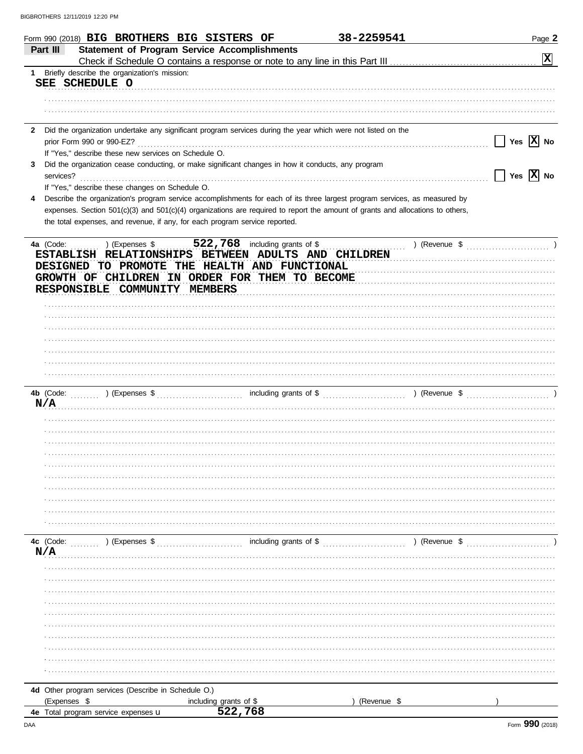| Part III         |                                                      | Form 990 (2018) BIG BROTHERS BIG SISTERS OF                                                                  | 38-2259541                                                                                                                     | Page 2                |
|------------------|------------------------------------------------------|--------------------------------------------------------------------------------------------------------------|--------------------------------------------------------------------------------------------------------------------------------|-----------------------|
|                  |                                                      | <b>Statement of Program Service Accomplishments</b>                                                          |                                                                                                                                | $ \mathbf{x} $        |
| $1 \quad$        | Briefly describe the organization's mission:         |                                                                                                              |                                                                                                                                |                       |
| SEE SCHEDULE O   |                                                      |                                                                                                              |                                                                                                                                |                       |
|                  |                                                      |                                                                                                              |                                                                                                                                |                       |
|                  |                                                      |                                                                                                              |                                                                                                                                |                       |
|                  |                                                      |                                                                                                              |                                                                                                                                |                       |
| 2                |                                                      | Did the organization undertake any significant program services during the year which were not listed on the |                                                                                                                                |                       |
|                  | prior Form 990 or 990-EZ?                            |                                                                                                              |                                                                                                                                | Yes $\overline{X}$ No |
|                  | If "Yes," describe these new services on Schedule O. |                                                                                                              |                                                                                                                                |                       |
|                  |                                                      | Did the organization cease conducting, or make significant changes in how it conducts, any program           |                                                                                                                                |                       |
| services?        |                                                      |                                                                                                              |                                                                                                                                | Yes $\overline{X}$ No |
|                  | If "Yes," describe these changes on Schedule O.      |                                                                                                              |                                                                                                                                |                       |
| 4                |                                                      |                                                                                                              | Describe the organization's program service accomplishments for each of its three largest program services, as measured by     |                       |
|                  |                                                      |                                                                                                              | expenses. Section 501(c)(3) and 501(c)(4) organizations are required to report the amount of grants and allocations to others, |                       |
|                  |                                                      | the total expenses, and revenue, if any, for each program service reported.                                  |                                                                                                                                |                       |
| 4a (Code:        | ) (Expenses \$                                       | 522,768 including grants of \$                                                                               |                                                                                                                                |                       |
|                  | RESPONSIBLE COMMUNITY MEMBERS                        | DESIGNED TO PROMOTE THE HEALTH AND FUNCTIONAL<br>GROWTH OF CHILDREN IN ORDER FOR THEM TO BECOME              |                                                                                                                                |                       |
|                  |                                                      |                                                                                                              |                                                                                                                                |                       |
|                  |                                                      |                                                                                                              |                                                                                                                                |                       |
|                  |                                                      |                                                                                                              |                                                                                                                                |                       |
|                  |                                                      |                                                                                                              |                                                                                                                                |                       |
|                  |                                                      |                                                                                                              |                                                                                                                                |                       |
|                  |                                                      |                                                                                                              |                                                                                                                                |                       |
|                  |                                                      |                                                                                                              |                                                                                                                                |                       |
|                  |                                                      |                                                                                                              |                                                                                                                                |                       |
| N/A              |                                                      |                                                                                                              |                                                                                                                                |                       |
|                  |                                                      |                                                                                                              |                                                                                                                                |                       |
|                  |                                                      |                                                                                                              |                                                                                                                                |                       |
|                  |                                                      |                                                                                                              |                                                                                                                                |                       |
|                  |                                                      |                                                                                                              |                                                                                                                                |                       |
|                  |                                                      |                                                                                                              |                                                                                                                                |                       |
|                  |                                                      |                                                                                                              |                                                                                                                                |                       |
|                  |                                                      |                                                                                                              |                                                                                                                                |                       |
|                  |                                                      |                                                                                                              |                                                                                                                                |                       |
|                  |                                                      |                                                                                                              |                                                                                                                                |                       |
|                  |                                                      |                                                                                                              |                                                                                                                                |                       |
|                  |                                                      |                                                                                                              |                                                                                                                                |                       |
|                  |                                                      |                                                                                                              |                                                                                                                                |                       |
|                  | ) (Expenses \$                                       | including grants of $$$                                                                                      | ) (Revenue \$                                                                                                                  |                       |
|                  |                                                      |                                                                                                              |                                                                                                                                |                       |
|                  |                                                      |                                                                                                              |                                                                                                                                |                       |
|                  |                                                      |                                                                                                              |                                                                                                                                |                       |
|                  |                                                      |                                                                                                              |                                                                                                                                |                       |
|                  |                                                      |                                                                                                              |                                                                                                                                |                       |
|                  |                                                      |                                                                                                              |                                                                                                                                |                       |
|                  |                                                      |                                                                                                              |                                                                                                                                |                       |
| 4c (Code:<br>N/A |                                                      |                                                                                                              |                                                                                                                                |                       |
|                  |                                                      |                                                                                                              |                                                                                                                                |                       |
|                  |                                                      |                                                                                                              |                                                                                                                                |                       |
|                  |                                                      |                                                                                                              |                                                                                                                                |                       |
| (Expenses \$     | 4d Other program services (Describe in Schedule O.)  | including grants of \$                                                                                       | (Revenue \$                                                                                                                    |                       |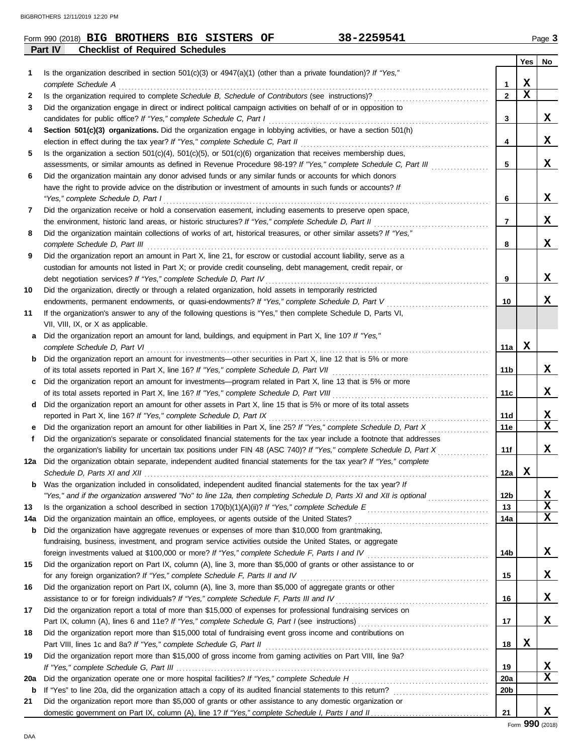### **Part IV Checklist of Required Schedules** Form 990 (2018) Page **3 BIG BROTHERS BIG SISTERS OF 38-2259541**

|     |                                                                                                                                                                                                         |                 | Yes         | No.         |
|-----|---------------------------------------------------------------------------------------------------------------------------------------------------------------------------------------------------------|-----------------|-------------|-------------|
| 1   | Is the organization described in section 501(c)(3) or $4947(a)(1)$ (other than a private foundation)? If "Yes,"                                                                                         |                 |             |             |
|     |                                                                                                                                                                                                         | 1               | X           |             |
| 2   |                                                                                                                                                                                                         | $\mathbf{2}$    | $\mathbf x$ |             |
| 3   | Did the organization engage in direct or indirect political campaign activities on behalf of or in opposition to                                                                                        |                 |             |             |
|     |                                                                                                                                                                                                         | 3               |             | x           |
| 4   | Section 501(c)(3) organizations. Did the organization engage in lobbying activities, or have a section 501(h)                                                                                           |                 |             |             |
|     |                                                                                                                                                                                                         | 4               |             | x           |
| 5   | Is the organization a section $501(c)(4)$ , $501(c)(5)$ , or $501(c)(6)$ organization that receives membership dues,                                                                                    |                 |             |             |
|     | assessments, or similar amounts as defined in Revenue Procedure 98-19? If "Yes," complete Schedule C, Part III                                                                                          | 5               |             | x           |
| 6   | Did the organization maintain any donor advised funds or any similar funds or accounts for which donors                                                                                                 |                 |             |             |
|     | have the right to provide advice on the distribution or investment of amounts in such funds or accounts? If                                                                                             |                 |             |             |
|     |                                                                                                                                                                                                         | 6               |             | x           |
| 7   | Did the organization receive or hold a conservation easement, including easements to preserve open space,                                                                                               |                 |             |             |
|     |                                                                                                                                                                                                         | 7               |             | X           |
| 8   | Did the organization maintain collections of works of art, historical treasures, or other similar assets? If "Yes,"                                                                                     |                 |             |             |
|     |                                                                                                                                                                                                         | 8               |             | x           |
| 9   | Did the organization report an amount in Part X, line 21, for escrow or custodial account liability, serve as a                                                                                         |                 |             |             |
|     | custodian for amounts not listed in Part X; or provide credit counseling, debt management, credit repair, or                                                                                            |                 |             | x           |
|     |                                                                                                                                                                                                         | 9               |             |             |
| 10  | Did the organization, directly or through a related organization, hold assets in temporarily restricted<br>endowments, permanent endowments, or quasi-endowments? If "Yes," complete Schedule D, Part V |                 |             | x           |
| 11  | If the organization's answer to any of the following questions is "Yes," then complete Schedule D, Parts VI,                                                                                            | 10              |             |             |
|     | VII, VIII, IX, or X as applicable.                                                                                                                                                                      |                 |             |             |
| a   | Did the organization report an amount for land, buildings, and equipment in Part X, line 10? If "Yes,"                                                                                                  |                 |             |             |
|     |                                                                                                                                                                                                         | 11a             | х           |             |
|     | <b>b</b> Did the organization report an amount for investments—other securities in Part X, line 12 that is 5% or more                                                                                   |                 |             |             |
|     |                                                                                                                                                                                                         | 11b             |             | X           |
| C   | Did the organization report an amount for investments—program related in Part X, line 13 that is 5% or more                                                                                             |                 |             |             |
|     |                                                                                                                                                                                                         | 11c             |             | x           |
| d   | Did the organization report an amount for other assets in Part X, line 15 that is 5% or more of its total assets                                                                                        |                 |             |             |
|     |                                                                                                                                                                                                         | 11d             |             | X           |
| е   |                                                                                                                                                                                                         | 11e             |             | $\mathbf x$ |
| f   | Did the organization's separate or consolidated financial statements for the tax year include a footnote that addresses                                                                                 |                 |             |             |
|     | the organization's liability for uncertain tax positions under FIN 48 (ASC 740)? If "Yes," complete Schedule D, Part X                                                                                  | 11f             |             | x           |
| 12a | Did the organization obtain separate, independent audited financial statements for the tax year? If "Yes," complete                                                                                     |                 |             |             |
|     |                                                                                                                                                                                                         | 12a             | x           |             |
| b   | Was the organization included in consolidated, independent audited financial statements for the tax year? If                                                                                            |                 |             |             |
|     | "Yes," and if the organization answered "No" to line 12a, then completing Schedule D, Parts XI and XII is optional <i>commension</i>                                                                    | 12b             |             | <u>x</u>    |
| 13  |                                                                                                                                                                                                         | 13              |             | X           |
| 14a |                                                                                                                                                                                                         | 14a             |             | X           |
| b   | Did the organization have aggregate revenues or expenses of more than \$10,000 from grantmaking,                                                                                                        |                 |             |             |
|     | fundraising, business, investment, and program service activities outside the United States, or aggregate                                                                                               |                 |             |             |
|     |                                                                                                                                                                                                         | 14b             |             | X           |
| 15  | Did the organization report on Part IX, column (A), line 3, more than \$5,000 of grants or other assistance to or                                                                                       |                 |             |             |
|     |                                                                                                                                                                                                         | 15              |             | X           |
| 16  | Did the organization report on Part IX, column (A), line 3, more than \$5,000 of aggregate grants or other                                                                                              |                 |             |             |
|     | assistance to or for foreign individuals? If "Yes," complete Schedule F, Parts III and IV [[[[[[[[[[[[[[[[[[[                                                                                           | 16              |             | X           |
| 17  | Did the organization report a total of more than \$15,000 of expenses for professional fundraising services on                                                                                          |                 |             |             |
|     |                                                                                                                                                                                                         | 17              |             | X           |
| 18  | Did the organization report more than \$15,000 total of fundraising event gross income and contributions on                                                                                             |                 | X           |             |
|     |                                                                                                                                                                                                         | 18              |             |             |
| 19  | Did the organization report more than \$15,000 of gross income from gaming activities on Part VIII, line 9a?                                                                                            | 19              |             | х           |
| 20a |                                                                                                                                                                                                         | <b>20a</b>      |             | X           |
| b   |                                                                                                                                                                                                         | 20 <sub>b</sub> |             |             |
| 21  | Did the organization report more than \$5,000 of grants or other assistance to any domestic organization or                                                                                             |                 |             |             |
|     |                                                                                                                                                                                                         | 21              |             | x           |
|     |                                                                                                                                                                                                         |                 |             |             |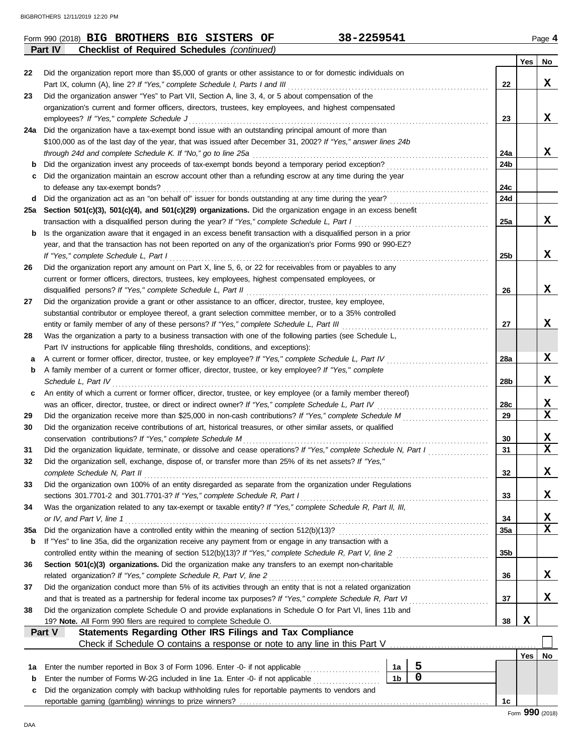|             | 38-2259541<br>Form 990 (2018) BIG BROTHERS BIG SISTERS OF                                                                                                                                                                        |                 |     | Page 4       |
|-------------|----------------------------------------------------------------------------------------------------------------------------------------------------------------------------------------------------------------------------------|-----------------|-----|--------------|
|             | <b>Checklist of Required Schedules (continued)</b><br>Part IV                                                                                                                                                                    |                 |     |              |
| 22          | Did the organization report more than \$5,000 of grants or other assistance to or for domestic individuals on                                                                                                                    |                 | Yes | <b>No</b>    |
|             | Part IX, column (A), line 2? If "Yes," complete Schedule I, Parts I and III                                                                                                                                                      | 22              |     | X            |
| 23          | Did the organization answer "Yes" to Part VII, Section A, line 3, 4, or 5 about compensation of the                                                                                                                              |                 |     |              |
|             | organization's current and former officers, directors, trustees, key employees, and highest compensated                                                                                                                          |                 |     |              |
|             | employees? If "Yes," complete Schedule J                                                                                                                                                                                         | 23              |     | X            |
|             | 24a Did the organization have a tax-exempt bond issue with an outstanding principal amount of more than                                                                                                                          |                 |     |              |
|             | \$100,000 as of the last day of the year, that was issued after December 31, 2002? If "Yes," answer lines 24b                                                                                                                    |                 |     |              |
|             | through 24d and complete Schedule K. If "No," go to line 25a                                                                                                                                                                     | 24a             |     | X            |
|             | <b>b</b> Did the organization invest any proceeds of tax-exempt bonds beyond a temporary period exception?                                                                                                                       | 24b             |     |              |
| c           | Did the organization maintain an escrow account other than a refunding escrow at any time during the year                                                                                                                        |                 |     |              |
|             | to defease any tax-exempt bonds?                                                                                                                                                                                                 | 24c             |     |              |
|             |                                                                                                                                                                                                                                  | 24d             |     |              |
|             | 25a Section 501(c)(3), 501(c)(4), and 501(c)(29) organizations. Did the organization engage in an excess benefit                                                                                                                 |                 |     |              |
|             | transaction with a disqualified person during the year? If "Yes," complete Schedule L, Part I                                                                                                                                    | 25a             |     | X            |
| $\mathbf b$ | Is the organization aware that it engaged in an excess benefit transaction with a disqualified person in a prior                                                                                                                 |                 |     |              |
|             | year, and that the transaction has not been reported on any of the organization's prior Forms 990 or 990-EZ?                                                                                                                     |                 |     |              |
|             | If "Yes," complete Schedule L, Part I                                                                                                                                                                                            | 25 <sub>b</sub> |     | X            |
| 26          | Did the organization report any amount on Part X, line 5, 6, or 22 for receivables from or payables to any                                                                                                                       |                 |     |              |
|             | current or former officers, directors, trustees, key employees, highest compensated employees, or                                                                                                                                |                 |     |              |
|             | disqualified persons? If "Yes," complete Schedule L, Part II                                                                                                                                                                     | 26              |     | X            |
| 27          | Did the organization provide a grant or other assistance to an officer, director, trustee, key employee,                                                                                                                         |                 |     |              |
|             | substantial contributor or employee thereof, a grant selection committee member, or to a 35% controlled<br>entity or family member of any of these persons? If "Yes," complete Schedule L, Part III                              | 27              |     | X            |
| 28          | Was the organization a party to a business transaction with one of the following parties (see Schedule L,                                                                                                                        |                 |     |              |
|             | Part IV instructions for applicable filing thresholds, conditions, and exceptions):                                                                                                                                              |                 |     |              |
| а           | A current or former officer, director, trustee, or key employee? If "Yes," complete Schedule L, Part IV                                                                                                                          | 28a             |     | X            |
| b           | A family member of a current or former officer, director, trustee, or key employee? If "Yes," complete                                                                                                                           |                 |     |              |
|             | Schedule L, Part IV                                                                                                                                                                                                              | 28b             |     | X            |
| c           | An entity of which a current or former officer, director, trustee, or key employee (or a family member thereof)                                                                                                                  |                 |     |              |
|             |                                                                                                                                                                                                                                  | 28c             |     | X            |
| 29          |                                                                                                                                                                                                                                  | 29              |     | X            |
| 30          | Did the organization receive contributions of art, historical treasures, or other similar assets, or qualified                                                                                                                   |                 |     |              |
|             | conservation contributions? If "Yes," complete Schedule M                                                                                                                                                                        | 30              |     | X            |
| 31          | Did the organization liquidate, terminate, or dissolve and cease operations? If "Yes," complete Schedule N, Part I                                                                                                               | 31              |     | X            |
|             | Did the organization sell, exchange, dispose of, or transfer more than 25% of its net assets? If "Yes,"                                                                                                                          |                 |     |              |
|             | complete Schedule N, Part II                                                                                                                                                                                                     | 32              |     | $\mathbf x$  |
| 33          | Did the organization own 100% of an entity disregarded as separate from the organization under Regulations                                                                                                                       |                 |     |              |
|             | sections 301.7701-2 and 301.7701-3? If "Yes," complete Schedule R, Part I                                                                                                                                                        | 33              |     | X            |
| 34          | Was the organization related to any tax-exempt or taxable entity? If "Yes," complete Schedule R, Part II, III,                                                                                                                   |                 |     |              |
|             | or IV, and Part V, line 1                                                                                                                                                                                                        | 34              |     | $\mathbf{x}$ |
| 35a         |                                                                                                                                                                                                                                  | 35a             |     | $\mathbf x$  |
| b           | If "Yes" to line 35a, did the organization receive any payment from or engage in any transaction with a                                                                                                                          |                 |     |              |
|             | controlled entity within the meaning of section 512(b)(13)? If "Yes," complete Schedule R, Part V, line 2                                                                                                                        | 35 <sub>b</sub> |     |              |
| 36          | Section 501(c)(3) organizations. Did the organization make any transfers to an exempt non-charitable                                                                                                                             |                 |     |              |
|             | related organization? If "Yes," complete Schedule R, Part V, line 2                                                                                                                                                              | 36              |     | X            |
| 37          | Did the organization conduct more than 5% of its activities through an entity that is not a related organization<br>and that is treated as a partnership for federal income tax purposes? If "Yes," complete Schedule R, Part VI | 37              |     | X            |
| 38          | Did the organization complete Schedule O and provide explanations in Schedule O for Part VI, lines 11b and                                                                                                                       |                 |     |              |
|             | 19? Note. All Form 990 filers are required to complete Schedule O.                                                                                                                                                               | 38              | X   |              |
|             | Statements Regarding Other IRS Filings and Tax Compliance<br>Part V                                                                                                                                                              |                 |     |              |
|             |                                                                                                                                                                                                                                  |                 |     |              |
|             |                                                                                                                                                                                                                                  |                 | Yes | No           |
| 1а          | 5<br>Enter the number reported in Box 3 of Form 1096. Enter -0- if not applicable<br>1a                                                                                                                                          |                 |     |              |
| b           | $\mathbf 0$<br>1 <sub>b</sub><br>Enter the number of Forms W-2G included in line 1a. Enter -0- if not applicable                                                                                                                 |                 |     |              |
| c           | Did the organization comply with backup withholding rules for reportable payments to vendors and                                                                                                                                 |                 |     |              |
|             |                                                                                                                                                                                                                                  | 1c              |     |              |

DAA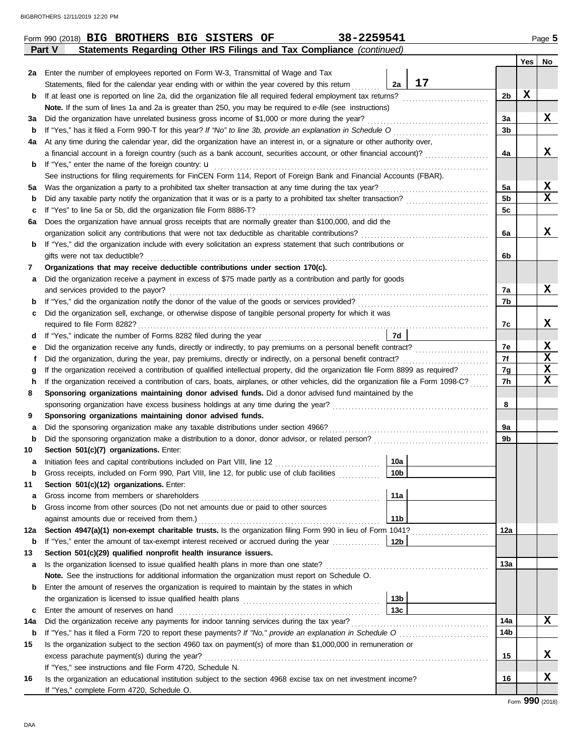|             | 38-2259541<br>Form 990 (2018) BIG BROTHERS BIG SISTERS OF                                                                          |                 |                |     | Page 5      |
|-------------|------------------------------------------------------------------------------------------------------------------------------------|-----------------|----------------|-----|-------------|
|             | Statements Regarding Other IRS Filings and Tax Compliance (continued)<br><b>Part V</b>                                             |                 |                |     |             |
|             |                                                                                                                                    |                 |                | Yes | No          |
|             | 2a Enter the number of employees reported on Form W-3, Transmittal of Wage and Tax                                                 |                 |                |     |             |
|             | Statements, filed for the calendar year ending with or within the year covered by this return                                      | 17<br>2a        |                |     |             |
| b           | If at least one is reported on line 2a, did the organization file all required federal employment tax returns?                     |                 | 2b             | X   |             |
|             | Note. If the sum of lines 1a and 2a is greater than 250, you may be required to e-file (see instructions)                          |                 |                |     |             |
| За          | Did the organization have unrelated business gross income of \$1,000 or more during the year?                                      |                 | 3a             |     | x           |
| b           | If "Yes," has it filed a Form 990-T for this year? If "No" to line 3b, provide an explanation in Schedule O                        |                 | 3b             |     |             |
| 4a          | At any time during the calendar year, did the organization have an interest in, or a signature or other authority over,            |                 |                |     |             |
|             | a financial account in a foreign country (such as a bank account, securities account, or other financial account)?                 |                 | 4a             |     | x           |
|             | <b>b</b> If "Yes," enter the name of the foreign country: $\mathbf{u}$                                                             |                 |                |     |             |
|             | See instructions for filing requirements for FinCEN Form 114, Report of Foreign Bank and Financial Accounts (FBAR).                |                 |                |     |             |
| 5a          | Was the organization a party to a prohibited tax shelter transaction at any time during the tax year?                              |                 | 5a             |     | x           |
| b           |                                                                                                                                    |                 | 5 <sub>b</sub> |     | x           |
| c           | If "Yes" to line 5a or 5b, did the organization file Form 8886-T?                                                                  |                 | 5c             |     |             |
| 6а          | Does the organization have annual gross receipts that are normally greater than \$100,000, and did the                             |                 |                |     |             |
|             |                                                                                                                                    |                 | 6a             |     | x           |
| b           | If "Yes," did the organization include with every solicitation an express statement that such contributions or                     |                 |                |     |             |
|             | gifts were not tax deductible?                                                                                                     |                 | 6b             |     |             |
| 7           | Organizations that may receive deductible contributions under section 170(c).                                                      |                 |                |     |             |
| а           | Did the organization receive a payment in excess of \$75 made partly as a contribution and partly for goods                        |                 |                |     |             |
|             | and services provided to the payor?                                                                                                |                 | 7a             |     | x           |
| b           | If "Yes," did the organization notify the donor of the value of the goods or services provided?                                    |                 | 7b             |     |             |
| c           | Did the organization sell, exchange, or otherwise dispose of tangible personal property for which it was                           |                 |                |     |             |
|             | required to file Form 8282?                                                                                                        |                 | 7c             |     | x           |
| d           |                                                                                                                                    | 7d              |                |     |             |
| е           | Did the organization receive any funds, directly or indirectly, to pay premiums on a personal benefit contract?                    |                 | 7e             |     | X           |
| f           | Did the organization, during the year, pay premiums, directly or indirectly, on a personal benefit contract?                       |                 | 7f             |     | $\mathbf x$ |
| g           | If the organization received a contribution of qualified intellectual property, did the organization file Form 8899 as required?   |                 | 7g             |     | X           |
| h           | If the organization received a contribution of cars, boats, airplanes, or other vehicles, did the organization file a Form 1098-C? |                 | 7h             |     | X           |
| 8           | Sponsoring organizations maintaining donor advised funds. Did a donor advised fund maintained by the                               |                 |                |     |             |
|             | sponsoring organization have excess business holdings at any time during the year?                                                 |                 | 8              |     |             |
| 9           | Sponsoring organizations maintaining donor advised funds.                                                                          |                 |                |     |             |
| а           | Did the sponsoring organization make any taxable distributions under section 4966?                                                 |                 | 9a             |     |             |
| b           |                                                                                                                                    |                 | 9b             |     |             |
| 10          | Section 501(c)(7) organizations. Enter:                                                                                            |                 |                |     |             |
| а           |                                                                                                                                    | 10a             |                |     |             |
| $\mathbf b$ | Gross receipts, included on Form 990, Part VIII, line 12, for public use of club facilities                                        | 10 <sub>b</sub> |                |     |             |
| 11          | Section 501(c)(12) organizations. Enter:                                                                                           |                 |                |     |             |
| а           | Gross income from members or shareholders                                                                                          | 11a             |                |     |             |
| b           | Gross income from other sources (Do not net amounts due or paid to other sources                                                   |                 |                |     |             |
|             | against amounts due or received from them.)                                                                                        | 11 <sub>b</sub> |                |     |             |
| 12a         | Section 4947(a)(1) non-exempt charitable trusts. Is the organization filing Form 990 in lieu of Form 1041?                         |                 | 12a            |     |             |
| b           | If "Yes," enter the amount of tax-exempt interest received or accrued during the year                                              | 12 <sub>b</sub> |                |     |             |
| 13          | Section 501(c)(29) qualified nonprofit health insurance issuers.                                                                   |                 |                |     |             |
| a           | Is the organization licensed to issue qualified health plans in more than one state?                                               |                 | 13а            |     |             |
|             | Note. See the instructions for additional information the organization must report on Schedule O.                                  |                 |                |     |             |
| b           | Enter the amount of reserves the organization is required to maintain by the states in which                                       |                 |                |     |             |
|             |                                                                                                                                    | 13 <sub>b</sub> |                |     |             |
| c           |                                                                                                                                    | 13c             |                |     |             |
| 14a         |                                                                                                                                    |                 | 14a            |     | x           |
| b           |                                                                                                                                    |                 | 14b            |     |             |
| 15          | Is the organization subject to the section 4960 tax on payment(s) of more than \$1,000,000 in remuneration or                      |                 |                |     |             |
|             |                                                                                                                                    |                 | 15             |     | X           |
|             | If "Yes," see instructions and file Form 4720, Schedule N.                                                                         |                 |                |     |             |
| 16          | Is the organization an educational institution subject to the section 4968 excise tax on net investment income?                    |                 | 16             |     | X           |
|             | If "Yes," complete Form 4720, Schedule O.                                                                                          |                 |                |     |             |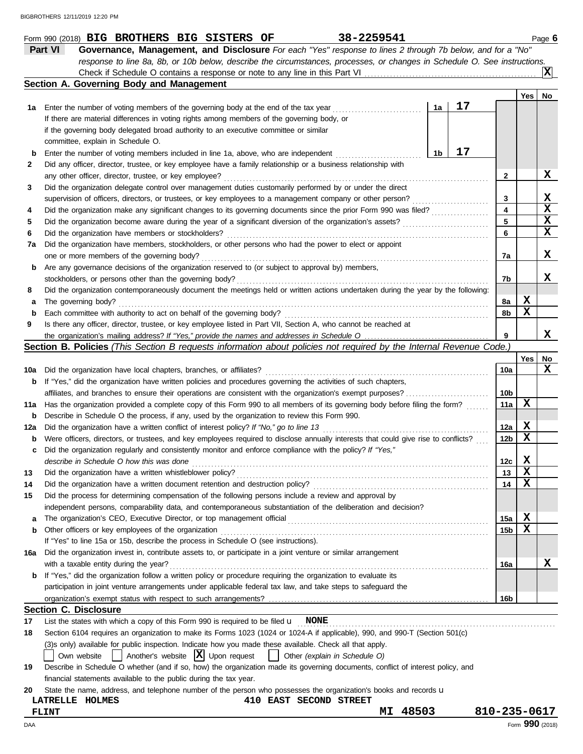|     | 38-2259541<br>Form 990 (2018) BIG BROTHERS BIG SISTERS OF                                                                                                                                                                      |              |     |     | Page 6      |
|-----|--------------------------------------------------------------------------------------------------------------------------------------------------------------------------------------------------------------------------------|--------------|-----|-----|-------------|
|     | Part VI<br>Governance, Management, and Disclosure For each "Yes" response to lines 2 through 7b below, and for a "No"                                                                                                          |              |     |     |             |
|     | response to line 8a, 8b, or 10b below, describe the circumstances, processes, or changes in Schedule O. See instructions.                                                                                                      |              |     |     |             |
|     |                                                                                                                                                                                                                                |              |     |     | IХI         |
|     | Section A. Governing Body and Management                                                                                                                                                                                       |              |     |     |             |
|     |                                                                                                                                                                                                                                |              |     | Yes | No          |
| 1а  | 1a<br>Enter the number of voting members of the governing body at the end of the tax year                                                                                                                                      | 17           |     |     |             |
|     | If there are material differences in voting rights among members of the governing body, or                                                                                                                                     |              |     |     |             |
|     | if the governing body delegated broad authority to an executive committee or similar                                                                                                                                           |              |     |     |             |
|     | committee, explain in Schedule O.                                                                                                                                                                                              |              |     |     |             |
| b   | 1b<br>Enter the number of voting members included in line 1a, above, who are independent                                                                                                                                       | 17           |     |     |             |
| 2   | Did any officer, director, trustee, or key employee have a family relationship or a business relationship with                                                                                                                 |              |     |     |             |
|     | any other officer, director, trustee, or key employee?                                                                                                                                                                         |              | 2   |     | X           |
| 3   | Did the organization delegate control over management duties customarily performed by or under the direct                                                                                                                      |              |     |     |             |
|     | supervision of officers, directors, or trustees, or key employees to a management company or other person?                                                                                                                     |              | 3   |     | X           |
| 4   | Did the organization make any significant changes to its governing documents since the prior Form 990 was filed?                                                                                                               |              | 4   |     | $\mathbf x$ |
| 5   |                                                                                                                                                                                                                                |              | 5   |     | X           |
| 6   | Did the organization have members or stockholders?                                                                                                                                                                             |              | 6   |     | $\mathbf x$ |
| 7a  | Did the organization have members, stockholders, or other persons who had the power to elect or appoint                                                                                                                        |              |     |     |             |
|     | one or more members of the governing body?                                                                                                                                                                                     |              | 7a  |     | X           |
| b   | Are any governance decisions of the organization reserved to (or subject to approval by) members,                                                                                                                              |              |     |     |             |
|     | stockholders, or persons other than the governing body?                                                                                                                                                                        |              | 7b  |     | x           |
| 8   | Did the organization contemporaneously document the meetings held or written actions undertaken during the year by the following:                                                                                              |              |     |     |             |
| а   | The governing body?                                                                                                                                                                                                            |              | 8а  | X   |             |
| b   | Each committee with authority to act on behalf of the governing body?                                                                                                                                                          |              | 8b  | X   |             |
| 9   | Is there any officer, director, trustee, or key employee listed in Part VII, Section A, who cannot be reached at                                                                                                               |              |     |     |             |
|     |                                                                                                                                                                                                                                |              | 9   |     | x           |
|     | Section B. Policies (This Section B requests information about policies not required by the Internal Revenue Code.)                                                                                                            |              |     |     |             |
|     |                                                                                                                                                                                                                                |              |     | Yes | No          |
| 10a | Did the organization have local chapters, branches, or affiliates?                                                                                                                                                             |              | 10a |     | x           |
| b   | If "Yes," did the organization have written policies and procedures governing the activities of such chapters,                                                                                                                 |              |     |     |             |
|     |                                                                                                                                                                                                                                |              | 10b |     |             |
| 11a | Has the organization provided a complete copy of this Form 990 to all members of its governing body before filing the form?                                                                                                    |              | 11a | X   |             |
| b   | Describe in Schedule O the process, if any, used by the organization to review this Form 990.                                                                                                                                  |              |     |     |             |
|     |                                                                                                                                                                                                                                |              | 12a | X   |             |
| 12a | Did the organization have a written conflict of interest policy? If "No," go to line 13<br>Were officers, directors, or trustees, and key employees required to disclose annually interests that could give rise to conflicts? |              | 12b | х   |             |
| b   |                                                                                                                                                                                                                                |              |     |     |             |
| c   | Did the organization regularly and consistently monitor and enforce compliance with the policy? If "Yes,"                                                                                                                      |              | 12c | X   |             |
|     | describe in Schedule O how this was done                                                                                                                                                                                       |              |     | X   |             |
| 13  | Did the organization have a written whistleblower policy?                                                                                                                                                                      |              | 13  |     |             |
| 14  | Did the organization have a written document retention and destruction policy?                                                                                                                                                 |              | 14  | X   |             |
| 15  | Did the process for determining compensation of the following persons include a review and approval by                                                                                                                         |              |     |     |             |
|     | independent persons, comparability data, and contemporaneous substantiation of the deliberation and decision?                                                                                                                  |              |     |     |             |
| a   |                                                                                                                                                                                                                                |              | 15a | X   |             |
| b   | Other officers or key employees of the organization                                                                                                                                                                            |              | 15b | X   |             |
|     | If "Yes" to line 15a or 15b, describe the process in Schedule O (see instructions).                                                                                                                                            |              |     |     |             |
| 16a | Did the organization invest in, contribute assets to, or participate in a joint venture or similar arrangement                                                                                                                 |              |     |     |             |
|     | with a taxable entity during the year?                                                                                                                                                                                         |              | 16a |     | X           |
| b   | If "Yes," did the organization follow a written policy or procedure requiring the organization to evaluate its                                                                                                                 |              |     |     |             |
|     | participation in joint venture arrangements under applicable federal tax law, and take steps to safeguard the                                                                                                                  |              |     |     |             |
|     |                                                                                                                                                                                                                                |              | 16b |     |             |
|     | Section C. Disclosure                                                                                                                                                                                                          |              |     |     |             |
| 17  | List the states with which a copy of this Form 990 is required to be filed $\mathbf{u}$ NONE                                                                                                                                   |              |     |     |             |
| 18  | Section 6104 requires an organization to make its Forms 1023 (1024 or 1024-A if applicable), 990, and 990-T (Section 501(c)                                                                                                    |              |     |     |             |
|     | (3)s only) available for public inspection. Indicate how you made these available. Check all that apply.                                                                                                                       |              |     |     |             |
|     | $\vert$ Another's website $\vert X \vert$ Upon request<br>Own website<br>Other (explain in Schedule O)                                                                                                                         |              |     |     |             |
| 19  | Describe in Schedule O whether (and if so, how) the organization made its governing documents, conflict of interest policy, and                                                                                                |              |     |     |             |
|     | financial statements available to the public during the tax year.                                                                                                                                                              |              |     |     |             |
| 20  | State the name, address, and telephone number of the person who possesses the organization's books and records u                                                                                                               |              |     |     |             |
|     | 410 EAST SECOND STREET<br>LATRELLE HOLMES                                                                                                                                                                                      |              |     |     |             |
|     | MI 48503<br><b>FLINT</b>                                                                                                                                                                                                       | 810-235-0617 |     |     |             |

DAA Form **990** (2018)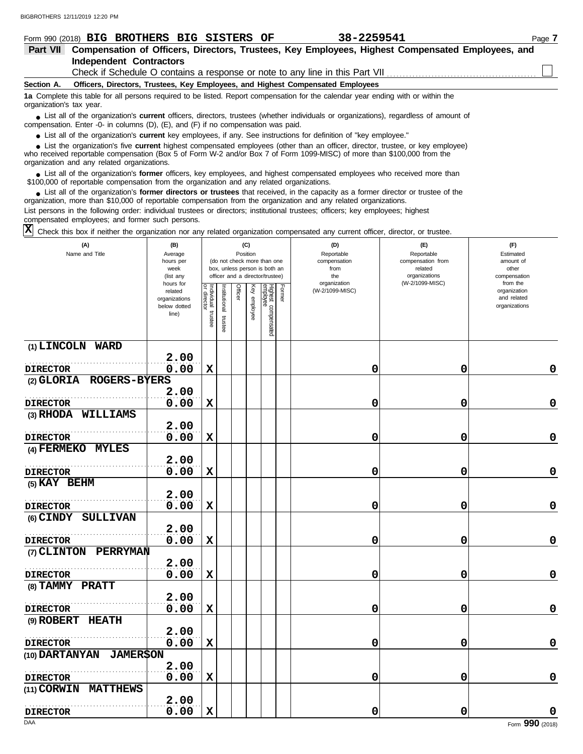#### **Section A. Independent Contractors Part VII Compensation of Officers, Directors, Trustees, Key Employees, Highest Compensated Employees, and** Form 990 (2018) Page **7 BIG BROTHERS BIG SISTERS OF 38-2259541 Officers, Directors, Trustees, Key Employees, and Highest Compensated Employees 1a** Complete this table for all persons required to be listed. Report compensation for the calendar year ending with or within the ■ List all of the organization's **current** officers, directors, trustees (whether individuals or organizations), regardless of amount of compensation. Enter -0- in columns (D), (E), and (F) if no compensation was paid. ● List all of the organization's **current** key employees, if any. See instructions for definition of "key employee." organization's tax year. ■ List the organization's five **current** highest compensated employees (other than an officer, director, trustee, or key employee)<br> **•** Preceived reportable compensation (Box 5 of Form M/-2 and/or Box 7 of Form 1099-MISC) Check if Schedule O contains a response or note to any line in this Part VII

who received reportable compensation (Box 5 of Form W-2 and/or Box 7 of Form 1099-MISC) of more than \$100,000 from the organization and any related organizations.

■ List all of the organization's **former** officers, key employees, and highest compensated employees who received more than<br>00.000 of reportable compensation from the organization and any related organizations \$100,000 of reportable compensation from the organization and any related organizations.

■ List all of the organization's **former directors or trustees** that received, in the capacity as a former director or trustee of the properties and any related organizations organization, more than \$10,000 of reportable compensation from the organization and any related organizations. List persons in the following order: individual trustees or directors; institutional trustees; officers; key employees; highest

compensated employees; and former such persons.

Check this box if neither the organization nor any related organization compensated any current officer, director, or trustee. **X**

| (A)<br>Name and Title                | (B)<br>Average<br>hours per<br>week<br>(list any               |                                   |                         | Position | (C)          | (do not check more than one<br>box, unless person is both an<br>officer and a director/trustee) |               | (D)<br>Reportable<br>compensation<br>from<br>the | (E)<br>Reportable<br>compensation from<br>related<br>organizations | (F)<br>Estimated<br>amount of<br>other<br>compensation   |
|--------------------------------------|----------------------------------------------------------------|-----------------------------------|-------------------------|----------|--------------|-------------------------------------------------------------------------------------------------|---------------|--------------------------------------------------|--------------------------------------------------------------------|----------------------------------------------------------|
|                                      | hours for<br>related<br>organizations<br>below dotted<br>line) | Individual trustee<br>or director | nstitutional<br>trustee | Officer  | Key employee | Highest compensated<br>amployee                                                                 | <b>Former</b> | organization<br>(W-2/1099-MISC)                  | (W-2/1099-MISC)                                                    | from the<br>organization<br>and related<br>organizations |
| (1) LINCOLN WARD                     |                                                                |                                   |                         |          |              |                                                                                                 |               |                                                  |                                                                    |                                                          |
|                                      | 2.00                                                           |                                   |                         |          |              |                                                                                                 |               |                                                  |                                                                    |                                                          |
| <b>DIRECTOR</b>                      | 0.00                                                           | $\mathbf x$                       |                         |          |              |                                                                                                 |               | $\mathbf 0$                                      | 0                                                                  | 0                                                        |
| (2) GLORIA ROGERS-BYERS              |                                                                |                                   |                         |          |              |                                                                                                 |               |                                                  |                                                                    |                                                          |
|                                      | 2.00                                                           |                                   |                         |          |              |                                                                                                 |               |                                                  |                                                                    |                                                          |
| <b>DIRECTOR</b>                      | 0.00                                                           | $\mathbf x$                       |                         |          |              |                                                                                                 |               | 0                                                | 0                                                                  | 0                                                        |
| (3) RHODA WILLIAMS                   |                                                                |                                   |                         |          |              |                                                                                                 |               |                                                  |                                                                    |                                                          |
|                                      | 2.00                                                           |                                   |                         |          |              |                                                                                                 |               |                                                  |                                                                    |                                                          |
| <b>DIRECTOR</b><br>(4) FERMEKO MYLES | 0.00                                                           | $\mathbf x$                       |                         |          |              |                                                                                                 |               | 0                                                | 0                                                                  | 0                                                        |
|                                      | 2.00                                                           |                                   |                         |          |              |                                                                                                 |               |                                                  |                                                                    |                                                          |
| <b>DIRECTOR</b>                      | 0.00                                                           | $\mathbf x$                       |                         |          |              |                                                                                                 |               | $\mathbf 0$                                      | 0                                                                  | 0                                                        |
| (5) KAY BEHM                         |                                                                |                                   |                         |          |              |                                                                                                 |               |                                                  |                                                                    |                                                          |
|                                      | 2.00                                                           |                                   |                         |          |              |                                                                                                 |               |                                                  |                                                                    |                                                          |
| <b>DIRECTOR</b>                      | 0.00                                                           | $\mathbf x$                       |                         |          |              |                                                                                                 |               | 0                                                | 0                                                                  | 0                                                        |
| (6) CINDY SULLIVAN                   |                                                                |                                   |                         |          |              |                                                                                                 |               |                                                  |                                                                    |                                                          |
|                                      | 2.00                                                           |                                   |                         |          |              |                                                                                                 |               |                                                  |                                                                    |                                                          |
| <b>DIRECTOR</b>                      | 0.00                                                           | $\mathbf x$                       |                         |          |              |                                                                                                 |               | 0                                                | 0                                                                  | 0                                                        |
| (7) CLINTON<br>PERRYMAN              |                                                                |                                   |                         |          |              |                                                                                                 |               |                                                  |                                                                    |                                                          |
|                                      | 2.00                                                           |                                   |                         |          |              |                                                                                                 |               |                                                  |                                                                    |                                                          |
| <b>DIRECTOR</b>                      | 0.00                                                           | $\mathbf x$                       |                         |          |              |                                                                                                 |               | $\mathbf 0$                                      | 0                                                                  | 0                                                        |
| (8) TAMMY PRATT                      |                                                                |                                   |                         |          |              |                                                                                                 |               |                                                  |                                                                    |                                                          |
|                                      | 2.00                                                           |                                   |                         |          |              |                                                                                                 |               |                                                  |                                                                    |                                                          |
| <b>DIRECTOR</b>                      | 0.00                                                           | $\mathbf x$                       |                         |          |              |                                                                                                 |               | 0                                                | 0                                                                  | 0                                                        |
| (9) ROBERT HEATH                     |                                                                |                                   |                         |          |              |                                                                                                 |               |                                                  |                                                                    |                                                          |
|                                      | 2.00                                                           |                                   |                         |          |              |                                                                                                 |               |                                                  |                                                                    |                                                          |
| <b>DIRECTOR</b><br><b>JAMER\$ON</b>  | 0.00                                                           | $\mathbf x$                       |                         |          |              |                                                                                                 |               | 0                                                | 0                                                                  | 0                                                        |
| (10) DARTANYAN                       | 2.00                                                           |                                   |                         |          |              |                                                                                                 |               |                                                  |                                                                    |                                                          |
| <b>DIRECTOR</b>                      | 0.00                                                           | X                                 |                         |          |              |                                                                                                 |               | $\mathbf 0$                                      | 0                                                                  | 0                                                        |
| <b>MATTHEWS</b><br>(11) CORWIN       |                                                                |                                   |                         |          |              |                                                                                                 |               |                                                  |                                                                    |                                                          |
|                                      | 2.00                                                           |                                   |                         |          |              |                                                                                                 |               |                                                  |                                                                    |                                                          |
| <b>DIRECTOR</b>                      | 0.00                                                           | $\mathbf x$                       |                         |          |              |                                                                                                 |               | $\mathbf 0$                                      | 0                                                                  | 0                                                        |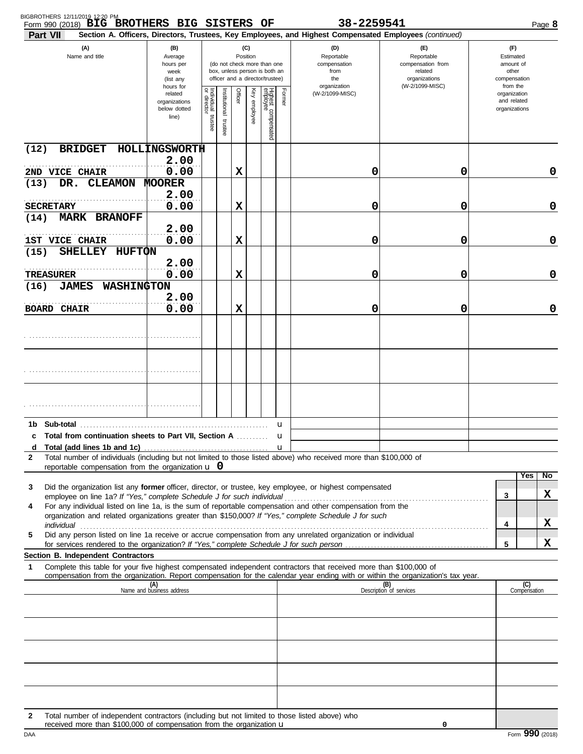| Part VII           | Form 990 (2018) BIG BROTHERS BIG SISTERS OF                                                   |                                                                      |                                   |                         |         |                 |                                                                                                 |                  | 38-2259541<br>Section A. Officers, Directors, Trustees, Key Employees, and Highest Compensated Employees (continued)                                                                                                                                   |                                                                    |                                                          |                     | Page 8      |
|--------------------|-----------------------------------------------------------------------------------------------|----------------------------------------------------------------------|-----------------------------------|-------------------------|---------|-----------------|-------------------------------------------------------------------------------------------------|------------------|--------------------------------------------------------------------------------------------------------------------------------------------------------------------------------------------------------------------------------------------------------|--------------------------------------------------------------------|----------------------------------------------------------|---------------------|-------------|
|                    | (A)<br>Name and title                                                                         | (B)<br>Average<br>hours per<br>week<br>(list any                     |                                   |                         |         | (C)<br>Position | (do not check more than one<br>box, unless person is both an<br>officer and a director/trustee) |                  | (D)<br>Reportable<br>compensation<br>from<br>the                                                                                                                                                                                                       | (E)<br>Reportable<br>compensation from<br>related<br>organizations | (F)<br>Estimated<br>amount of<br>other<br>compensation   |                     |             |
|                    |                                                                                               | hours for<br>related<br>organizations<br>below dotted<br>line)       | Individual trustee<br>or director | nstitutional<br>trustee | Officer | Key employee    | Highest compensated<br>employee                                                                 | Former           | organization<br>(W-2/1099-MISC)                                                                                                                                                                                                                        | (W-2/1099-MISC)                                                    | from the<br>organization<br>and related<br>organizations |                     |             |
| (12)               | <b>BRIDGET</b>                                                                                | HOLLINGSWORTH                                                        |                                   |                         |         |                 |                                                                                                 |                  |                                                                                                                                                                                                                                                        |                                                                    |                                                          |                     |             |
| 2ND VICE CHAIR     |                                                                                               | 2.00<br>0.00                                                         |                                   |                         | X       |                 |                                                                                                 |                  | 0                                                                                                                                                                                                                                                      | 0                                                                  |                                                          |                     | 0           |
| DR.<br>(13)        | <b>CLEAMON</b>                                                                                | <b>MOORER</b><br>2.00                                                |                                   |                         |         |                 |                                                                                                 |                  |                                                                                                                                                                                                                                                        |                                                                    |                                                          |                     |             |
| <b>SECRETARY</b>   |                                                                                               | 0.00                                                                 |                                   |                         | X       |                 |                                                                                                 |                  | 0                                                                                                                                                                                                                                                      | 0                                                                  |                                                          |                     | $\mathbf 0$ |
| (14)               | <b>MARK BRANOFF</b>                                                                           | 2.00                                                                 |                                   |                         |         |                 |                                                                                                 |                  |                                                                                                                                                                                                                                                        |                                                                    |                                                          |                     |             |
| 1ST VICE CHAIR     |                                                                                               | 0.00                                                                 |                                   |                         | X       |                 |                                                                                                 |                  | 0                                                                                                                                                                                                                                                      | 0                                                                  |                                                          |                     | $\mathbf 0$ |
| (15)               | SHELLEY HUFTON                                                                                |                                                                      |                                   |                         |         |                 |                                                                                                 |                  |                                                                                                                                                                                                                                                        |                                                                    |                                                          |                     |             |
| TREASURER          |                                                                                               | 2.00<br>0.00                                                         |                                   |                         | X       |                 |                                                                                                 |                  | 0                                                                                                                                                                                                                                                      | 0                                                                  |                                                          |                     | $\mathbf 0$ |
| (16)               | <b>JAMES</b><br><b>WASHINGTON</b>                                                             |                                                                      |                                   |                         |         |                 |                                                                                                 |                  |                                                                                                                                                                                                                                                        |                                                                    |                                                          |                     |             |
| <b>BOARD CHAIR</b> |                                                                                               | 2.00<br>0.00                                                         |                                   |                         | X       |                 |                                                                                                 |                  | 0                                                                                                                                                                                                                                                      | 0                                                                  |                                                          |                     | $\mathbf 0$ |
|                    |                                                                                               |                                                                      |                                   |                         |         |                 |                                                                                                 |                  |                                                                                                                                                                                                                                                        |                                                                    |                                                          |                     |             |
|                    |                                                                                               |                                                                      |                                   |                         |         |                 |                                                                                                 |                  |                                                                                                                                                                                                                                                        |                                                                    |                                                          |                     |             |
|                    |                                                                                               |                                                                      |                                   |                         |         |                 |                                                                                                 |                  |                                                                                                                                                                                                                                                        |                                                                    |                                                          |                     |             |
|                    |                                                                                               |                                                                      |                                   |                         |         |                 |                                                                                                 |                  |                                                                                                                                                                                                                                                        |                                                                    |                                                          |                     |             |
|                    |                                                                                               |                                                                      |                                   |                         |         |                 |                                                                                                 |                  |                                                                                                                                                                                                                                                        |                                                                    |                                                          |                     |             |
|                    |                                                                                               |                                                                      |                                   |                         |         |                 |                                                                                                 |                  |                                                                                                                                                                                                                                                        |                                                                    |                                                          |                     |             |
|                    | Total from continuation sheets to Part VII, Section A                                         |                                                                      |                                   |                         |         |                 |                                                                                                 | u                |                                                                                                                                                                                                                                                        |                                                                    |                                                          |                     |             |
| d                  |                                                                                               |                                                                      |                                   |                         |         |                 |                                                                                                 | u<br>$\mathbf u$ |                                                                                                                                                                                                                                                        |                                                                    |                                                          |                     |             |
| 2                  | reportable compensation from the organization $\bf{u}$ 0                                      |                                                                      |                                   |                         |         |                 |                                                                                                 |                  | Total number of individuals (including but not limited to those listed above) who received more than \$100,000 of                                                                                                                                      |                                                                    |                                                          |                     |             |
|                    |                                                                                               |                                                                      |                                   |                         |         |                 |                                                                                                 |                  |                                                                                                                                                                                                                                                        |                                                                    |                                                          | Yes                 | No          |
| 3                  | employee on line 1a? If "Yes," complete Schedule J for such individual                        |                                                                      |                                   |                         |         |                 |                                                                                                 |                  | Did the organization list any former officer, director, or trustee, key employee, or highest compensated                                                                                                                                               |                                                                    | 3                                                        |                     | x           |
| 4                  |                                                                                               |                                                                      |                                   |                         |         |                 |                                                                                                 |                  | For any individual listed on line 1a, is the sum of reportable compensation and other compensation from the<br>organization and related organizations greater than \$150,000? If "Yes," complete Schedule J for such                                   |                                                                    |                                                          |                     |             |
| individual         |                                                                                               |                                                                      |                                   |                         |         |                 |                                                                                                 |                  |                                                                                                                                                                                                                                                        |                                                                    | 4                                                        |                     | X           |
| 5                  |                                                                                               |                                                                      |                                   |                         |         |                 |                                                                                                 |                  | Did any person listed on line 1a receive or accrue compensation from any unrelated organization or individual                                                                                                                                          |                                                                    | 5                                                        |                     | X           |
|                    | <b>Section B. Independent Contractors</b>                                                     |                                                                      |                                   |                         |         |                 |                                                                                                 |                  |                                                                                                                                                                                                                                                        |                                                                    |                                                          |                     |             |
| 1                  |                                                                                               |                                                                      |                                   |                         |         |                 |                                                                                                 |                  | Complete this table for your five highest compensated independent contractors that received more than \$100,000 of<br>compensation from the organization. Report compensation for the calendar year ending with or within the organization's tax year. |                                                                    |                                                          |                     |             |
|                    |                                                                                               | (A)<br>Name and business address                                     |                                   |                         |         |                 |                                                                                                 |                  |                                                                                                                                                                                                                                                        | (B)<br>Description of services                                     |                                                          | (C)<br>Compensation |             |
|                    |                                                                                               |                                                                      |                                   |                         |         |                 |                                                                                                 |                  |                                                                                                                                                                                                                                                        |                                                                    |                                                          |                     |             |
|                    |                                                                                               |                                                                      |                                   |                         |         |                 |                                                                                                 |                  |                                                                                                                                                                                                                                                        |                                                                    |                                                          |                     |             |
|                    |                                                                                               |                                                                      |                                   |                         |         |                 |                                                                                                 |                  |                                                                                                                                                                                                                                                        |                                                                    |                                                          |                     |             |
|                    |                                                                                               |                                                                      |                                   |                         |         |                 |                                                                                                 |                  |                                                                                                                                                                                                                                                        |                                                                    |                                                          |                     |             |
|                    |                                                                                               |                                                                      |                                   |                         |         |                 |                                                                                                 |                  |                                                                                                                                                                                                                                                        |                                                                    |                                                          |                     |             |
|                    |                                                                                               |                                                                      |                                   |                         |         |                 |                                                                                                 |                  |                                                                                                                                                                                                                                                        |                                                                    |                                                          |                     |             |
| 2                  | Total number of independent contractors (including but not limited to those listed above) who | received more than \$100,000 of compensation from the organization u |                                   |                         |         |                 |                                                                                                 |                  |                                                                                                                                                                                                                                                        | 0                                                                  |                                                          |                     |             |

| ۰. |  |
|----|--|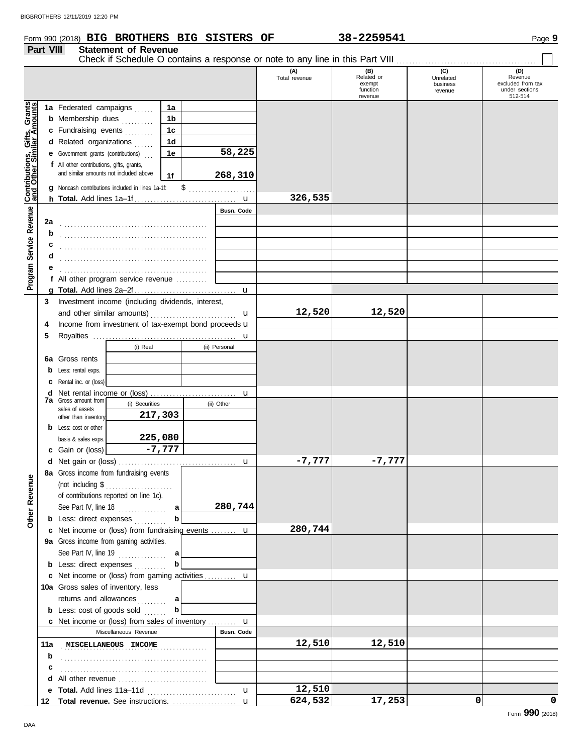## Form 990 (2018) Page **9 BIG BROTHERS BIG SISTERS OF 38-2259541**

## **Part VIII Statement of Revenue**

|  | -2259541 |  |  |  |
|--|----------|--|--|--|
|--|----------|--|--|--|

Check if Schedule O contains a response or note to any line in this Part VIII . . . . . . . . . . . . . . . . . . . . . . . . . . . . . . . . . . . . . . . . . . . .

|                                                                  |                                                  |                                                                                     |                                                                |                |                                        |                   | (A)           | (B)<br>Related or  | (C)<br>Unrelated | (D)<br>Revenue                      |
|------------------------------------------------------------------|--------------------------------------------------|-------------------------------------------------------------------------------------|----------------------------------------------------------------|----------------|----------------------------------------|-------------------|---------------|--------------------|------------------|-------------------------------------|
|                                                                  |                                                  |                                                                                     |                                                                |                |                                        |                   | Total revenue | exempt<br>function | business         | excluded from tax<br>under sections |
|                                                                  |                                                  |                                                                                     |                                                                |                |                                        |                   |               | revenue            | revenue          | 512-514                             |
| <b>Contributions, Gifts, Grants</b><br>and Other Similar Amounts |                                                  | 1a Federated campaigns                                                              |                                                                | 1a             |                                        |                   |               |                    |                  |                                     |
|                                                                  |                                                  | <b>b</b> Membership dues                                                            |                                                                | 1b             |                                        |                   |               |                    |                  |                                     |
|                                                                  |                                                  | c Fundraising events                                                                |                                                                | 1 <sub>c</sub> |                                        |                   |               |                    |                  |                                     |
|                                                                  |                                                  | d Related organizations                                                             |                                                                | 1d             |                                        |                   |               |                    |                  |                                     |
|                                                                  | <b>e</b> Government grants (contributions)<br>1е |                                                                                     | 58,225                                                         |                |                                        |                   |               |                    |                  |                                     |
|                                                                  |                                                  | f All other contributions, gifts, grants,<br>and similar amounts not included above |                                                                |                |                                        |                   |               |                    |                  |                                     |
|                                                                  |                                                  |                                                                                     |                                                                | 1f             |                                        | 268,310           |               |                    |                  |                                     |
|                                                                  |                                                  |                                                                                     | Noncash contributions included in lines 1a-1f:                 |                | \$                                     |                   |               |                    |                  |                                     |
|                                                                  |                                                  |                                                                                     |                                                                |                |                                        |                   | 326,535       |                    |                  |                                     |
| Service Revenue                                                  | 2a                                               |                                                                                     |                                                                |                |                                        | <b>Busn. Code</b> |               |                    |                  |                                     |
|                                                                  | b                                                |                                                                                     |                                                                |                |                                        |                   |               |                    |                  |                                     |
|                                                                  | С                                                |                                                                                     |                                                                |                |                                        |                   |               |                    |                  |                                     |
|                                                                  | d                                                |                                                                                     |                                                                |                |                                        |                   |               |                    |                  |                                     |
|                                                                  | е                                                |                                                                                     |                                                                |                |                                        |                   |               |                    |                  |                                     |
| Program !                                                        |                                                  |                                                                                     | f All other program service revenue                            |                |                                        |                   |               |                    |                  |                                     |
|                                                                  |                                                  |                                                                                     |                                                                |                |                                        |                   |               |                    |                  |                                     |
|                                                                  | 3                                                |                                                                                     | Investment income (including dividends, interest,              |                |                                        |                   |               |                    |                  |                                     |
|                                                                  |                                                  | and other similar amounts)                                                          |                                                                |                | u                                      | 12,520            | 12,520        |                    |                  |                                     |
|                                                                  | 4                                                |                                                                                     | Income from investment of tax-exempt bond proceeds u           |                |                                        |                   |               |                    |                  |                                     |
|                                                                  | 5                                                |                                                                                     |                                                                |                |                                        |                   |               |                    |                  |                                     |
|                                                                  |                                                  |                                                                                     | (i) Real                                                       |                |                                        | (ii) Personal     |               |                    |                  |                                     |
|                                                                  |                                                  | <b>6a</b> Gross rents                                                               |                                                                |                |                                        |                   |               |                    |                  |                                     |
|                                                                  | b                                                | Less: rental exps.                                                                  |                                                                |                |                                        |                   |               |                    |                  |                                     |
|                                                                  | c                                                | Rental inc. or (loss)                                                               |                                                                |                |                                        |                   |               |                    |                  |                                     |
|                                                                  | d                                                | <b>7a</b> Gross amount from                                                         |                                                                |                |                                        |                   |               |                    |                  |                                     |
|                                                                  |                                                  | sales of assets                                                                     | (i) Securities                                                 |                |                                        | (ii) Other        |               |                    |                  |                                     |
|                                                                  |                                                  | other than inventory                                                                | 217,303                                                        |                |                                        |                   |               |                    |                  |                                     |
|                                                                  |                                                  | <b>b</b> Less: cost or other                                                        | 225,080                                                        |                |                                        |                   |               |                    |                  |                                     |
|                                                                  |                                                  | basis & sales exps.<br>Gain or (loss)                                               |                                                                | $-7,777$       |                                        |                   |               |                    |                  |                                     |
|                                                                  | С                                                |                                                                                     |                                                                |                |                                        |                   | $-7,777$      | $-7,777$           |                  |                                     |
|                                                                  |                                                  |                                                                                     | 8a Gross income from fundraising events                        |                |                                        |                   |               |                    |                  |                                     |
| enue                                                             |                                                  |                                                                                     |                                                                |                |                                        |                   |               |                    |                  |                                     |
|                                                                  |                                                  |                                                                                     | of contributions reported on line 1c).                         |                |                                        |                   |               |                    |                  |                                     |
| Rev                                                              |                                                  |                                                                                     | See Part IV, line $18$                                         | a              |                                        | 280,744           |               |                    |                  |                                     |
| Other                                                            |                                                  |                                                                                     | <b>b</b> Less: direct expenses                                 | b              |                                        |                   |               |                    |                  |                                     |
|                                                                  |                                                  |                                                                                     | c Net income or (loss) from fundraising events  u              |                |                                        |                   | 280,744       |                    |                  |                                     |
|                                                                  |                                                  |                                                                                     | 9a Gross income from gaming activities.                        |                |                                        |                   |               |                    |                  |                                     |
|                                                                  |                                                  |                                                                                     | See Part IV, line $19$                                         | a              |                                        |                   |               |                    |                  |                                     |
|                                                                  |                                                  |                                                                                     | <b>b</b> Less: direct expenses                                 | b              |                                        |                   |               |                    |                  |                                     |
|                                                                  |                                                  |                                                                                     | c Net income or (loss) from gaming activities  u               |                |                                        |                   |               |                    |                  |                                     |
|                                                                  |                                                  |                                                                                     | 10a Gross sales of inventory, less                             |                |                                        |                   |               |                    |                  |                                     |
|                                                                  |                                                  |                                                                                     | returns and allowances                                         | a              |                                        |                   |               |                    |                  |                                     |
|                                                                  |                                                  |                                                                                     | <b>b</b> Less: cost of goods sold                              | b              |                                        |                   |               |                    |                  |                                     |
|                                                                  |                                                  |                                                                                     | <b>c</b> Net income or (loss) from sales of inventory <b>u</b> |                |                                        |                   |               |                    |                  |                                     |
|                                                                  |                                                  |                                                                                     | Miscellaneous Revenue                                          |                |                                        | <b>Busn. Code</b> |               |                    |                  |                                     |
|                                                                  | 11a                                              |                                                                                     | <b>MISCELLANEOUS INCOME</b>                                    |                | <u> 1999 - Johann Stoff, ameri</u> kan |                   | 12,510        | 12,510             |                  |                                     |
|                                                                  | b<br>c                                           |                                                                                     |                                                                |                |                                        |                   |               |                    |                  |                                     |
|                                                                  | d                                                |                                                                                     | All other revenue                                              |                |                                        |                   |               |                    |                  |                                     |
|                                                                  | е                                                |                                                                                     |                                                                |                |                                        | u                 | 12,510        |                    |                  |                                     |
|                                                                  | 12                                               |                                                                                     | Total revenue. See instructions.                               |                |                                        | $\mathbf{u}$      | 624,532       | 17,253             | 0                | 0                                   |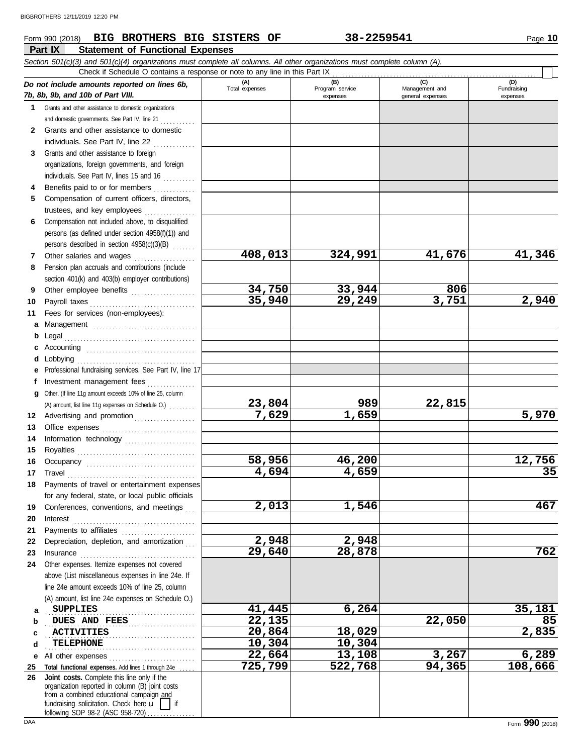## **Part IX Statement of Functional Expenses Form 990 (2018) BIG BROTHERS BIG SISTERS OF 38-2259541** Page 10

|              | Section 501(c)(3) and 501(c)(4) organizations must complete all columns. All other organizations must complete column (A).<br>Check if Schedule O contains a response or note to any line in this Part IX                           |                       |                             |                                    |                         |
|--------------|-------------------------------------------------------------------------------------------------------------------------------------------------------------------------------------------------------------------------------------|-----------------------|-----------------------------|------------------------------------|-------------------------|
|              | Do not include amounts reported on lines 6b,                                                                                                                                                                                        | (A)                   | (B)                         | (C)                                | (D)                     |
|              | 7b, 8b, 9b, and 10b of Part VIII.                                                                                                                                                                                                   | Total expenses        | Program service<br>expenses | Management and<br>general expenses | Fundraising<br>expenses |
| 1.           | Grants and other assistance to domestic organizations                                                                                                                                                                               |                       |                             |                                    |                         |
|              | and domestic governments. See Part IV, line 21                                                                                                                                                                                      |                       |                             |                                    |                         |
| $\mathbf{2}$ | Grants and other assistance to domestic                                                                                                                                                                                             |                       |                             |                                    |                         |
|              | individuals. See Part IV, line 22                                                                                                                                                                                                   |                       |                             |                                    |                         |
| 3            | Grants and other assistance to foreign                                                                                                                                                                                              |                       |                             |                                    |                         |
|              | organizations, foreign governments, and foreign                                                                                                                                                                                     |                       |                             |                                    |                         |
|              | individuals. See Part IV, lines 15 and 16                                                                                                                                                                                           |                       |                             |                                    |                         |
| 4            | Benefits paid to or for members                                                                                                                                                                                                     |                       |                             |                                    |                         |
| 5            | Compensation of current officers, directors,                                                                                                                                                                                        |                       |                             |                                    |                         |
|              | trustees, and key employees                                                                                                                                                                                                         |                       |                             |                                    |                         |
| 6            | Compensation not included above, to disqualified                                                                                                                                                                                    |                       |                             |                                    |                         |
|              | persons (as defined under section 4958(f)(1)) and                                                                                                                                                                                   |                       |                             |                                    |                         |
|              | persons described in section 4958(c)(3)(B)                                                                                                                                                                                          |                       |                             |                                    |                         |
| 7            | Other salaries and wages                                                                                                                                                                                                            | 408,013               | 324,991                     | 41,676                             | 41,346                  |
| 8            | Pension plan accruals and contributions (include                                                                                                                                                                                    |                       |                             |                                    |                         |
|              | section 401(k) and 403(b) employer contributions)                                                                                                                                                                                   |                       |                             |                                    |                         |
| 9            | Other employee benefits                                                                                                                                                                                                             | 34,750                | 33,944                      | 806                                |                         |
| 10           | Payroll taxes                                                                                                                                                                                                                       | 35,940                | 29,249                      | 3,751                              | 2,940                   |
| 11           | Fees for services (non-employees):                                                                                                                                                                                                  |                       |                             |                                    |                         |
| а            | Management                                                                                                                                                                                                                          |                       |                             |                                    |                         |
| b            |                                                                                                                                                                                                                                     |                       |                             |                                    |                         |
| c            |                                                                                                                                                                                                                                     |                       |                             |                                    |                         |
| d            | Lobbying                                                                                                                                                                                                                            |                       |                             |                                    |                         |
| е            | Professional fundraising services. See Part IV, line 17                                                                                                                                                                             |                       |                             |                                    |                         |
| f            | Investment management fees                                                                                                                                                                                                          |                       |                             |                                    |                         |
| g            | Other. (If line 11g amount exceeds 10% of line 25, column                                                                                                                                                                           | 23,804                | 989                         | 22,815                             |                         |
|              | (A) amount, list line 11g expenses on Schedule O.)                                                                                                                                                                                  | $\overline{7}$ , 629  | 1,659                       |                                    | 5,970                   |
| 12<br>13     | Advertising and promotion                                                                                                                                                                                                           |                       |                             |                                    |                         |
| 14           | Office expenses<br>Information technology                                                                                                                                                                                           |                       |                             |                                    |                         |
| 15           |                                                                                                                                                                                                                                     |                       |                             |                                    |                         |
| 16           |                                                                                                                                                                                                                                     | 58,956                | 46,200                      |                                    | 12,756                  |
| 17           |                                                                                                                                                                                                                                     | 4,694                 | 4,659                       |                                    | 35                      |
| 18           | Payments of travel or entertainment expenses                                                                                                                                                                                        |                       |                             |                                    |                         |
|              | for any federal, state, or local public officials                                                                                                                                                                                   |                       |                             |                                    |                         |
| 19           | Conferences, conventions, and meetings                                                                                                                                                                                              | 2,013                 | 1,546                       |                                    | 467                     |
| 20           |                                                                                                                                                                                                                                     |                       |                             |                                    |                         |
| 21           | Payments to affiliates [111] [11] Payments to affiliates                                                                                                                                                                            |                       |                             |                                    |                         |
| 22           | Depreciation, depletion, and amortization                                                                                                                                                                                           | 2,948                 | 2,948                       |                                    |                         |
| 23           | Insurance <b>continuous</b> contains a series of the series of the series of the series of the series of the series of the series of the series of the series of the series of the series of the series of the series of the series | 29,640                | 28,878                      |                                    | 762                     |
| 24           | Other expenses. Itemize expenses not covered                                                                                                                                                                                        |                       |                             |                                    |                         |
|              | above (List miscellaneous expenses in line 24e. If                                                                                                                                                                                  |                       |                             |                                    |                         |
|              | line 24e amount exceeds 10% of line 25, column                                                                                                                                                                                      |                       |                             |                                    |                         |
|              | (A) amount, list line 24e expenses on Schedule O.)                                                                                                                                                                                  |                       |                             |                                    |                         |
| а            | <b>SUPPLIES</b>                                                                                                                                                                                                                     | 41,445                | 6,264                       |                                    | 35,181                  |
| b            | DUES AND FEES                                                                                                                                                                                                                       | 22,135                |                             | 22,050                             | 85                      |
| c            | <b>ACTIVITIES</b>                                                                                                                                                                                                                   | 20,864                | 18,029                      |                                    | 2,835                   |
| d            | <b>TELEPHONE</b>                                                                                                                                                                                                                    | $\overline{10}$ , 304 | 10,304                      |                                    |                         |
| е            | All other expenses                                                                                                                                                                                                                  | 22,664                | 13,108                      | 3,267                              | 6,289                   |
| 25           | Total functional expenses. Add lines 1 through 24e                                                                                                                                                                                  | 725,799               | 522,768                     | 94,365                             | 108,666                 |
| 26           | Joint costs. Complete this line only if the<br>organization reported in column (B) joint costs                                                                                                                                      |                       |                             |                                    |                         |
|              | from a combined educational campaign and                                                                                                                                                                                            |                       |                             |                                    |                         |
|              | fundraising solicitation. Check here u                                                                                                                                                                                              |                       |                             |                                    |                         |
|              | following SOP 98-2 (ASC 958-720)                                                                                                                                                                                                    |                       |                             |                                    |                         |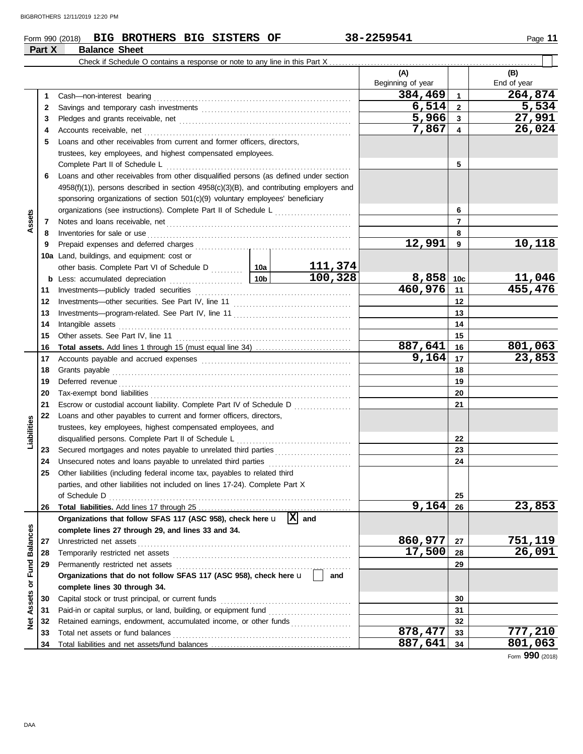**Part X Balance Sheet**

### **Form 990 (2018) BIG BROTHERS BIG SISTERS OF 38-2259541** Page 11

|                 |          | Check if Schedule O contains a response or note to any line in this Part $X_1, \ldots, X_n$                                                                                                                                    |       |                 |                          |                 |                    |
|-----------------|----------|--------------------------------------------------------------------------------------------------------------------------------------------------------------------------------------------------------------------------------|-------|-----------------|--------------------------|-----------------|--------------------|
|                 |          |                                                                                                                                                                                                                                |       |                 | (A)<br>Beginning of year |                 | (B)<br>End of year |
|                 | 1        | Cash-non-interest bearing                                                                                                                                                                                                      |       |                 | 384,469                  | $\mathbf{1}$    | 264,874            |
|                 | 2        | Savings and temporary cash investments [11] contain the same state of the same state of the same state of the s                                                                                                                |       |                 | 6,514                    | $\mathbf{2}$    | 5,534              |
|                 | 3        |                                                                                                                                                                                                                                |       |                 | 5,966                    | 3               | 27,991             |
|                 | 4        | Accounts receivable, net                                                                                                                                                                                                       |       |                 | 7,867                    | 4               | 26,024             |
|                 | 5        | Loans and other receivables from current and former officers, directors,                                                                                                                                                       |       |                 |                          |                 |                    |
|                 |          | trustees, key employees, and highest compensated employees.                                                                                                                                                                    |       |                 |                          |                 |                    |
|                 |          | Complete Part II of Schedule L                                                                                                                                                                                                 |       |                 |                          | 5               |                    |
|                 | 6        | Loans and other receivables from other disqualified persons (as defined under section                                                                                                                                          |       |                 |                          |                 |                    |
|                 |          | $4958(f)(1)$ , persons described in section $4958(c)(3)(B)$ , and contributing employers and                                                                                                                                   |       |                 |                          |                 |                    |
|                 |          | sponsoring organizations of section 501(c)(9) voluntary employees' beneficiary                                                                                                                                                 |       |                 |                          |                 |                    |
|                 |          | organizations (see instructions). Complete Part II of Schedule L                                                                                                                                                               |       |                 |                          | 6               |                    |
| Assets          | 7        |                                                                                                                                                                                                                                |       |                 |                          | $\overline{7}$  |                    |
|                 | 8        | Inventories for sale or use                                                                                                                                                                                                    |       |                 |                          | 8               |                    |
|                 | 9        |                                                                                                                                                                                                                                |       |                 | 12,991                   | 9               | 10,118             |
|                 |          | 10a Land, buildings, and equipment: cost or                                                                                                                                                                                    |       |                 |                          |                 |                    |
|                 |          |                                                                                                                                                                                                                                |       | 111,374         |                          |                 |                    |
|                 | b        | Less: accumulated depreciation                                                                                                                                                                                                 | 10b   | 100, 328        | 8,858                    | 10 <sub>c</sub> | <u>11,046</u>      |
|                 | 11       |                                                                                                                                                                                                                                |       |                 | 460,976                  | 11              | 455,476            |
|                 | 12       |                                                                                                                                                                                                                                |       |                 |                          | 12              |                    |
|                 | 13       |                                                                                                                                                                                                                                |       |                 |                          | 13              |                    |
|                 | 14       | Intangible assets                                                                                                                                                                                                              |       | 14              |                          |                 |                    |
|                 | 15       |                                                                                                                                                                                                                                |       |                 |                          | 15              |                    |
|                 | 16       |                                                                                                                                                                                                                                |       |                 | 887,641                  | 16              | 801,063            |
|                 | 17       | Accounts payable and accrued expenses [11] [11] Accounts payable and accrued expenses [11] [11] Accounts payable and accrued expenses [11] Accounts Payable and Accrued Expenses [11] Accredit Payable and Accredit Payable an | 9,164 | 17              | 23,853                   |                 |                    |
|                 | 18       |                                                                                                                                                                                                                                |       | 18              |                          |                 |                    |
|                 | 19       |                                                                                                                                                                                                                                |       |                 |                          | 19              |                    |
|                 | 20       |                                                                                                                                                                                                                                |       |                 |                          | 20              |                    |
|                 | 21       | Escrow or custodial account liability. Complete Part IV of Schedule D                                                                                                                                                          |       |                 |                          | 21              |                    |
|                 | 22       | Loans and other payables to current and former officers, directors,                                                                                                                                                            |       |                 |                          |                 |                    |
| Liabilities     |          | trustees, key employees, highest compensated employees, and                                                                                                                                                                    |       |                 |                          |                 |                    |
|                 |          | disqualified persons. Complete Part II of Schedule L                                                                                                                                                                           |       |                 |                          | 22              |                    |
|                 | 23       | Secured mortgages and notes payable to unrelated third parties                                                                                                                                                                 |       |                 |                          | 23              |                    |
|                 | 24       | Unsecured notes and loans payable to unrelated third parties                                                                                                                                                                   |       |                 |                          | 24              |                    |
|                 | 25       | Other liabilities (including federal income tax, payables to related third                                                                                                                                                     |       |                 |                          |                 |                    |
|                 |          | parties, and other liabilities not included on lines 17-24). Complete Part X                                                                                                                                                   |       |                 |                          |                 |                    |
|                 |          | of Schedule D                                                                                                                                                                                                                  |       |                 |                          | 25              |                    |
|                 | 26       |                                                                                                                                                                                                                                |       | $\vert x \vert$ | 9,164                    | 26              | 23,853             |
|                 |          | Organizations that follow SFAS 117 (ASC 958), check here u                                                                                                                                                                     |       | and             |                          |                 |                    |
|                 |          | complete lines 27 through 29, and lines 33 and 34.                                                                                                                                                                             |       |                 | 860,977                  |                 | 751,119            |
| <b>Balances</b> | 27       | Unrestricted net assets                                                                                                                                                                                                        |       |                 | 17,500                   | 27<br>28        | 26,091             |
|                 | 28<br>29 | Temporarily restricted net assets<br>Permanently restricted net assets                                                                                                                                                         |       |                 |                          | 29              |                    |
|                 |          | Organizations that do not follow SFAS 117 (ASC 958), check here u                                                                                                                                                              |       | and             |                          |                 |                    |
|                 |          | complete lines 30 through 34.                                                                                                                                                                                                  |       |                 |                          |                 |                    |
| Assets or Fund  | 30       | Capital stock or trust principal, or current funds                                                                                                                                                                             |       |                 |                          | 30              |                    |
|                 | 31       |                                                                                                                                                                                                                                |       |                 |                          | 31              |                    |
| <b>Net</b>      | 32       | Retained earnings, endowment, accumulated income, or other funds                                                                                                                                                               |       |                 |                          | 32              |                    |
|                 | 33       | Total net assets or fund balances                                                                                                                                                                                              |       |                 | 878,477                  | 33              | <u>777,210</u>     |
|                 | 34       |                                                                                                                                                                                                                                |       |                 | 887,641                  | 34              | 801,063            |

Form **990** (2018)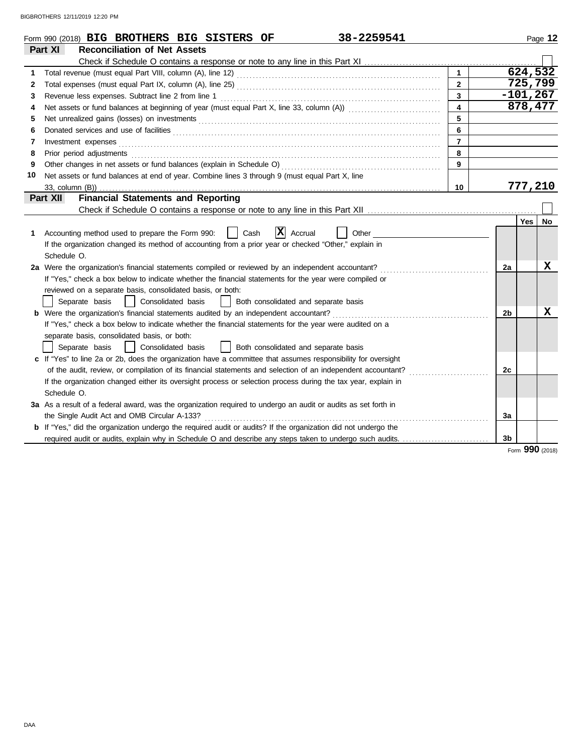|    | 38-2259541<br>Form 990 (2018) BIG BROTHERS BIG SISTERS OF                                                                                                                                                                      |                         |                |     | Page 12     |
|----|--------------------------------------------------------------------------------------------------------------------------------------------------------------------------------------------------------------------------------|-------------------------|----------------|-----|-------------|
|    | Part XI<br><b>Reconciliation of Net Assets</b>                                                                                                                                                                                 |                         |                |     |             |
|    |                                                                                                                                                                                                                                |                         |                |     |             |
| 1  |                                                                                                                                                                                                                                | $\mathbf{1}$            |                |     | 624, 532    |
| 2  |                                                                                                                                                                                                                                | $\overline{2}$          |                |     | 725,799     |
| 3  | Revenue less expenses. Subtract line 2 from line 1                                                                                                                                                                             | $\mathbf{3}$            |                |     | $-101, 267$ |
| 4  |                                                                                                                                                                                                                                | $\overline{\mathbf{4}}$ |                |     | 878,477     |
| 5  |                                                                                                                                                                                                                                | 5                       |                |     |             |
| 6  | Donated services and use of facilities [[11] matter contracts and the service of facilities [11] matter contracts and use of facilities [11] matter contracts and use of facilities [11] matter contracts and the service of f | 6                       |                |     |             |
| 7  |                                                                                                                                                                                                                                | $\overline{7}$          |                |     |             |
| 8  |                                                                                                                                                                                                                                | 8                       |                |     |             |
| 9  |                                                                                                                                                                                                                                | $\mathbf{9}$            |                |     |             |
| 10 | Net assets or fund balances at end of year. Combine lines 3 through 9 (must equal Part X, line                                                                                                                                 |                         |                |     |             |
|    |                                                                                                                                                                                                                                | 10                      |                |     | 777,210     |
|    | <b>Financial Statements and Reporting</b><br>Part XII                                                                                                                                                                          |                         |                |     |             |
|    |                                                                                                                                                                                                                                |                         |                |     |             |
| 1  | $ \mathbf{X} $ Accrual<br>Accounting method used to prepare the Form 990:<br>Cash<br>Other                                                                                                                                     |                         |                | Yes | No          |
|    | If the organization changed its method of accounting from a prior year or checked "Other," explain in                                                                                                                          |                         |                |     |             |
|    | Schedule O.                                                                                                                                                                                                                    |                         |                |     |             |
|    | 2a Were the organization's financial statements compiled or reviewed by an independent accountant?                                                                                                                             |                         | 2a             |     | x           |
|    | If "Yes," check a box below to indicate whether the financial statements for the year were compiled or                                                                                                                         |                         |                |     |             |
|    | reviewed on a separate basis, consolidated basis, or both:                                                                                                                                                                     |                         |                |     |             |
|    | Consolidated basis<br>Separate basis<br>Both consolidated and separate basis                                                                                                                                                   |                         |                |     |             |
|    |                                                                                                                                                                                                                                |                         | 2 <sub>b</sub> |     | X           |
|    | If "Yes," check a box below to indicate whether the financial statements for the year were audited on a                                                                                                                        |                         |                |     |             |
|    | separate basis, consolidated basis, or both:                                                                                                                                                                                   |                         |                |     |             |
|    | Consolidated basis<br>Both consolidated and separate basis<br>Separate basis                                                                                                                                                   |                         |                |     |             |
|    | c If "Yes" to line 2a or 2b, does the organization have a committee that assumes responsibility for oversight                                                                                                                  |                         |                |     |             |
|    | of the audit, review, or compilation of its financial statements and selection of an independent accountant?                                                                                                                   |                         | 2c             |     |             |
|    | If the organization changed either its oversight process or selection process during the tax year, explain in                                                                                                                  |                         |                |     |             |
|    | Schedule O.                                                                                                                                                                                                                    |                         |                |     |             |
|    | 3a As a result of a federal award, was the organization required to undergo an audit or audits as set forth in                                                                                                                 |                         |                |     |             |
|    | the Single Audit Act and OMB Circular A-133?                                                                                                                                                                                   |                         | 3a             |     |             |
|    | b If "Yes," did the organization undergo the required audit or audits? If the organization did not undergo the                                                                                                                 |                         |                |     |             |
|    |                                                                                                                                                                                                                                |                         | 3b             |     |             |

Form **990** (2018)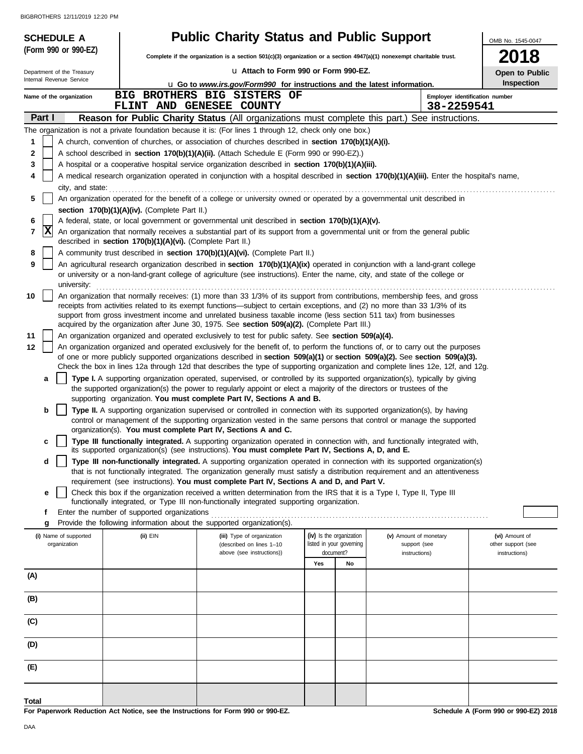| <b>SCHEDULE A</b>          |                                                            | <b>Public Charity Status and Public Support</b>                                                                                                                                                                                                                 |                          |    |                                | OMB No. 1545-0047  |
|----------------------------|------------------------------------------------------------|-----------------------------------------------------------------------------------------------------------------------------------------------------------------------------------------------------------------------------------------------------------------|--------------------------|----|--------------------------------|--------------------|
| (Form 990 or 990-EZ)       |                                                            | Complete if the organization is a section 501(c)(3) organization or a section 4947(a)(1) nonexempt charitable trust.                                                                                                                                            |                          |    |                                | 2018               |
| Department of the Treasury |                                                            | u Attach to Form 990 or Form 990-EZ.                                                                                                                                                                                                                            |                          |    |                                | Open to Public     |
| Internal Revenue Service   |                                                            | <b>u</b> Go to www.irs.gov/Form990 for instructions and the latest information.                                                                                                                                                                                 |                          |    |                                | Inspection         |
| Name of the organization   |                                                            | BIG BROTHERS BIG SISTERS OF                                                                                                                                                                                                                                     |                          |    | Employer identification number |                    |
| Part I                     |                                                            | FLINT AND GENESEE COUNTY<br>Reason for Public Charity Status (All organizations must complete this part.) See instructions.                                                                                                                                     |                          |    | 38-2259541                     |                    |
|                            |                                                            | The organization is not a private foundation because it is: (For lines 1 through 12, check only one box.)                                                                                                                                                       |                          |    |                                |                    |
| 1                          |                                                            | A church, convention of churches, or association of churches described in section 170(b)(1)(A)(i).                                                                                                                                                              |                          |    |                                |                    |
| 2                          |                                                            | A school described in section 170(b)(1)(A)(ii). (Attach Schedule E (Form 990 or 990-EZ).)                                                                                                                                                                       |                          |    |                                |                    |
| 3                          |                                                            | A hospital or a cooperative hospital service organization described in section 170(b)(1)(A)(iii).                                                                                                                                                               |                          |    |                                |                    |
| 4                          |                                                            | A medical research organization operated in conjunction with a hospital described in section 170(b)(1)(A)(iii). Enter the hospital's name,                                                                                                                      |                          |    |                                |                    |
| city, and state:<br>5      |                                                            | An organization operated for the benefit of a college or university owned or operated by a governmental unit described in                                                                                                                                       |                          |    |                                |                    |
|                            | section 170(b)(1)(A)(iv). (Complete Part II.)              |                                                                                                                                                                                                                                                                 |                          |    |                                |                    |
| 6                          |                                                            | A federal, state, or local government or governmental unit described in section 170(b)(1)(A)(v).                                                                                                                                                                |                          |    |                                |                    |
| X <br>7                    | described in section 170(b)(1)(A)(vi). (Complete Part II.) | An organization that normally receives a substantial part of its support from a governmental unit or from the general public                                                                                                                                    |                          |    |                                |                    |
| 8                          |                                                            | A community trust described in section 170(b)(1)(A)(vi). (Complete Part II.)                                                                                                                                                                                    |                          |    |                                |                    |
| 9<br>university:           |                                                            | An agricultural research organization described in section 170(b)(1)(A)(ix) operated in conjunction with a land-grant college<br>or university or a non-land-grant college of agriculture (see instructions). Enter the name, city, and state of the college or |                          |    |                                |                    |
| 10                         |                                                            | An organization that normally receives: (1) more than 33 1/3% of its support from contributions, membership fees, and gross                                                                                                                                     |                          |    |                                |                    |
|                            |                                                            | receipts from activities related to its exempt functions—subject to certain exceptions, and (2) no more than 33 1/3% of its<br>support from gross investment income and unrelated business taxable income (less section 511 tax) from businesses                |                          |    |                                |                    |
|                            |                                                            | acquired by the organization after June 30, 1975. See section 509(a)(2). (Complete Part III.)                                                                                                                                                                   |                          |    |                                |                    |
| 11                         |                                                            | An organization organized and operated exclusively to test for public safety. See section 509(a)(4).                                                                                                                                                            |                          |    |                                |                    |
| 12                         |                                                            | An organization organized and operated exclusively for the benefit of, to perform the functions of, or to carry out the purposes                                                                                                                                |                          |    |                                |                    |
|                            |                                                            | of one or more publicly supported organizations described in section 509(a)(1) or section 509(a)(2). See section 509(a)(3).<br>Check the box in lines 12a through 12d that describes the type of supporting organization and complete lines 12e, 12f, and 12g.  |                          |    |                                |                    |
| а                          |                                                            | Type I. A supporting organization operated, supervised, or controlled by its supported organization(s), typically by giving                                                                                                                                     |                          |    |                                |                    |
|                            |                                                            | the supported organization(s) the power to regularly appoint or elect a majority of the directors or trustees of the                                                                                                                                            |                          |    |                                |                    |
| b                          |                                                            | supporting organization. You must complete Part IV, Sections A and B.                                                                                                                                                                                           |                          |    |                                |                    |
|                            |                                                            | Type II. A supporting organization supervised or controlled in connection with its supported organization(s), by having<br>control or management of the supporting organization vested in the same persons that control or manage the supported                 |                          |    |                                |                    |
|                            |                                                            | organization(s). You must complete Part IV, Sections A and C.                                                                                                                                                                                                   |                          |    |                                |                    |
| c                          |                                                            | Type III functionally integrated. A supporting organization operated in connection with, and functionally integrated with,<br>its supported organization(s) (see instructions). You must complete Part IV, Sections A, D, and E.                                |                          |    |                                |                    |
| d                          |                                                            | Type III non-functionally integrated. A supporting organization operated in connection with its supported organization(s)                                                                                                                                       |                          |    |                                |                    |
|                            |                                                            | that is not functionally integrated. The organization generally must satisfy a distribution requirement and an attentiveness<br>requirement (see instructions). You must complete Part IV, Sections A and D, and Part V.                                        |                          |    |                                |                    |
| е                          |                                                            | Check this box if the organization received a written determination from the IRS that it is a Type I, Type II, Type III                                                                                                                                         |                          |    |                                |                    |
|                            |                                                            | functionally integrated, or Type III non-functionally integrated supporting organization.                                                                                                                                                                       |                          |    |                                |                    |
| f                          | Enter the number of supported organizations                |                                                                                                                                                                                                                                                                 |                          |    |                                |                    |
| g<br>(i) Name of supported | $(ii)$ EIN                                                 | Provide the following information about the supported organization(s).<br>(iii) Type of organization                                                                                                                                                            | (iv) Is the organization |    | (v) Amount of monetary         | (vi) Amount of     |
| organization               |                                                            | (described on lines 1-10                                                                                                                                                                                                                                        | listed in your governing |    | support (see                   | other support (see |
|                            |                                                            | above (see instructions))                                                                                                                                                                                                                                       | document?                |    | instructions)                  | instructions)      |
| (A)                        |                                                            |                                                                                                                                                                                                                                                                 | Yes                      | No |                                |                    |
|                            |                                                            |                                                                                                                                                                                                                                                                 |                          |    |                                |                    |
| (B)                        |                                                            |                                                                                                                                                                                                                                                                 |                          |    |                                |                    |
| (C)                        |                                                            |                                                                                                                                                                                                                                                                 |                          |    |                                |                    |
| (D)                        |                                                            |                                                                                                                                                                                                                                                                 |                          |    |                                |                    |
| (E)                        |                                                            |                                                                                                                                                                                                                                                                 |                          |    |                                |                    |
| <b>Total</b>               |                                                            |                                                                                                                                                                                                                                                                 |                          |    |                                |                    |

**For Paperwork Reduction Act Notice, see the Instructions for Form 990 or 990-EZ.**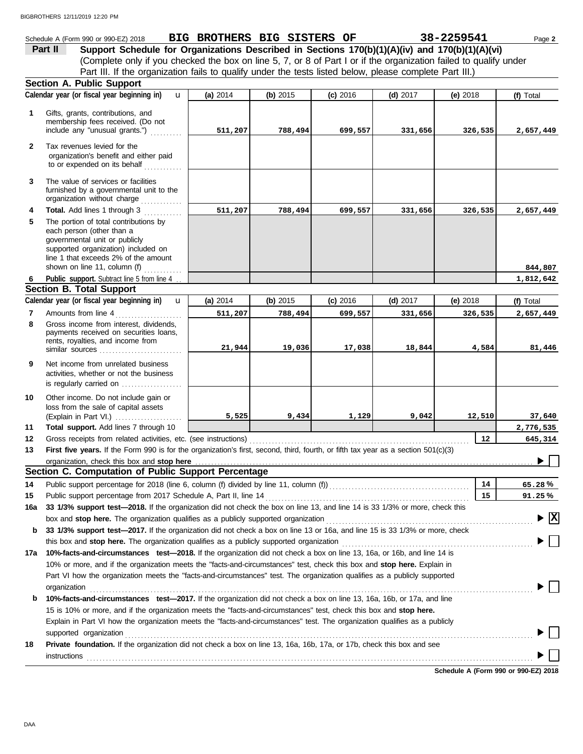## Schedule A (Form 990 or 990-EZ) 2018 **BIG BROTHERS BIG SISTERS OF 38-2259541** Page 2

(Complete only if you checked the box on line 5, 7, or 8 of Part I or if the organization failed to qualify under **Part II** Support Schedule for Organizations Described in Sections 170(b)(1)(A)(iv) and 170(b)(1)(A)(vi) Part III. If the organization fails to qualify under the tests listed below, please complete Part III.)

|              | <b>Section A. Public Support</b>                                                                                                                                                                                              |          |          |            |            |            |                                        |
|--------------|-------------------------------------------------------------------------------------------------------------------------------------------------------------------------------------------------------------------------------|----------|----------|------------|------------|------------|----------------------------------------|
|              | Calendar year (or fiscal year beginning in)<br>u                                                                                                                                                                              | (a) 2014 | (b) 2015 | $(c)$ 2016 | $(d)$ 2017 | $(e)$ 2018 | (f) Total                              |
| $\mathbf 1$  | Gifts, grants, contributions, and<br>membership fees received. (Do not<br>include any "unusual grants.")                                                                                                                      | 511,207  | 788,494  | 699,557    | 331,656    | 326,535    | 2,657,449                              |
| $\mathbf{2}$ | Tax revenues levied for the<br>organization's benefit and either paid<br>to or expended on its behalf                                                                                                                         |          |          |            |            |            |                                        |
| 3            | The value of services or facilities<br>furnished by a governmental unit to the<br>organization without charge                                                                                                                 |          |          |            |            |            |                                        |
| 4            | Total. Add lines 1 through 3                                                                                                                                                                                                  | 511,207  | 788,494  | 699,557    | 331,656    | 326,535    | 2,657,449                              |
| 5            | The portion of total contributions by<br>each person (other than a<br>governmental unit or publicly<br>supported organization) included on<br>line 1 that exceeds 2% of the amount<br>shown on line 11, column (f) $\ldots$   |          |          |            |            |            | 844,807                                |
| 6            | Public support. Subtract line 5 from line 4                                                                                                                                                                                   |          |          |            |            |            | 1,812,642                              |
|              | <b>Section B. Total Support</b>                                                                                                                                                                                               |          |          |            |            |            |                                        |
|              | Calendar year (or fiscal year beginning in)<br>u                                                                                                                                                                              | (a) 2014 | (b) 2015 | $(c)$ 2016 | $(d)$ 2017 | (e) 2018   | (f) Total                              |
| 7            | Amounts from line 4                                                                                                                                                                                                           | 511,207  | 788,494  | 699,557    | 331,656    | 326,535    | 2,657,449                              |
| 8            | Gross income from interest, dividends,<br>payments received on securities loans,<br>rents, royalties, and income from<br>similar sources                                                                                      | 21,944   | 19,036   | 17,038     | 18,844     | 4,584      | 81,446                                 |
| 9            | Net income from unrelated business<br>activities, whether or not the business<br>is regularly carried on                                                                                                                      |          |          |            |            |            |                                        |
| 10           | Other income. Do not include gain or                                                                                                                                                                                          |          |          |            |            |            |                                        |
|              | loss from the sale of capital assets<br>(Explain in Part VI.)                                                                                                                                                                 | 5,525    | 9,434    | 1,129      | 9,042      | 12,510     | 37,640                                 |
| 11           | Total support. Add lines 7 through 10                                                                                                                                                                                         |          |          |            |            |            | 2,776,535                              |
| 12           |                                                                                                                                                                                                                               |          |          |            |            | 12         | 645,314                                |
| 13           | First five years. If the Form 990 is for the organization's first, second, third, fourth, or fifth tax year as a section 501(c)(3)                                                                                            |          |          |            |            |            |                                        |
|              |                                                                                                                                                                                                                               |          |          |            |            |            |                                        |
|              | Section C. Computation of Public Support Percentage                                                                                                                                                                           |          |          |            |            |            |                                        |
| 14           |                                                                                                                                                                                                                               |          |          |            |            | 14         | 65.28%                                 |
| 15           |                                                                                                                                                                                                                               |          |          |            |            | 15         | 91.25%                                 |
|              | 16a 33 1/3% support test-2018. If the organization did not check the box on line 13, and line 14 is 33 1/3% or more, check this                                                                                               |          |          |            |            |            |                                        |
|              | box and stop here. The organization qualifies as a publicly supported organization                                                                                                                                            |          |          |            |            |            | $\blacktriangleright \boxed{\text{X}}$ |
| b            | 33 1/3% support test-2017. If the organization did not check a box on line 13 or 16a, and line 15 is 33 1/3% or more, check                                                                                                   |          |          |            |            |            |                                        |
|              |                                                                                                                                                                                                                               |          |          |            |            |            |                                        |
|              | 17a 10%-facts-and-circumstances test-2018. If the organization did not check a box on line 13, 16a, or 16b, and line 14 is                                                                                                    |          |          |            |            |            |                                        |
|              | 10% or more, and if the organization meets the "facts-and-circumstances" test, check this box and stop here. Explain in                                                                                                       |          |          |            |            |            |                                        |
|              | Part VI how the organization meets the "facts-and-circumstances" test. The organization qualifies as a publicly supported                                                                                                     |          |          |            |            |            |                                        |
|              | organization www.commutation.com/www.commutation.com/www.commutation.com/www.commutation.com/www.commutation.com                                                                                                              |          |          |            |            |            |                                        |
| b            | 10%-facts-and-circumstances test-2017. If the organization did not check a box on line 13, 16a, 16b, or 17a, and line                                                                                                         |          |          |            |            |            |                                        |
|              | 15 is 10% or more, and if the organization meets the "facts-and-circumstances" test, check this box and stop here.                                                                                                            |          |          |            |            |            |                                        |
|              | Explain in Part VI how the organization meets the "facts-and-circumstances" test. The organization qualifies as a publicly                                                                                                    |          |          |            |            |            |                                        |
|              | supported organization contains and contains a supported organization contains a supported organization contains a supported organization contains a supported organization contains a supported or support of the support of |          |          |            |            |            |                                        |
| 18           | Private foundation. If the organization did not check a box on line 13, 16a, 16b, 17a, or 17b, check this box and see                                                                                                         |          |          |            |            |            |                                        |
|              | instructions                                                                                                                                                                                                                  |          |          |            |            |            |                                        |
|              |                                                                                                                                                                                                                               |          |          |            |            |            |                                        |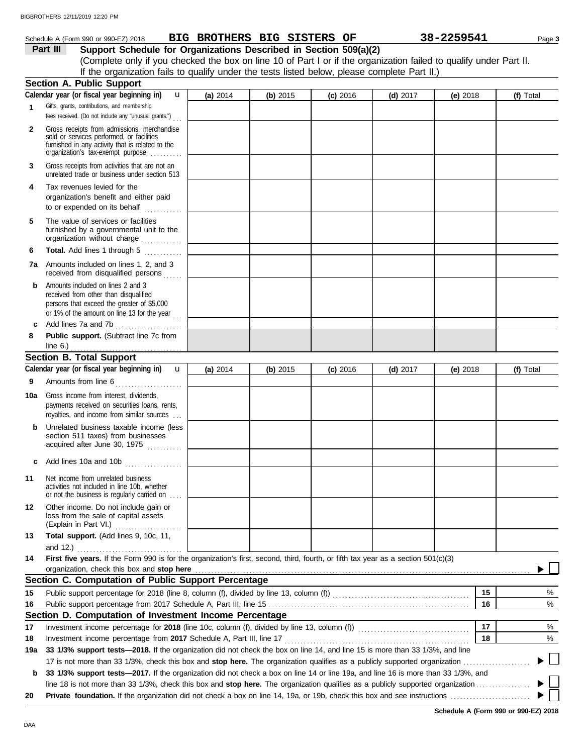## Schedule A (Form 990 or 990-EZ) 2018 **BIG BROTHERS BIG SISTERS OF** 38-2259541 Page 3

**Part III Support Schedule for Organizations Described in Section 509(a)(2)** (Complete only if you checked the box on line 10 of Part I or if the organization failed to qualify under Part II. If the organization fails to qualify under the tests listed below, please complete Part II.)

|              | <b>Section A. Public Support</b>                                                                                                                                                                                                                                 |          |            |            |            |          |           |
|--------------|------------------------------------------------------------------------------------------------------------------------------------------------------------------------------------------------------------------------------------------------------------------|----------|------------|------------|------------|----------|-----------|
|              | Calendar year (or fiscal year beginning in)<br>$\mathbf{u}$                                                                                                                                                                                                      | (a) 2014 | (b) $2015$ | $(c)$ 2016 | $(d)$ 2017 | (e) 2018 | (f) Total |
| $\mathbf 1$  | Gifts, grants, contributions, and membership                                                                                                                                                                                                                     |          |            |            |            |          |           |
|              | fees received. (Do not include any "unusual grants.")                                                                                                                                                                                                            |          |            |            |            |          |           |
| $\mathbf{2}$ | Gross receipts from admissions, merchandise                                                                                                                                                                                                                      |          |            |            |            |          |           |
|              | sold or services performed, or facilities<br>furnished in any activity that is related to the                                                                                                                                                                    |          |            |            |            |          |           |
|              | organization's tax-exempt purpose                                                                                                                                                                                                                                |          |            |            |            |          |           |
| 3            | Gross receipts from activities that are not an                                                                                                                                                                                                                   |          |            |            |            |          |           |
|              | unrelated trade or business under section 513                                                                                                                                                                                                                    |          |            |            |            |          |           |
| 4            | Tax revenues levied for the                                                                                                                                                                                                                                      |          |            |            |            |          |           |
|              | organization's benefit and either paid                                                                                                                                                                                                                           |          |            |            |            |          |           |
|              | to or expended on its behalf                                                                                                                                                                                                                                     |          |            |            |            |          |           |
| 5            | The value of services or facilities                                                                                                                                                                                                                              |          |            |            |            |          |           |
|              | furnished by a governmental unit to the<br>organization without charge                                                                                                                                                                                           |          |            |            |            |          |           |
|              |                                                                                                                                                                                                                                                                  |          |            |            |            |          |           |
| 6            | Total. Add lines 1 through 5<br>an an Dùbhaich an Dùbhaich an Dùbhaich an Dùbhaich an Dùbhaich an Dùbhaich an Dùbhaich an Dùbhaich an Dùbhaich<br>Bailte an Dùbhaich an Dùbhaich an Dùbhaich an Dùbhaich an Dùbhaich an Dùbhaich an Dùbhaich an Dùbhaich an Dùbh |          |            |            |            |          |           |
|              | <b>7a</b> Amounts included on lines 1, 2, and 3<br>received from disqualified persons                                                                                                                                                                            |          |            |            |            |          |           |
| b            | Amounts included on lines 2 and 3                                                                                                                                                                                                                                |          |            |            |            |          |           |
|              | received from other than disqualified                                                                                                                                                                                                                            |          |            |            |            |          |           |
|              | persons that exceed the greater of \$5,000<br>or 1% of the amount on line 13 for the year                                                                                                                                                                        |          |            |            |            |          |           |
| c            | Add lines 7a and 7b                                                                                                                                                                                                                                              |          |            |            |            |          |           |
| 8            | .<br>Public support. (Subtract line 7c from                                                                                                                                                                                                                      |          |            |            |            |          |           |
|              | line 6.) $\ldots$<br>.                                                                                                                                                                                                                                           |          |            |            |            |          |           |
|              | <b>Section B. Total Support</b>                                                                                                                                                                                                                                  |          |            |            |            |          |           |
|              | Calendar year (or fiscal year beginning in)<br>$\mathbf{u}$                                                                                                                                                                                                      | (a) 2014 | (b) $2015$ | $(c)$ 2016 | $(d)$ 2017 | (e) 2018 | (f) Total |
| 9            | Amounts from line 6                                                                                                                                                                                                                                              |          |            |            |            |          |           |
|              | Gross income from interest, dividends,                                                                                                                                                                                                                           |          |            |            |            |          |           |
| 10a          | payments received on securities loans, rents,                                                                                                                                                                                                                    |          |            |            |            |          |           |
|              | royalties, and income from similar sources                                                                                                                                                                                                                       |          |            |            |            |          |           |
| b            | Unrelated business taxable income (less                                                                                                                                                                                                                          |          |            |            |            |          |           |
|              | section 511 taxes) from businesses                                                                                                                                                                                                                               |          |            |            |            |          |           |
|              | acquired after June 30, 1975                                                                                                                                                                                                                                     |          |            |            |            |          |           |
| C            | Add lines 10a and 10b                                                                                                                                                                                                                                            |          |            |            |            |          |           |
|              |                                                                                                                                                                                                                                                                  |          |            |            |            |          |           |
| 11           | Net income from unrelated business<br>activities not included in line 10b, whether                                                                                                                                                                               |          |            |            |            |          |           |
|              | or not the business is regularly carried on                                                                                                                                                                                                                      |          |            |            |            |          |           |
| 12           | Other income. Do not include gain or                                                                                                                                                                                                                             |          |            |            |            |          |           |
|              | loss from the sale of capital assets                                                                                                                                                                                                                             |          |            |            |            |          |           |
|              | (Explain in Part VI.)<br>Total support. (Add lines 9, 10c, 11,                                                                                                                                                                                                   |          |            |            |            |          |           |
| 13           | and 12.)                                                                                                                                                                                                                                                         |          |            |            |            |          |           |
| 14           | First five years. If the Form 990 is for the organization's first, second, third, fourth, or fifth tax year as a section 501(c)(3)                                                                                                                               |          |            |            |            |          |           |
|              | organization, check this box and stop here                                                                                                                                                                                                                       |          |            |            |            |          |           |
|              | Section C. Computation of Public Support Percentage                                                                                                                                                                                                              |          |            |            |            |          |           |
| 15           |                                                                                                                                                                                                                                                                  |          |            |            |            | 15       | %         |
| 16           |                                                                                                                                                                                                                                                                  |          |            |            |            | 16       | %         |
|              | Section D. Computation of Investment Income Percentage                                                                                                                                                                                                           |          |            |            |            |          |           |
| 17           | Investment income percentage for 2018 (line 10c, column (f), divided by line 13, column (f)) [[[[[[[[[[[[[[[[[                                                                                                                                                   |          |            |            |            | 17       | %         |
| 18           |                                                                                                                                                                                                                                                                  |          |            |            |            | 18       | %         |
| 19a          | 33 1/3% support tests-2018. If the organization did not check the box on line 14, and line 15 is more than 33 1/3%, and line                                                                                                                                     |          |            |            |            |          |           |
|              | 17 is not more than 33 1/3%, check this box and stop here. The organization qualifies as a publicly supported organization.                                                                                                                                      |          |            |            |            |          |           |
| b            | 33 1/3% support tests-2017. If the organization did not check a box on line 14 or line 19a, and line 16 is more than 33 1/3%, and                                                                                                                                |          |            |            |            |          |           |
|              |                                                                                                                                                                                                                                                                  |          |            |            |            |          |           |
| 20           |                                                                                                                                                                                                                                                                  |          |            |            |            |          |           |
|              |                                                                                                                                                                                                                                                                  |          |            |            |            |          |           |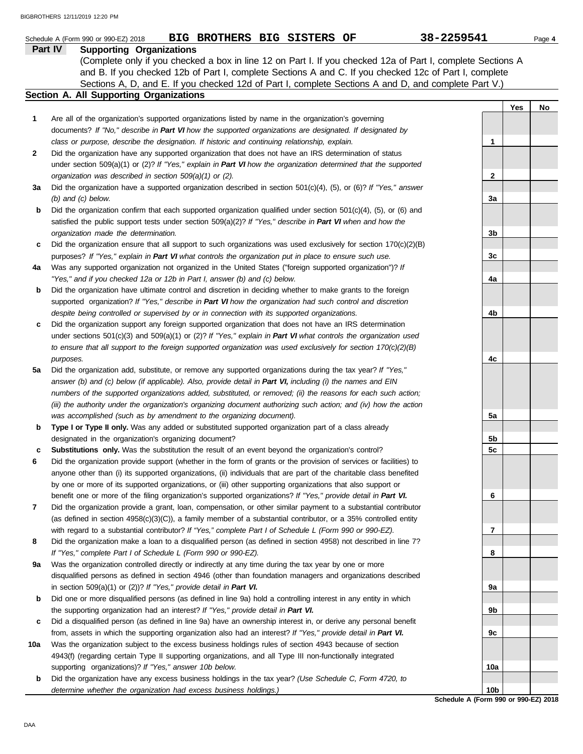|     | 38-2259541<br>BIG BROTHERS BIG SISTERS OF<br>Schedule A (Form 990 or 990-EZ) 2018                                                                                                                                     |                 |     | Page 4 |
|-----|-----------------------------------------------------------------------------------------------------------------------------------------------------------------------------------------------------------------------|-----------------|-----|--------|
|     | Part IV<br><b>Supporting Organizations</b>                                                                                                                                                                            |                 |     |        |
|     | (Complete only if you checked a box in line 12 on Part I. If you checked 12a of Part I, complete Sections A<br>and B. If you checked 12b of Part I, complete Sections A and C. If you checked 12c of Part I, complete |                 |     |        |
|     | Sections A, D, and E. If you checked 12d of Part I, complete Sections A and D, and complete Part V.)<br><b>Section A. All Supporting Organizations</b>                                                                |                 |     |        |
|     |                                                                                                                                                                                                                       |                 | Yes | No     |
| 1   | Are all of the organization's supported organizations listed by name in the organization's governing                                                                                                                  |                 |     |        |
|     | documents? If "No," describe in Part VI how the supported organizations are designated. If designated by<br>class or purpose, describe the designation. If historic and continuing relationship, explain.             | 1               |     |        |
| 2   | Did the organization have any supported organization that does not have an IRS determination of status                                                                                                                |                 |     |        |
|     | under section 509(a)(1) or (2)? If "Yes," explain in Part VI how the organization determined that the supported                                                                                                       |                 |     |        |
|     | organization was described in section 509(a)(1) or (2).                                                                                                                                                               | 2               |     |        |
| За  | Did the organization have a supported organization described in section $501(c)(4)$ , (5), or (6)? If "Yes," answer                                                                                                   |                 |     |        |
|     | $(b)$ and $(c)$ below.                                                                                                                                                                                                | За              |     |        |
| b   | Did the organization confirm that each supported organization qualified under section $501(c)(4)$ , $(5)$ , or $(6)$ and                                                                                              |                 |     |        |
|     | satisfied the public support tests under section 509(a)(2)? If "Yes," describe in Part VI when and how the                                                                                                            |                 |     |        |
|     | organization made the determination.                                                                                                                                                                                  | 3b              |     |        |
| c   | Did the organization ensure that all support to such organizations was used exclusively for section $170(c)(2)(B)$                                                                                                    |                 |     |        |
|     | purposes? If "Yes," explain in Part VI what controls the organization put in place to ensure such use.                                                                                                                | 3c              |     |        |
| 4a  | Was any supported organization not organized in the United States ("foreign supported organization")? If<br>"Yes," and if you checked 12a or 12b in Part I, answer (b) and (c) below.                                 | 4a              |     |        |
| b   | Did the organization have ultimate control and discretion in deciding whether to make grants to the foreign                                                                                                           |                 |     |        |
|     | supported organization? If "Yes," describe in Part VI how the organization had such control and discretion                                                                                                            |                 |     |        |
|     | despite being controlled or supervised by or in connection with its supported organizations.                                                                                                                          | 4b              |     |        |
| c   | Did the organization support any foreign supported organization that does not have an IRS determination                                                                                                               |                 |     |        |
|     | under sections $501(c)(3)$ and $509(a)(1)$ or (2)? If "Yes," explain in Part VI what controls the organization used                                                                                                   |                 |     |        |
|     | to ensure that all support to the foreign supported organization was used exclusively for section $170(c)(2)(B)$                                                                                                      |                 |     |        |
|     | purposes.                                                                                                                                                                                                             | 4c              |     |        |
| 5a  | Did the organization add, substitute, or remove any supported organizations during the tax year? If "Yes,"                                                                                                            |                 |     |        |
|     | answer (b) and (c) below (if applicable). Also, provide detail in Part VI, including (i) the names and EIN                                                                                                            |                 |     |        |
|     | numbers of the supported organizations added, substituted, or removed; (ii) the reasons for each such action;                                                                                                         |                 |     |        |
|     | (iii) the authority under the organization's organizing document authorizing such action; and (iv) how the action                                                                                                     |                 |     |        |
| b   | was accomplished (such as by amendment to the organizing document).<br>Type I or Type II only. Was any added or substituted supported organization part of a class already                                            | 5a              |     |        |
|     | designated in the organization's organizing document?                                                                                                                                                                 | 5b              |     |        |
| c   | Substitutions only. Was the substitution the result of an event beyond the organization's control?                                                                                                                    | 5c              |     |        |
| 6   | Did the organization provide support (whether in the form of grants or the provision of services or facilities) to                                                                                                    |                 |     |        |
|     | anyone other than (i) its supported organizations, (ii) individuals that are part of the charitable class benefited                                                                                                   |                 |     |        |
|     | by one or more of its supported organizations, or (iii) other supporting organizations that also support or                                                                                                           |                 |     |        |
|     | benefit one or more of the filing organization's supported organizations? If "Yes," provide detail in Part VI.                                                                                                        | 6               |     |        |
| 7   | Did the organization provide a grant, loan, compensation, or other similar payment to a substantial contributor                                                                                                       |                 |     |        |
|     | (as defined in section $4958(c)(3)(C)$ ), a family member of a substantial contributor, or a 35% controlled entity                                                                                                    |                 |     |        |
|     | with regard to a substantial contributor? If "Yes," complete Part I of Schedule L (Form 990 or 990-EZ).                                                                                                               | 7               |     |        |
| 8   | Did the organization make a loan to a disqualified person (as defined in section 4958) not described in line 7?                                                                                                       |                 |     |        |
| 9а  | If "Yes," complete Part I of Schedule L (Form 990 or 990-EZ).<br>Was the organization controlled directly or indirectly at any time during the tax year by one or more                                                | 8               |     |        |
|     | disqualified persons as defined in section 4946 (other than foundation managers and organizations described                                                                                                           |                 |     |        |
|     | in section $509(a)(1)$ or (2))? If "Yes," provide detail in Part VI.                                                                                                                                                  | 9а              |     |        |
| b   | Did one or more disqualified persons (as defined in line 9a) hold a controlling interest in any entity in which                                                                                                       |                 |     |        |
|     | the supporting organization had an interest? If "Yes," provide detail in Part VI.                                                                                                                                     | 9b              |     |        |
| c   | Did a disqualified person (as defined in line 9a) have an ownership interest in, or derive any personal benefit                                                                                                       |                 |     |        |
|     | from, assets in which the supporting organization also had an interest? If "Yes," provide detail in Part VI.                                                                                                          | 9с              |     |        |
| 10a | Was the organization subject to the excess business holdings rules of section 4943 because of section                                                                                                                 |                 |     |        |
|     | 4943(f) (regarding certain Type II supporting organizations, and all Type III non-functionally integrated                                                                                                             |                 |     |        |
|     | supporting organizations)? If "Yes," answer 10b below.                                                                                                                                                                | 10a             |     |        |
| b   | Did the organization have any excess business holdings in the tax year? (Use Schedule C, Form 4720, to                                                                                                                | 10 <sub>b</sub> |     |        |
|     | determine whether the organization had excess business holdings.)                                                                                                                                                     |                 |     |        |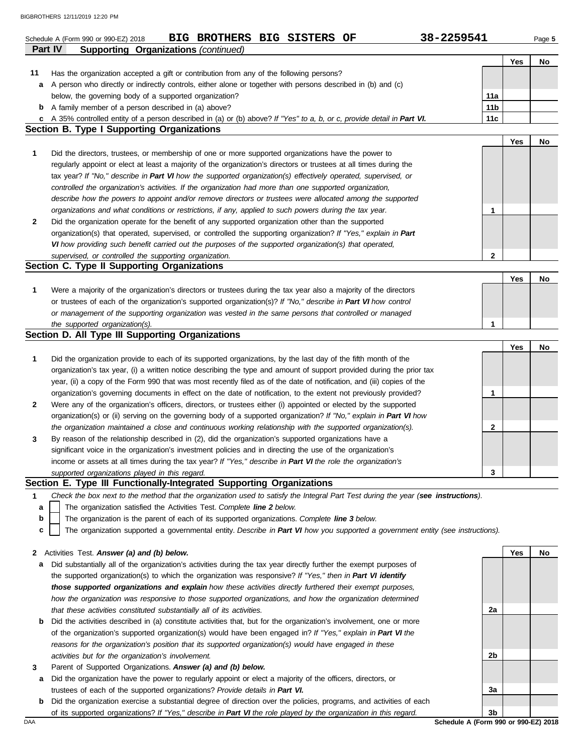|    | BIG BROTHERS BIG SISTERS OF<br>Schedule A (Form 990 or 990-EZ) 2018                                                                                                                                     | 38-2259541      |     | Page 5 |
|----|---------------------------------------------------------------------------------------------------------------------------------------------------------------------------------------------------------|-----------------|-----|--------|
|    | <b>Part IV</b><br>Supporting Organizations (continued)                                                                                                                                                  |                 |     |        |
|    |                                                                                                                                                                                                         |                 | Yes | No     |
| 11 | Has the organization accepted a gift or contribution from any of the following persons?<br>A person who directly or indirectly controls, either alone or together with persons described in (b) and (c) |                 |     |        |
| а  | below, the governing body of a supported organization?                                                                                                                                                  | 11a             |     |        |
|    | <b>b</b> A family member of a person described in (a) above?                                                                                                                                            | 11 <sub>b</sub> |     |        |
| c  | A 35% controlled entity of a person described in (a) or (b) above? If "Yes" to a, b, or c, provide detail in Part VI.                                                                                   | 11c             |     |        |
|    | <b>Section B. Type I Supporting Organizations</b>                                                                                                                                                       |                 |     |        |
|    |                                                                                                                                                                                                         |                 | Yes | No     |
| 1  | Did the directors, trustees, or membership of one or more supported organizations have the power to                                                                                                     |                 |     |        |
|    | regularly appoint or elect at least a majority of the organization's directors or trustees at all times during the                                                                                      |                 |     |        |
|    | tax year? If "No," describe in Part VI how the supported organization(s) effectively operated, supervised, or                                                                                           |                 |     |        |
|    | controlled the organization's activities. If the organization had more than one supported organization,                                                                                                 |                 |     |        |
|    | describe how the powers to appoint and/or remove directors or trustees were allocated among the supported                                                                                               |                 |     |        |
|    | organizations and what conditions or restrictions, if any, applied to such powers during the tax year.                                                                                                  | 1               |     |        |
| 2  | Did the organization operate for the benefit of any supported organization other than the supported                                                                                                     |                 |     |        |
|    | organization(s) that operated, supervised, or controlled the supporting organization? If "Yes," explain in Part                                                                                         |                 |     |        |
|    | VI how providing such benefit carried out the purposes of the supported organization(s) that operated,                                                                                                  |                 |     |        |
|    | supervised, or controlled the supporting organization.                                                                                                                                                  | $\mathbf{2}$    |     |        |
|    | Section C. Type II Supporting Organizations                                                                                                                                                             |                 |     |        |
|    |                                                                                                                                                                                                         |                 | Yes | No     |
| 1  | Were a majority of the organization's directors or trustees during the tax year also a majority of the directors                                                                                        |                 |     |        |
|    | or trustees of each of the organization's supported organization(s)? If "No," describe in Part VI how control                                                                                           |                 |     |        |
|    | or management of the supporting organization was vested in the same persons that controlled or managed                                                                                                  |                 |     |        |
|    | the supported organization(s).                                                                                                                                                                          | 1               |     |        |
|    | Section D. All Type III Supporting Organizations                                                                                                                                                        |                 |     |        |
|    |                                                                                                                                                                                                         |                 | Yes | No     |
| 1  | Did the organization provide to each of its supported organizations, by the last day of the fifth month of the                                                                                          |                 |     |        |
|    | organization's tax year, (i) a written notice describing the type and amount of support provided during the prior tax                                                                                   |                 |     |        |
|    | year, (ii) a copy of the Form 990 that was most recently filed as of the date of notification, and (iii) copies of the                                                                                  |                 |     |        |
|    | organization's governing documents in effect on the date of notification, to the extent not previously provided?                                                                                        | 1               |     |        |
| 2  | Were any of the organization's officers, directors, or trustees either (i) appointed or elected by the supported                                                                                        |                 |     |        |
|    | organization(s) or (ii) serving on the governing body of a supported organization? If "No," explain in Part VI how                                                                                      |                 |     |        |
|    | the organization maintained a close and continuous working relationship with the supported organization(s).                                                                                             | 2               |     |        |
| 3  | By reason of the relationship described in (2), did the organization's supported organizations have a                                                                                                   |                 |     |        |
|    | significant voice in the organization's investment policies and in directing the use of the organization's                                                                                              |                 |     |        |
|    | income or assets at all times during the tax year? If "Yes," describe in Part VI the role the organization's                                                                                            |                 |     |        |
|    | supported organizations played in this regard.                                                                                                                                                          | 3               |     |        |
|    | Section E. Type III Functionally-Integrated Supporting Organizations                                                                                                                                    |                 |     |        |
| 1  | Check the box next to the method that the organization used to satisfy the Integral Part Test during the year (see instructions).                                                                       |                 |     |        |
| a  | The organization satisfied the Activities Test. Complete line 2 below.                                                                                                                                  |                 |     |        |
| b  | The organization is the parent of each of its supported organizations. Complete line 3 below.                                                                                                           |                 |     |        |
| C  | The organization supported a governmental entity. Describe in Part VI how you supported a government entity (see instructions).                                                                         |                 |     |        |
|    |                                                                                                                                                                                                         |                 |     |        |
| 2  | Activities Test. Answer (a) and (b) below.                                                                                                                                                              |                 | Yes | No     |
| а  | Did substantially all of the organization's activities during the tax year directly further the exempt purposes of                                                                                      |                 |     |        |
|    | the supported organization(s) to which the organization was responsive? If "Yes," then in Part VI identify                                                                                              |                 |     |        |
|    | those supported organizations and explain how these activities directly furthered their exempt purposes,                                                                                                |                 |     |        |
|    | how the organization was responsive to those supported organizations, and how the organization determined                                                                                               |                 |     |        |
|    | that these activities constituted substantially all of its activities.                                                                                                                                  | 2a              |     |        |
| b  | Did the activities described in (a) constitute activities that, but for the organization's involvement, one or more                                                                                     |                 |     |        |
|    | of the organization's supported organization(s) would have been engaged in? If "Yes," explain in Part VI the                                                                                            |                 |     |        |
|    | reasons for the organization's position that its supported organization(s) would have engaged in these                                                                                                  |                 |     |        |
|    | activities but for the organization's involvement.                                                                                                                                                      | 2b              |     |        |
| 3  | Parent of Supported Organizations. Answer (a) and (b) below.                                                                                                                                            |                 |     |        |
| а  | Did the organization have the power to regularly appoint or elect a majority of the officers, directors, or                                                                                             |                 |     |        |
|    | trustees of each of the supported organizations? Provide details in Part VI.                                                                                                                            | 3a              |     |        |

| <b>DAA</b> |                                                                                                                     | Schedule A (Form 990 or 990-EZ) 2018 |                |  |
|------------|---------------------------------------------------------------------------------------------------------------------|--------------------------------------|----------------|--|
|            | of its supported organizations? If "Yes," describe in Part VI the role played by the organization in this regard.   |                                      | 3 <sub>b</sub> |  |
|            | Did the organization exercise a substantial degree of direction over the policies, programs, and activities of each |                                      |                |  |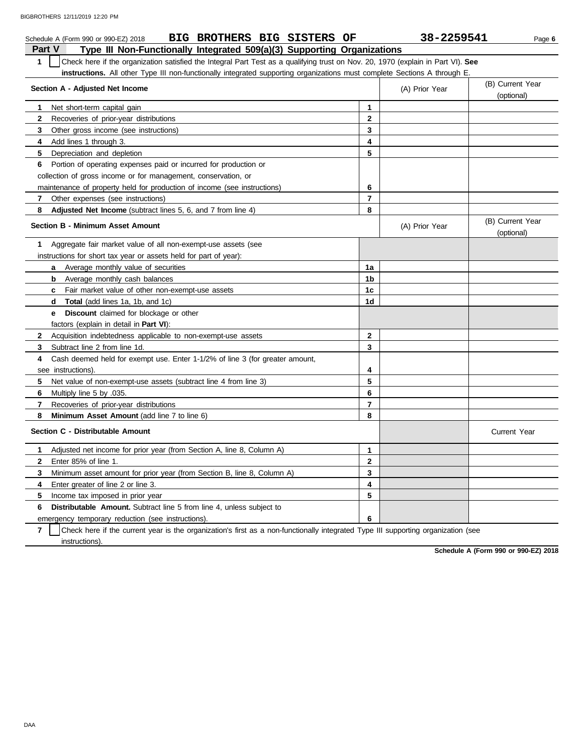|               | BIG BROTHERS BIG SISTERS OF<br>Schedule A (Form 990 or 990-EZ) 2018                                                              |                | 38-2259541     | Page 6                         |  |  |  |
|---------------|----------------------------------------------------------------------------------------------------------------------------------|----------------|----------------|--------------------------------|--|--|--|
| <b>Part V</b> | Type III Non-Functionally Integrated 509(a)(3) Supporting Organizations                                                          |                |                |                                |  |  |  |
| $\mathbf{1}$  | Check here if the organization satisfied the Integral Part Test as a qualifying trust on Nov. 20, 1970 (explain in Part VI). See |                |                |                                |  |  |  |
|               | <b>instructions.</b> All other Type III non-functionally integrated supporting organizations must complete Sections A through E. |                |                |                                |  |  |  |
|               | Section A - Adjusted Net Income                                                                                                  |                | (A) Prior Year | (B) Current Year<br>(optional) |  |  |  |
| 1             | Net short-term capital gain                                                                                                      | 1              |                |                                |  |  |  |
| 2             | Recoveries of prior-year distributions                                                                                           | $\mathbf{2}$   |                |                                |  |  |  |
| 3             | Other gross income (see instructions)                                                                                            | $\mathbf{3}$   |                |                                |  |  |  |
| 4             | Add lines 1 through 3.                                                                                                           | 4              |                |                                |  |  |  |
| 5             | Depreciation and depletion                                                                                                       | 5              |                |                                |  |  |  |
| 6             | Portion of operating expenses paid or incurred for production or                                                                 |                |                |                                |  |  |  |
|               | collection of gross income or for management, conservation, or                                                                   |                |                |                                |  |  |  |
|               | maintenance of property held for production of income (see instructions)                                                         | 6              |                |                                |  |  |  |
| 7             | Other expenses (see instructions)                                                                                                | $\overline{7}$ |                |                                |  |  |  |
| 8             | <b>Adjusted Net Income</b> (subtract lines 5, 6, and 7 from line 4)                                                              | 8              |                |                                |  |  |  |
|               | <b>Section B - Minimum Asset Amount</b>                                                                                          |                | (A) Prior Year | (B) Current Year<br>(optional) |  |  |  |
| 1             | Aggregate fair market value of all non-exempt-use assets (see                                                                    |                |                |                                |  |  |  |
|               | instructions for short tax year or assets held for part of year):                                                                |                |                |                                |  |  |  |
|               | <b>a</b> Average monthly value of securities                                                                                     | 1a             |                |                                |  |  |  |
|               | Average monthly cash balances<br>b                                                                                               | 1b             |                |                                |  |  |  |
|               | <b>c</b> Fair market value of other non-exempt-use assets                                                                        | 1 <sub>c</sub> |                |                                |  |  |  |
|               | <b>Total</b> (add lines 1a, 1b, and 1c)<br>d                                                                                     | 1d             |                |                                |  |  |  |
|               | Discount claimed for blockage or other<br>е                                                                                      |                |                |                                |  |  |  |
|               | factors (explain in detail in <b>Part VI)</b> :                                                                                  |                |                |                                |  |  |  |
| $\mathbf{2}$  | Acquisition indebtedness applicable to non-exempt-use assets                                                                     | $\mathbf{2}$   |                |                                |  |  |  |
| 3             | Subtract line 2 from line 1d.                                                                                                    | 3              |                |                                |  |  |  |
| 4             | Cash deemed held for exempt use. Enter 1-1/2% of line 3 (for greater amount,                                                     |                |                |                                |  |  |  |
|               | see instructions).                                                                                                               | 4              |                |                                |  |  |  |
| 5             | Net value of non-exempt-use assets (subtract line 4 from line 3)                                                                 | 5              |                |                                |  |  |  |
| 6             | Multiply line 5 by .035.                                                                                                         | 6              |                |                                |  |  |  |
| 7             | Recoveries of prior-year distributions                                                                                           | $\overline{7}$ |                |                                |  |  |  |
| 8             | Minimum Asset Amount (add line 7 to line 6)                                                                                      | 8              |                |                                |  |  |  |
|               | Section C - Distributable Amount                                                                                                 |                |                | Current Year                   |  |  |  |
| 1             | Adjusted net income for prior year (from Section A, line 8, Column A)                                                            | 1              |                |                                |  |  |  |
| $\mathbf{2}$  | Enter 85% of line 1.                                                                                                             | $\mathbf{2}$   |                |                                |  |  |  |
| 3             | Minimum asset amount for prior year (from Section B, line 8, Column A)                                                           | $\mathbf{3}$   |                |                                |  |  |  |
| 4             | Enter greater of line 2 or line 3.                                                                                               | 4              |                |                                |  |  |  |
| 5             | Income tax imposed in prior year                                                                                                 | 5              |                |                                |  |  |  |
| 6             | <b>Distributable Amount.</b> Subtract line 5 from line 4, unless subject to                                                      |                |                |                                |  |  |  |
|               | emergency temporary reduction (see instructions).                                                                                | 6              |                |                                |  |  |  |

**7** | Check here if the current year is the organization's first as a non-functionally integrated Type III supporting organization (see instructions).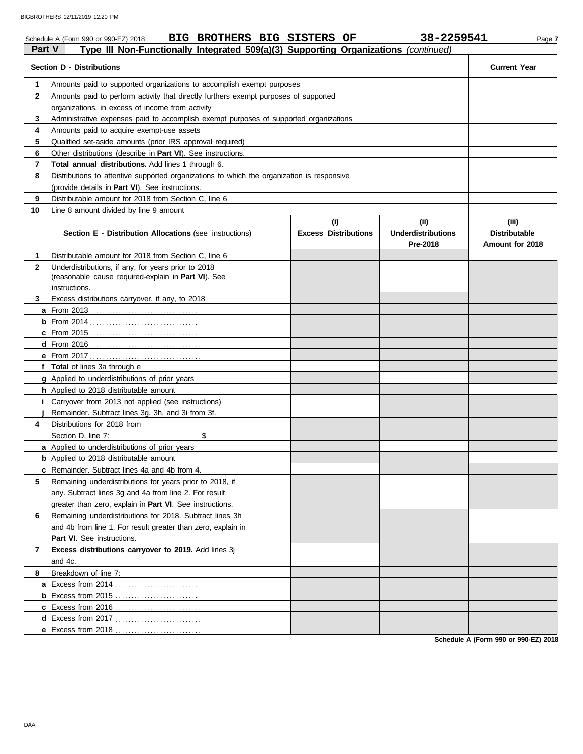|              | BIG BROTHERS BIG SISTERS OF<br>Schedule A (Form 990 or 990-EZ) 2018                                        |                             | 38-2259541                            | Page 7                                  |
|--------------|------------------------------------------------------------------------------------------------------------|-----------------------------|---------------------------------------|-----------------------------------------|
| Part V       | Type III Non-Functionally Integrated 509(a)(3) Supporting Organizations (continued)                        |                             |                                       |                                         |
|              | <b>Section D - Distributions</b>                                                                           |                             |                                       | <b>Current Year</b>                     |
| 1            | Amounts paid to supported organizations to accomplish exempt purposes                                      |                             |                                       |                                         |
| $\mathbf{2}$ | Amounts paid to perform activity that directly furthers exempt purposes of supported                       |                             |                                       |                                         |
|              | organizations, in excess of income from activity                                                           |                             |                                       |                                         |
| 3            | Administrative expenses paid to accomplish exempt purposes of supported organizations                      |                             |                                       |                                         |
| 4            | Amounts paid to acquire exempt-use assets                                                                  |                             |                                       |                                         |
| 5            | Qualified set-aside amounts (prior IRS approval required)                                                  |                             |                                       |                                         |
| 6            | Other distributions (describe in Part VI). See instructions.                                               |                             |                                       |                                         |
| 7            | Total annual distributions. Add lines 1 through 6.                                                         |                             |                                       |                                         |
| 8            | Distributions to attentive supported organizations to which the organization is responsive                 |                             |                                       |                                         |
|              | (provide details in Part VI). See instructions.                                                            |                             |                                       |                                         |
| 9            | Distributable amount for 2018 from Section C, line 6                                                       |                             |                                       |                                         |
| 10           | Line 8 amount divided by line 9 amount                                                                     |                             |                                       |                                         |
|              |                                                                                                            | (i)                         | (ii)                                  | (iii)                                   |
|              | <b>Section E - Distribution Allocations (see instructions)</b>                                             | <b>Excess Distributions</b> | <b>Underdistributions</b><br>Pre-2018 | <b>Distributable</b><br>Amount for 2018 |
| 1.           | Distributable amount for 2018 from Section C, line 6                                                       |                             |                                       |                                         |
| $\mathbf{2}$ | Underdistributions, if any, for years prior to 2018<br>(reasonable cause required-explain in Part VI). See |                             |                                       |                                         |
|              | instructions.                                                                                              |                             |                                       |                                         |
| 3            | Excess distributions carryover, if any, to 2018                                                            |                             |                                       |                                         |
|              |                                                                                                            |                             |                                       |                                         |
|              |                                                                                                            |                             |                                       |                                         |
|              |                                                                                                            |                             |                                       |                                         |
|              |                                                                                                            |                             |                                       |                                         |
|              |                                                                                                            |                             |                                       |                                         |
|              | f Total of lines 3a through e                                                                              |                             |                                       |                                         |
|              | g Applied to underdistributions of prior years                                                             |                             |                                       |                                         |
|              | h Applied to 2018 distributable amount                                                                     |                             |                                       |                                         |
|              | <i>i</i> Carryover from 2013 not applied (see instructions)                                                |                             |                                       |                                         |
|              | Remainder. Subtract lines 3g, 3h, and 3i from 3f.                                                          |                             |                                       |                                         |
| 4            | Distributions for 2018 from                                                                                |                             |                                       |                                         |
|              | Section D, line 7:<br>\$                                                                                   |                             |                                       |                                         |
|              | a Applied to underdistributions of prior years                                                             |                             |                                       |                                         |
|              | <b>b</b> Applied to 2018 distributable amount                                                              |                             |                                       |                                         |
|              | c Remainder. Subtract lines 4a and 4b from 4.                                                              |                             |                                       |                                         |
| 5            | Remaining underdistributions for years prior to 2018, if                                                   |                             |                                       |                                         |
|              | any. Subtract lines 3g and 4a from line 2. For result                                                      |                             |                                       |                                         |
|              | greater than zero, explain in Part VI. See instructions.                                                   |                             |                                       |                                         |
| 6            | Remaining underdistributions for 2018. Subtract lines 3h                                                   |                             |                                       |                                         |
|              | and 4b from line 1. For result greater than zero, explain in                                               |                             |                                       |                                         |
|              | Part VI. See instructions.                                                                                 |                             |                                       |                                         |
| 7            | Excess distributions carryover to 2019. Add lines 3j                                                       |                             |                                       |                                         |
|              | and 4c.                                                                                                    |                             |                                       |                                         |
| 8            | Breakdown of line 7:                                                                                       |                             |                                       |                                         |
|              | a Excess from 2014                                                                                         |                             |                                       |                                         |
|              |                                                                                                            |                             |                                       |                                         |
|              |                                                                                                            |                             |                                       |                                         |
|              |                                                                                                            |                             |                                       |                                         |
|              | e Excess from 2018                                                                                         |                             |                                       |                                         |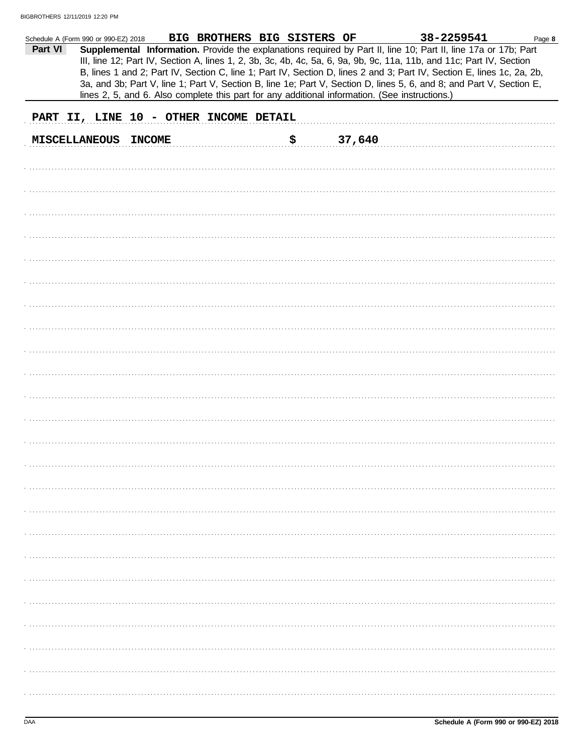| Schedule A (Form 990 or 990-EZ) 2018 |                      |               | BIG BROTHERS BIG SISTERS OF            |    |        | 38-2259541                                                                                                                                                                                                                                                                                                                                                        | Page 8 |
|--------------------------------------|----------------------|---------------|----------------------------------------|----|--------|-------------------------------------------------------------------------------------------------------------------------------------------------------------------------------------------------------------------------------------------------------------------------------------------------------------------------------------------------------------------|--------|
| Part VI                              |                      |               |                                        |    |        | Supplemental Information. Provide the explanations required by Part II, line 10; Part II, line 17a or 17b; Part<br>III, line 12; Part IV, Section A, lines 1, 2, 3b, 3c, 4b, 4c, 5a, 6, 9a, 9b, 9c, 11a, 11b, and 11c; Part IV, Section<br>B, lines 1 and 2; Part IV, Section C, line 1; Part IV, Section D, lines 2 and 3; Part IV, Section E, lines 1c, 2a, 2b, |        |
|                                      |                      |               |                                        |    |        | 3a, and 3b; Part V, line 1; Part V, Section B, line 1e; Part V, Section D, lines 5, 6, and 8; and Part V, Section E,<br>lines 2, 5, and 6. Also complete this part for any additional information. (See instructions.)                                                                                                                                            |        |
|                                      |                      |               | PART II, LINE 10 - OTHER INCOME DETAIL |    |        |                                                                                                                                                                                                                                                                                                                                                                   |        |
|                                      | <b>MISCELLANEOUS</b> | <b>INCOME</b> |                                        | ₿. | 37,640 |                                                                                                                                                                                                                                                                                                                                                                   |        |
|                                      |                      |               |                                        |    |        |                                                                                                                                                                                                                                                                                                                                                                   |        |
|                                      |                      |               |                                        |    |        |                                                                                                                                                                                                                                                                                                                                                                   |        |
|                                      |                      |               |                                        |    |        |                                                                                                                                                                                                                                                                                                                                                                   |        |
|                                      |                      |               |                                        |    |        |                                                                                                                                                                                                                                                                                                                                                                   |        |
|                                      |                      |               |                                        |    |        |                                                                                                                                                                                                                                                                                                                                                                   |        |
|                                      |                      |               |                                        |    |        |                                                                                                                                                                                                                                                                                                                                                                   |        |
|                                      |                      |               |                                        |    |        |                                                                                                                                                                                                                                                                                                                                                                   |        |
|                                      |                      |               |                                        |    |        |                                                                                                                                                                                                                                                                                                                                                                   |        |
|                                      |                      |               |                                        |    |        |                                                                                                                                                                                                                                                                                                                                                                   |        |
|                                      |                      |               |                                        |    |        |                                                                                                                                                                                                                                                                                                                                                                   |        |
|                                      |                      |               |                                        |    |        |                                                                                                                                                                                                                                                                                                                                                                   |        |
|                                      |                      |               |                                        |    |        |                                                                                                                                                                                                                                                                                                                                                                   |        |
|                                      |                      |               |                                        |    |        |                                                                                                                                                                                                                                                                                                                                                                   |        |
|                                      |                      |               |                                        |    |        |                                                                                                                                                                                                                                                                                                                                                                   |        |
|                                      |                      |               |                                        |    |        |                                                                                                                                                                                                                                                                                                                                                                   |        |
|                                      |                      |               |                                        |    |        |                                                                                                                                                                                                                                                                                                                                                                   |        |
|                                      |                      |               |                                        |    |        |                                                                                                                                                                                                                                                                                                                                                                   |        |
|                                      |                      |               |                                        |    |        |                                                                                                                                                                                                                                                                                                                                                                   |        |
|                                      |                      |               |                                        |    |        |                                                                                                                                                                                                                                                                                                                                                                   |        |
|                                      |                      |               |                                        |    |        |                                                                                                                                                                                                                                                                                                                                                                   |        |
|                                      |                      |               |                                        |    |        |                                                                                                                                                                                                                                                                                                                                                                   |        |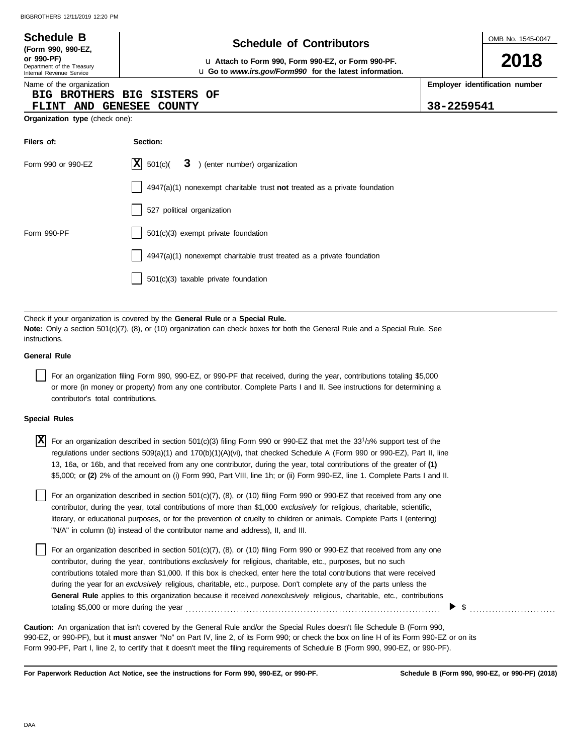| <b>Schedule B</b><br>(Form 990, 990-EZ,<br>or 990-PF)<br>Department of the Treasury<br>Internal Revenue Service | <b>Schedule of Contributors</b><br>La Attach to Form 990, Form 990-EZ, or Form 990-PF.<br>u Go to www.irs.gov/Form990 for the latest information. |            | OMB No. 1545-0047<br>2018      |
|-----------------------------------------------------------------------------------------------------------------|---------------------------------------------------------------------------------------------------------------------------------------------------|------------|--------------------------------|
| Name of the organization<br><b>BIG BROTHERS</b><br><b>FLINT AND</b>                                             | BIG<br><b>SISTERS</b><br>OF<br><b>GENESEE</b><br><b>COUNTY</b>                                                                                    | 38-2259541 | Employer identification number |
| Organization type (check one):                                                                                  |                                                                                                                                                   |            |                                |
| Filers of:                                                                                                      | Section:                                                                                                                                          |            |                                |
| Form 990 or 990-EZ                                                                                              | X <br>501(c)<br>3<br>) (enter number) organization                                                                                                |            |                                |
|                                                                                                                 | $4947(a)(1)$ nonexempt charitable trust not treated as a private foundation                                                                       |            |                                |
|                                                                                                                 | 527 political organization                                                                                                                        |            |                                |
| Form 990-PF                                                                                                     | 501(c)(3) exempt private foundation                                                                                                               |            |                                |
|                                                                                                                 | 4947(a)(1) nonexempt charitable trust treated as a private foundation                                                                             |            |                                |
|                                                                                                                 | 501(c)(3) taxable private foundation                                                                                                              |            |                                |
|                                                                                                                 |                                                                                                                                                   |            |                                |

Check if your organization is covered by the **General Rule** or a **Special Rule. Note:** Only a section 501(c)(7), (8), or (10) organization can check boxes for both the General Rule and a Special Rule. See instructions.

#### **General Rule**

For an organization filing Form 990, 990-EZ, or 990-PF that received, during the year, contributions totaling \$5,000 or more (in money or property) from any one contributor. Complete Parts I and II. See instructions for determining a contributor's total contributions.

#### **Special Rules**

| $\overline{X}$ For an organization described in section 501(c)(3) filing Form 990 or 990-EZ that met the 331/3% support test of the |
|-------------------------------------------------------------------------------------------------------------------------------------|
| regulations under sections 509(a)(1) and 170(b)(1)(A)(vi), that checked Schedule A (Form 990 or 990-EZ), Part II, line              |
| 13, 16a, or 16b, and that received from any one contributor, during the year, total contributions of the greater of (1)             |
| \$5,000; or (2) 2% of the amount on (i) Form 990, Part VIII, line 1h; or (ii) Form 990-EZ, line 1. Complete Parts I and II.         |

literary, or educational purposes, or for the prevention of cruelty to children or animals. Complete Parts I (entering) For an organization described in section  $501(c)(7)$ ,  $(8)$ , or  $(10)$  filing Form 990 or 990-EZ that received from any one contributor, during the year, total contributions of more than \$1,000 *exclusively* for religious, charitable, scientific, "N/A" in column (b) instead of the contributor name and address), II, and III.

For an organization described in section 501(c)(7), (8), or (10) filing Form 990 or 990-EZ that received from any one contributor, during the year, contributions *exclusively* for religious, charitable, etc., purposes, but no such contributions totaled more than \$1,000. If this box is checked, enter here the total contributions that were received during the year for an *exclusively* religious, charitable, etc., purpose. Don't complete any of the parts unless the **General Rule** applies to this organization because it received *nonexclusively* religious, charitable, etc., contributions totaling \$5,000 or more during the year . . . . . . . . . . . . . . . . . . . . . . . . . . . . . . . . . . . . . . . . . . . . . . . . . . . . . . . . . . . . . . . . . . . . . . . . . . . . . . . .

990-EZ, or 990-PF), but it **must** answer "No" on Part IV, line 2, of its Form 990; or check the box on line H of its Form 990-EZ or on its Form 990-PF, Part I, line 2, to certify that it doesn't meet the filing requirements of Schedule B (Form 990, 990-EZ, or 990-PF). **Caution:** An organization that isn't covered by the General Rule and/or the Special Rules doesn't file Schedule B (Form 990,

**For Paperwork Reduction Act Notice, see the instructions for Form 990, 990-EZ, or 990-PF.**

\$ . . . . . . . . . . . . . . . . . . . . . . . . . . .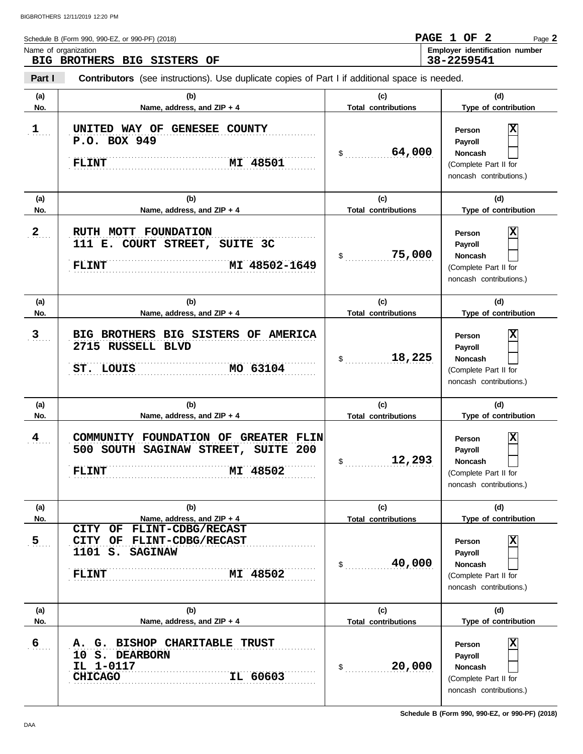| Schedule B (Form 990, 990-EZ, or 990-PF) (2018)                                                                 | PAGE 1 OF 2 |  | Page 2                         |
|-----------------------------------------------------------------------------------------------------------------|-------------|--|--------------------------------|
| Name of organization<br>BIG BROTHERS BIG SISTERS OF                                                             | 38-2259541  |  | Employer identification number |
| Part I<br><b>Contributors</b> (see instructions). Use duplicate copies of Part I if additional space is needed. |             |  |                                |

| (a)              | (b)                                                                                                                      | (c)                        | (d)                                                                                          |
|------------------|--------------------------------------------------------------------------------------------------------------------------|----------------------------|----------------------------------------------------------------------------------------------|
| No.              | Name, address, and ZIP + 4                                                                                               | <b>Total contributions</b> | Type of contribution                                                                         |
| $1$              | UNITED WAY OF GENESEE COUNTY<br>P.O. BOX 949<br>MI 48501<br><b>FLINT</b>                                                 | 64,000<br>$\sim$           | X<br>Person<br>Payroll<br><b>Noncash</b><br>(Complete Part II for<br>noncash contributions.) |
| (a)              | (b)                                                                                                                      | (c)                        | (d)                                                                                          |
| No.              | Name, address, and ZIP + 4                                                                                               | <b>Total contributions</b> | Type of contribution                                                                         |
| $\mathbf{2}$     | RUTH MOTT FOUNDATION<br>111 E. COURT STREET, SUITE 3C<br>MI 48502-1649<br><b>FLINT</b>                                   | 75,000<br>$\mathsf{\$}$    | Χ<br>Person<br>Payroll<br><b>Noncash</b><br>(Complete Part II for<br>noncash contributions.) |
| (a)              | (b)                                                                                                                      | (c)                        | (d)                                                                                          |
| No.              | Name, address, and ZIP + 4                                                                                               | <b>Total contributions</b> | Type of contribution                                                                         |
| $3$              | BIG BROTHERS BIG SISTERS OF AMERICA<br>2715 RUSSELL BLVD<br>MO 63104<br>ST. LOUIS                                        | 18,225<br>$\sim$           | X<br>Person<br>Payroll<br><b>Noncash</b><br>(Complete Part II for<br>noncash contributions.) |
| (a)              | (b)                                                                                                                      | (c)                        | (d)                                                                                          |
| No.              | Name, address, and ZIP + 4                                                                                               | <b>Total contributions</b> | Type of contribution                                                                         |
| 4                | COMMUNITY FOUNDATION OF GREATER FLIN<br>500 SOUTH SAGINAW STREET, SUITE 200<br>MI 48502<br><b>FLINT</b>                  | 12,293<br>$\sim$           | X<br>Person<br>Payroll<br><b>Noncash</b><br>(Complete Part II for<br>noncash contributions.) |
| (a)              | (b)                                                                                                                      | (c)                        | (d)                                                                                          |
| No.              | Name, address, and ZIP + 4                                                                                               | <b>Total contributions</b> | Type of contribution                                                                         |
| $\overline{5}$ . |                                                                                                                          |                            |                                                                                              |
|                  | FLINT-CDBG/RECAST<br>CITY<br>OF<br>CITY OF<br>FLINT-CDBG/RECAST<br>1101 S.<br><b>SAGINAW</b><br>MI 48502<br><b>FLINT</b> | 40,000<br>$\mathsf{\$}$    | X<br>Person<br>Payroll<br>Noncash<br>(Complete Part II for<br>noncash contributions.)        |
| (a)              | (b)                                                                                                                      | (c)                        | (d)                                                                                          |
| No.              | Name, address, and ZIP + 4                                                                                               | <b>Total contributions</b> | Type of contribution                                                                         |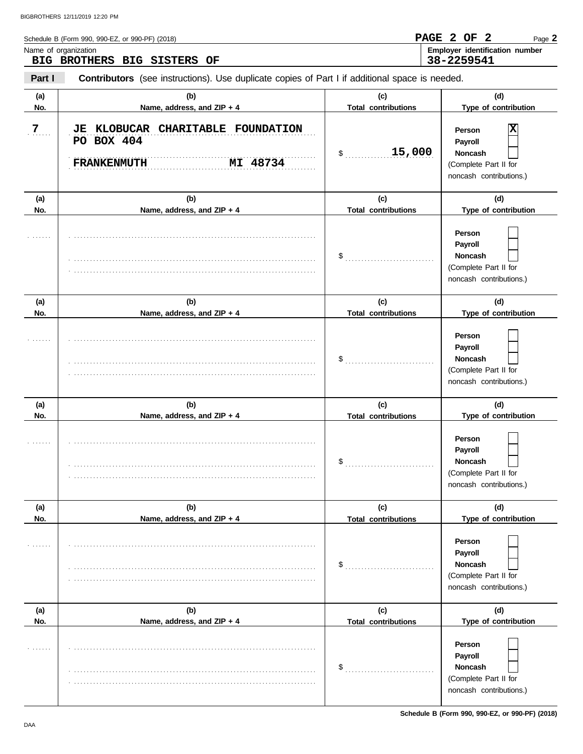| Name of organization<br>Part I<br>(a) | BIG BROTHERS BIG SISTERS OF                                                                    |                                                            |                                                                                              |
|---------------------------------------|------------------------------------------------------------------------------------------------|------------------------------------------------------------|----------------------------------------------------------------------------------------------|
|                                       |                                                                                                |                                                            | Employer identification number<br>38-2259541                                                 |
|                                       | Contributors (see instructions). Use duplicate copies of Part I if additional space is needed. |                                                            |                                                                                              |
| No.                                   | (b)<br>Name, address, and ZIP + 4                                                              | (c)<br><b>Total contributions</b>                          | (d)<br>Type of contribution                                                                  |
| 7                                     | JE KLOBUCAR CHARITABLE FOUNDATION<br>PO BOX 404<br>MI 48734<br><b>FRANKENMUTH</b>              | 15,000<br>\$                                               | x<br>Person<br>Payroll<br><b>Noncash</b><br>(Complete Part II for<br>noncash contributions.) |
| (a)<br>No.                            | (b)<br>Name, address, and ZIP + 4                                                              | (c)<br><b>Total contributions</b>                          | (d)<br>Type of contribution                                                                  |
|                                       |                                                                                                | $\$\ldots\ldots\ldots\ldots\ldots\ldots\ldots\ldots\ldots$ | Person<br>Payroll<br><b>Noncash</b><br>(Complete Part II for<br>noncash contributions.)      |
| (a)                                   | (b)                                                                                            | (c)                                                        | (d)                                                                                          |
| No.                                   | Name, address, and ZIP + 4                                                                     | <b>Total contributions</b>                                 | Type of contribution                                                                         |
|                                       |                                                                                                | \$                                                         | Person<br>Payroll<br>Noncash<br>(Complete Part II for<br>noncash contributions.)             |
| (a)                                   | (b)                                                                                            | (c)                                                        | (d)                                                                                          |
| No.                                   | Name, address, and ZIP + 4                                                                     | <b>Total contributions</b>                                 | Type of contribution                                                                         |

|     |                            | \$                         | Person<br>Payroll<br>Noncash<br>(Complete Part II for<br>noncash contributions.) |
|-----|----------------------------|----------------------------|----------------------------------------------------------------------------------|
| (a) | (b)                        | (c)                        | (d)                                                                              |
| No. | Name, address, and ZIP + 4 | <b>Total contributions</b> | Type of contribution                                                             |
|     |                            | \$                         | Person<br>Payroll<br>Noncash<br>(Complete Part II for<br>noncash contributions.) |
| (a) | (b)                        | (c)                        | (d)                                                                              |
| No. | Name, address, and ZIP + 4 | <b>Total contributions</b> | Type of contribution                                                             |
|     |                            | \$                         | Person<br>Payroll<br>Noncash<br>(Complete Part II for<br>noncash contributions.) |

**Schedule B (Form 990, 990-EZ, or 990-PF) (2018)**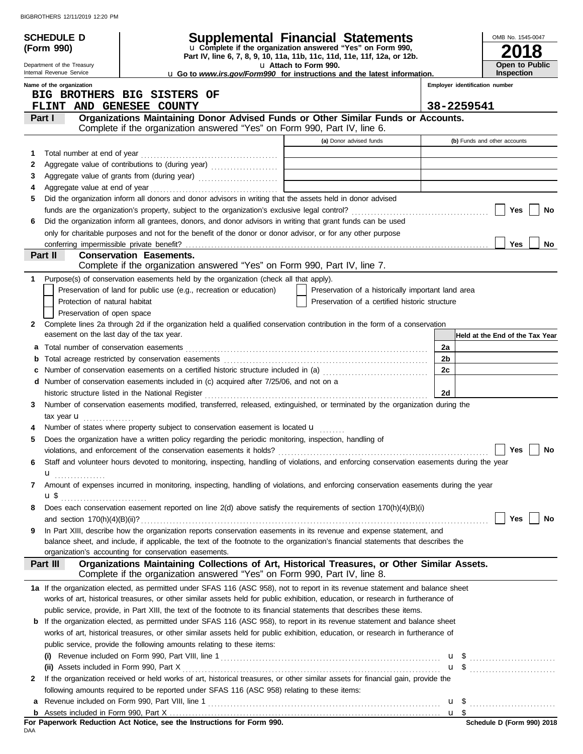|   | <b>SCHEDULE D</b>                                      |                                                                                             | Supplemental Financial Statements                                                                                                                                                                                                                         |    | OMB No. 1545-0047               |
|---|--------------------------------------------------------|---------------------------------------------------------------------------------------------|-----------------------------------------------------------------------------------------------------------------------------------------------------------------------------------------------------------------------------------------------------------|----|---------------------------------|
|   | (Form 990)                                             |                                                                                             | u Complete if the organization answered "Yes" on Form 990,                                                                                                                                                                                                |    |                                 |
|   |                                                        |                                                                                             | Part IV, line 6, 7, 8, 9, 10, 11a, 11b, 11c, 11d, 11e, 11f, 12a, or 12b.                                                                                                                                                                                  |    | <b>Open to Public</b>           |
|   | Department of the Treasury<br>Internal Revenue Service |                                                                                             | u Attach to Form 990.<br><b>u</b> Go to www.irs.gov/Form990 for instructions and the latest information.                                                                                                                                                  |    | <b>Inspection</b>               |
|   | Name of the organization                               |                                                                                             |                                                                                                                                                                                                                                                           |    | Employer identification number  |
|   |                                                        | BIG BROTHERS BIG SISTERS OF                                                                 |                                                                                                                                                                                                                                                           |    |                                 |
|   | <b>FLINT</b>                                           | <b>AND GENESEE COUNTY</b>                                                                   |                                                                                                                                                                                                                                                           |    | 38-2259541                      |
|   | Part I                                                 |                                                                                             | Organizations Maintaining Donor Advised Funds or Other Similar Funds or Accounts.<br>Complete if the organization answered "Yes" on Form 990, Part IV, line 6.                                                                                            |    |                                 |
|   |                                                        |                                                                                             | (a) Donor advised funds                                                                                                                                                                                                                                   |    | (b) Funds and other accounts    |
| 1 |                                                        |                                                                                             |                                                                                                                                                                                                                                                           |    |                                 |
| 2 |                                                        |                                                                                             |                                                                                                                                                                                                                                                           |    |                                 |
| 3 |                                                        |                                                                                             |                                                                                                                                                                                                                                                           |    |                                 |
| 4 |                                                        |                                                                                             |                                                                                                                                                                                                                                                           |    |                                 |
| 5 |                                                        |                                                                                             | Did the organization inform all donors and donor advisors in writing that the assets held in donor advised                                                                                                                                                |    |                                 |
|   |                                                        |                                                                                             |                                                                                                                                                                                                                                                           |    | Yes<br>No                       |
| 6 |                                                        |                                                                                             | Did the organization inform all grantees, donors, and donor advisors in writing that grant funds can be used                                                                                                                                              |    |                                 |
|   |                                                        |                                                                                             | only for charitable purposes and not for the benefit of the donor or donor advisor, or for any other purpose                                                                                                                                              |    |                                 |
|   |                                                        |                                                                                             |                                                                                                                                                                                                                                                           |    | Yes<br>No.                      |
|   | Part II                                                | <b>Conservation Easements.</b>                                                              | Complete if the organization answered "Yes" on Form 990, Part IV, line 7.                                                                                                                                                                                 |    |                                 |
| 1 |                                                        | Purpose(s) of conservation easements held by the organization (check all that apply).       |                                                                                                                                                                                                                                                           |    |                                 |
|   |                                                        | Preservation of land for public use (e.g., recreation or education)                         | Preservation of a historically important land area                                                                                                                                                                                                        |    |                                 |
|   | Protection of natural habitat                          |                                                                                             | Preservation of a certified historic structure                                                                                                                                                                                                            |    |                                 |
|   | Preservation of open space                             |                                                                                             |                                                                                                                                                                                                                                                           |    |                                 |
| 2 |                                                        |                                                                                             | Complete lines 2a through 2d if the organization held a qualified conservation contribution in the form of a conservation                                                                                                                                 |    |                                 |
|   | easement on the last day of the tax year.              |                                                                                             |                                                                                                                                                                                                                                                           |    | Held at the End of the Tax Year |
| а |                                                        |                                                                                             |                                                                                                                                                                                                                                                           | 2a |                                 |
|   |                                                        |                                                                                             |                                                                                                                                                                                                                                                           | 2b |                                 |
|   |                                                        |                                                                                             | Number of conservation easements on a certified historic structure included in (a) [[[[[ [ [ ]]]                                                                                                                                                          | 2c |                                 |
| d |                                                        | Number of conservation easements included in (c) acquired after 7/25/06, and not on a       |                                                                                                                                                                                                                                                           |    |                                 |
|   |                                                        |                                                                                             | historic structure listed in the National Register [111] Allen Contains and Allen Contains and Allen Contains and Allen Contains and Allen Contains and Allen Contains and Allen Contains and Allen Contains and Allen Contain                            | 2d |                                 |
| 3 |                                                        |                                                                                             | Number of conservation easements modified, transferred, released, extinguished, or terminated by the organization during the                                                                                                                              |    |                                 |
|   | tax year $\mathbf u$                                   |                                                                                             |                                                                                                                                                                                                                                                           |    |                                 |
|   |                                                        | Number of states where property subject to conservation easement is located u               |                                                                                                                                                                                                                                                           |    |                                 |
| 5 |                                                        |                                                                                             | Does the organization have a written policy regarding the periodic monitoring, inspection, handling of                                                                                                                                                    |    |                                 |
|   |                                                        |                                                                                             | violations, and enforcement of the conservation easements it holds? $\Box$ and $\Box$ are $\Box$ are $\Box$ are $\Box$ No                                                                                                                                 |    |                                 |
| 6 |                                                        |                                                                                             | Staff and volunteer hours devoted to monitoring, inspecting, handling of violations, and enforcing conservation easements during the year                                                                                                                 |    |                                 |
|   | $\mathbf{u}$                                           |                                                                                             |                                                                                                                                                                                                                                                           |    |                                 |
| 7 |                                                        |                                                                                             | Amount of expenses incurred in monitoring, inspecting, handling of violations, and enforcing conservation easements during the year                                                                                                                       |    |                                 |
|   | $\mathbf{u}$ \$                                        |                                                                                             |                                                                                                                                                                                                                                                           |    |                                 |
| 8 |                                                        |                                                                                             | Does each conservation easement reported on line 2(d) above satisfy the requirements of section 170(h)(4)(B)(i)                                                                                                                                           |    |                                 |
|   |                                                        |                                                                                             |                                                                                                                                                                                                                                                           |    | Yes<br>No                       |
| 9 |                                                        |                                                                                             | In Part XIII, describe how the organization reports conservation easements in its revenue and expense statement, and<br>balance sheet, and include, if applicable, the text of the footnote to the organization's financial statements that describes the |    |                                 |
|   |                                                        | organization's accounting for conservation easements.                                       |                                                                                                                                                                                                                                                           |    |                                 |
|   | Part III                                               |                                                                                             | Organizations Maintaining Collections of Art, Historical Treasures, or Other Similar Assets.                                                                                                                                                              |    |                                 |
|   |                                                        |                                                                                             | Complete if the organization answered "Yes" on Form 990, Part IV, line 8.                                                                                                                                                                                 |    |                                 |
|   |                                                        |                                                                                             | 1a If the organization elected, as permitted under SFAS 116 (ASC 958), not to report in its revenue statement and balance sheet                                                                                                                           |    |                                 |
|   |                                                        |                                                                                             | works of art, historical treasures, or other similar assets held for public exhibition, education, or research in furtherance of                                                                                                                          |    |                                 |
|   |                                                        |                                                                                             | public service, provide, in Part XIII, the text of the footnote to its financial statements that describes these items.                                                                                                                                   |    |                                 |
|   |                                                        |                                                                                             | <b>b</b> If the organization elected, as permitted under SFAS 116 (ASC 958), to report in its revenue statement and balance sheet                                                                                                                         |    |                                 |
|   |                                                        |                                                                                             | works of art, historical treasures, or other similar assets held for public exhibition, education, or research in furtherance of                                                                                                                          |    |                                 |
|   |                                                        | public service, provide the following amounts relating to these items:                      |                                                                                                                                                                                                                                                           |    |                                 |
|   |                                                        |                                                                                             |                                                                                                                                                                                                                                                           |    |                                 |
|   | (ii) Assets included in Form 990, Part X               |                                                                                             |                                                                                                                                                                                                                                                           |    | $u \$                           |
| 2 |                                                        |                                                                                             | If the organization received or held works of art, historical treasures, or other similar assets for financial gain, provide the                                                                                                                          |    |                                 |
|   |                                                        | following amounts required to be reported under SFAS 116 (ASC 958) relating to these items: |                                                                                                                                                                                                                                                           |    |                                 |
| а |                                                        |                                                                                             |                                                                                                                                                                                                                                                           |    |                                 |
|   |                                                        |                                                                                             |                                                                                                                                                                                                                                                           |    |                                 |

|     | For Paperwork Reduction Act Notice, see the Instructions for Form 990. |  |  |  |
|-----|------------------------------------------------------------------------|--|--|--|
| DAA |                                                                        |  |  |  |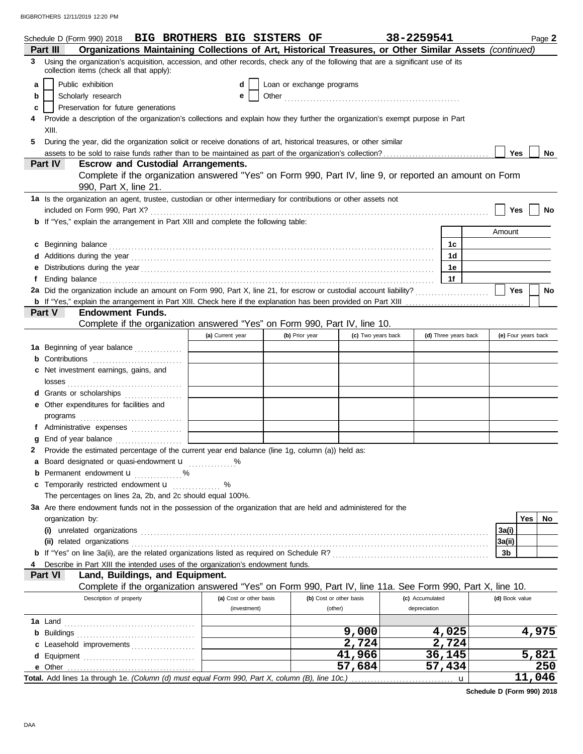|    | Schedule D (Form 990) 2018 BIG BROTHERS BIG SISTERS OF                                                                                                                                                                                                  |                         |                           |                         | 38-2259541      |                      |                | Page 2              |
|----|---------------------------------------------------------------------------------------------------------------------------------------------------------------------------------------------------------------------------------------------------------|-------------------------|---------------------------|-------------------------|-----------------|----------------------|----------------|---------------------|
| 3  | Organizations Maintaining Collections of Art, Historical Treasures, or Other Similar Assets (continued)<br>Part III<br>Using the organization's acquisition, accession, and other records, check any of the following that are a significant use of its |                         |                           |                         |                 |                      |                |                     |
|    | collection items (check all that apply):                                                                                                                                                                                                                |                         |                           |                         |                 |                      |                |                     |
| a  | Public exhibition                                                                                                                                                                                                                                       | d                       | Loan or exchange programs |                         |                 |                      |                |                     |
| b  | Scholarly research                                                                                                                                                                                                                                      | е                       |                           |                         |                 |                      |                |                     |
| c  | Preservation for future generations                                                                                                                                                                                                                     |                         |                           |                         |                 |                      |                |                     |
|    | Provide a description of the organization's collections and explain how they further the organization's exempt purpose in Part                                                                                                                          |                         |                           |                         |                 |                      |                |                     |
|    | XIII.                                                                                                                                                                                                                                                   |                         |                           |                         |                 |                      |                |                     |
| 5. | During the year, did the organization solicit or receive donations of art, historical treasures, or other similar                                                                                                                                       |                         |                           |                         |                 |                      |                |                     |
|    | <b>Escrow and Custodial Arrangements.</b><br>Part IV                                                                                                                                                                                                    |                         |                           |                         |                 |                      | <b>Yes</b>     | No                  |
|    | Complete if the organization answered "Yes" on Form 990, Part IV, line 9, or reported an amount on Form                                                                                                                                                 |                         |                           |                         |                 |                      |                |                     |
|    | 990, Part X, line 21.                                                                                                                                                                                                                                   |                         |                           |                         |                 |                      |                |                     |
|    | 1a Is the organization an agent, trustee, custodian or other intermediary for contributions or other assets not                                                                                                                                         |                         |                           |                         |                 |                      |                |                     |
|    |                                                                                                                                                                                                                                                         |                         |                           |                         |                 |                      | Yes            | No                  |
|    | b If "Yes," explain the arrangement in Part XIII and complete the following table:                                                                                                                                                                      |                         |                           |                         |                 |                      |                |                     |
|    |                                                                                                                                                                                                                                                         |                         |                           |                         |                 |                      | Amount         |                     |
| c  |                                                                                                                                                                                                                                                         |                         |                           |                         |                 | 1c                   |                |                     |
| d  |                                                                                                                                                                                                                                                         |                         |                           |                         |                 | 1d                   |                |                     |
| е  |                                                                                                                                                                                                                                                         |                         |                           |                         |                 | 1е                   |                |                     |
| f  | Ending balance continuous contracts and the contracts of the contracts of the contracts of the contracts of the contracts of the contracts of the contracts of the contracts of the contracts of the contracts of the contract                          |                         |                           |                         |                 | 1f                   |                |                     |
|    | 2a Did the organization include an amount on Form 990, Part X, line 21, for escrow or custodial account liability?                                                                                                                                      |                         |                           |                         |                 |                      | Yes            | No                  |
|    |                                                                                                                                                                                                                                                         |                         |                           |                         |                 |                      |                |                     |
|    | <b>Endowment Funds.</b><br>Part V                                                                                                                                                                                                                       |                         |                           |                         |                 |                      |                |                     |
|    | Complete if the organization answered "Yes" on Form 990, Part IV, line 10.                                                                                                                                                                              |                         |                           |                         |                 |                      |                |                     |
|    |                                                                                                                                                                                                                                                         | (a) Current year        | (b) Prior year            | (c) Two years back      |                 | (d) Three years back |                | (e) Four years back |
|    | 1a Beginning of year balance                                                                                                                                                                                                                            |                         |                           |                         |                 |                      |                |                     |
|    | <b>b</b> Contributions <b>contributions</b>                                                                                                                                                                                                             |                         |                           |                         |                 |                      |                |                     |
|    | c Net investment earnings, gains, and                                                                                                                                                                                                                   |                         |                           |                         |                 |                      |                |                     |
|    |                                                                                                                                                                                                                                                         |                         |                           |                         |                 |                      |                |                     |
|    | d Grants or scholarships<br>e Other expenditures for facilities and                                                                                                                                                                                     |                         |                           |                         |                 |                      |                |                     |
|    |                                                                                                                                                                                                                                                         |                         |                           |                         |                 |                      |                |                     |
|    | f Administrative expenses                                                                                                                                                                                                                               |                         |                           |                         |                 |                      |                |                     |
| g  |                                                                                                                                                                                                                                                         |                         |                           |                         |                 |                      |                |                     |
| 2  | Provide the estimated percentage of the current year end balance (line 1g, column (a)) held as:                                                                                                                                                         |                         |                           |                         |                 |                      |                |                     |
|    | a Board designated or quasi-endowment <b>u</b> %                                                                                                                                                                                                        |                         |                           |                         |                 |                      |                |                     |
| b  | Permanent endowment <b>u</b> %                                                                                                                                                                                                                          |                         |                           |                         |                 |                      |                |                     |
| c  | Temporarily restricted endowment <b>u</b>                                                                                                                                                                                                               | %                       |                           |                         |                 |                      |                |                     |
|    | The percentages on lines 2a, 2b, and 2c should equal 100%.                                                                                                                                                                                              |                         |                           |                         |                 |                      |                |                     |
|    | 3a Are there endowment funds not in the possession of the organization that are held and administered for the                                                                                                                                           |                         |                           |                         |                 |                      |                |                     |
|    | organization by:                                                                                                                                                                                                                                        |                         |                           |                         |                 |                      |                | Yes<br>No           |
|    |                                                                                                                                                                                                                                                         |                         |                           |                         |                 |                      | 3a(i)          |                     |
|    |                                                                                                                                                                                                                                                         |                         |                           |                         |                 |                      | 3a(ii)         |                     |
|    |                                                                                                                                                                                                                                                         |                         |                           |                         |                 |                      | 3b             |                     |
|    | Describe in Part XIII the intended uses of the organization's endowment funds.                                                                                                                                                                          |                         |                           |                         |                 |                      |                |                     |
|    | Part VI<br>Land, Buildings, and Equipment.                                                                                                                                                                                                              |                         |                           |                         |                 |                      |                |                     |
|    | Complete if the organization answered "Yes" on Form 990, Part IV, line 11a. See Form 990, Part X, line 10.                                                                                                                                              |                         |                           |                         |                 |                      |                |                     |
|    | Description of property                                                                                                                                                                                                                                 | (a) Cost or other basis |                           | (b) Cost or other basis | (c) Accumulated |                      | (d) Book value |                     |
|    |                                                                                                                                                                                                                                                         | (investment)            | (other)                   |                         | depreciation    |                      |                |                     |
|    |                                                                                                                                                                                                                                                         |                         |                           |                         |                 |                      |                |                     |
|    |                                                                                                                                                                                                                                                         |                         |                           | 9,000<br>2,724          |                 | 4,025<br>2,724       |                | 4,975               |
|    | c Leasehold improvements                                                                                                                                                                                                                                |                         |                           | 41,966                  |                 | 36,145               |                | 5,821               |
|    |                                                                                                                                                                                                                                                         |                         |                           | 57,684                  |                 | 57,434               |                | 250                 |
|    |                                                                                                                                                                                                                                                         |                         |                           |                         |                 | u                    |                | <u>11,046</u>       |
|    |                                                                                                                                                                                                                                                         |                         |                           |                         |                 |                      |                |                     |

**Schedule D (Form 990) 2018**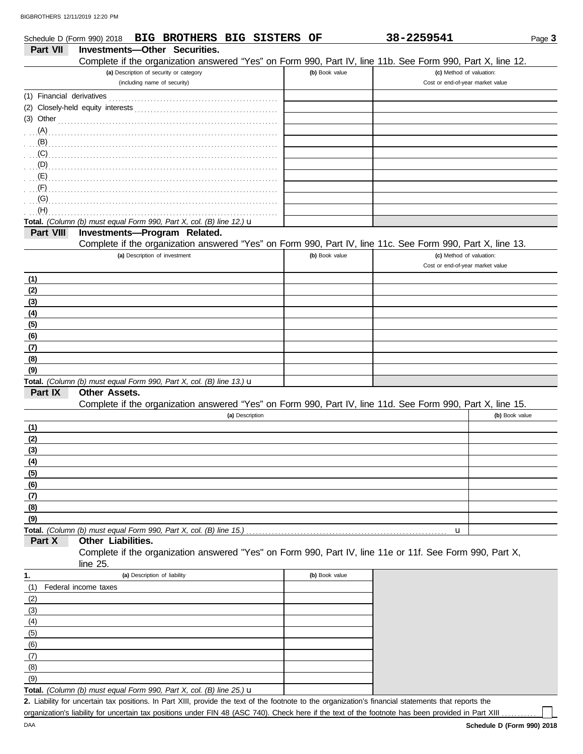|                           | <b>BIG BROTHERS BIG SISTERS</b><br>Schedule D (Form 990) 2018                                                        | OF             | 38-2259541                                                   | Page 3         |
|---------------------------|----------------------------------------------------------------------------------------------------------------------|----------------|--------------------------------------------------------------|----------------|
| Part VII                  | Investments-Other Securities.                                                                                        |                |                                                              |                |
|                           | Complete if the organization answered "Yes" on Form 990, Part IV, line 11b. See Form 990, Part X, line 12.           |                |                                                              |                |
|                           | (a) Description of security or category<br>(including name of security)                                              | (b) Book value | (c) Method of valuation:<br>Cost or end-of-year market value |                |
|                           |                                                                                                                      |                |                                                              |                |
| (1) Financial derivatives |                                                                                                                      |                |                                                              |                |
|                           |                                                                                                                      |                |                                                              |                |
| $(3)$ Other               |                                                                                                                      |                |                                                              |                |
|                           |                                                                                                                      |                |                                                              |                |
| (B)                       |                                                                                                                      |                |                                                              |                |
| (C)                       |                                                                                                                      |                |                                                              |                |
| (D)                       |                                                                                                                      |                |                                                              |                |
| (E)<br>(F)                |                                                                                                                      |                |                                                              |                |
| (G)                       |                                                                                                                      |                |                                                              |                |
| (H)                       |                                                                                                                      |                |                                                              |                |
|                           | Total. (Column (b) must equal Form 990, Part X, col. (B) line 12.) $\mathbf u$                                       |                |                                                              |                |
| Part VIII                 | Investments-Program Related.                                                                                         |                |                                                              |                |
|                           | Complete if the organization answered "Yes" on Form 990, Part IV, line 11c. See Form 990, Part X, line 13.           |                |                                                              |                |
|                           | (a) Description of investment                                                                                        | (b) Book value | (c) Method of valuation:                                     |                |
|                           |                                                                                                                      |                | Cost or end-of-year market value                             |                |
| (1)                       |                                                                                                                      |                |                                                              |                |
| (2)                       |                                                                                                                      |                |                                                              |                |
| (3)                       |                                                                                                                      |                |                                                              |                |
| (4)                       |                                                                                                                      |                |                                                              |                |
| (5)                       |                                                                                                                      |                |                                                              |                |
| (6)                       |                                                                                                                      |                |                                                              |                |
| (7)                       |                                                                                                                      |                |                                                              |                |
| (8)                       |                                                                                                                      |                |                                                              |                |
| (9)                       |                                                                                                                      |                |                                                              |                |
|                           | Total. (Column (b) must equal Form 990, Part X, col. (B) line 13.) u                                                 |                |                                                              |                |
| Part IX                   | Other Assets.                                                                                                        |                |                                                              |                |
|                           | Complete if the organization answered "Yes" on Form 990, Part IV, line 11d. See Form 990, Part X, line 15.           |                |                                                              |                |
|                           | (a) Description                                                                                                      |                |                                                              | (b) Book value |
| (1)                       |                                                                                                                      |                |                                                              |                |
| (2)                       |                                                                                                                      |                |                                                              |                |
| (3)                       |                                                                                                                      |                |                                                              |                |
| (4)                       |                                                                                                                      |                |                                                              |                |
| (5)                       |                                                                                                                      |                |                                                              |                |
| (6)                       |                                                                                                                      |                |                                                              |                |
| (7)                       |                                                                                                                      |                |                                                              |                |
| (8)                       |                                                                                                                      |                |                                                              |                |
| (9)                       |                                                                                                                      |                |                                                              |                |
|                           |                                                                                                                      |                | u                                                            |                |
| Part X                    | Other Liabilities.                                                                                                   |                |                                                              |                |
|                           | Complete if the organization answered "Yes" on Form 990, Part IV, line 11e or 11f. See Form 990, Part X,<br>line 25. |                |                                                              |                |
| 1.                        | (a) Description of liability                                                                                         | (b) Book value |                                                              |                |
| (1)                       | Federal income taxes                                                                                                 |                |                                                              |                |
| (2)                       |                                                                                                                      |                |                                                              |                |
| (3)                       |                                                                                                                      |                |                                                              |                |
| (4)                       |                                                                                                                      |                |                                                              |                |
| (5)                       |                                                                                                                      |                |                                                              |                |
| (6)                       |                                                                                                                      |                |                                                              |                |
| (7)                       |                                                                                                                      |                |                                                              |                |
| (8)                       |                                                                                                                      |                |                                                              |                |

Liability for uncertain tax positions. In Part XIII, provide the text of the footnote to the organization's financial statements that reports the **2.** organization's liability for uncertain tax positions under FIN 48 (ASC 740). Check here if the text of the footnote has been provided in Part XIII . **Total.** *(Column (b) must equal Form 990, Part X, col. (B) line 25.)* u

(9)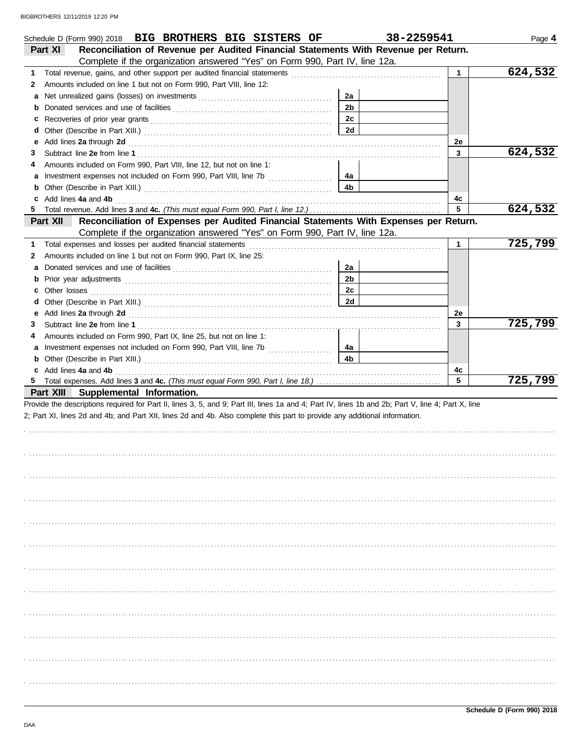| Schedule D (Form 990) 2018 BIG BROTHERS BIG SISTERS OF                                                                                                                                                                                  |                | 38-2259541   | Page 4  |
|-----------------------------------------------------------------------------------------------------------------------------------------------------------------------------------------------------------------------------------------|----------------|--------------|---------|
| Reconciliation of Revenue per Audited Financial Statements With Revenue per Return.<br>Part XI                                                                                                                                          |                |              |         |
| Complete if the organization answered "Yes" on Form 990, Part IV, line 12a.                                                                                                                                                             |                |              |         |
| 1                                                                                                                                                                                                                                       |                | $\mathbf{1}$ | 624,532 |
| Amounts included on line 1 but not on Form 990, Part VIII, line 12:<br>2                                                                                                                                                                |                |              |         |
| а                                                                                                                                                                                                                                       | 2a             |              |         |
| b                                                                                                                                                                                                                                       | 2 <sub>b</sub> |              |         |
| c                                                                                                                                                                                                                                       | 2c             |              |         |
| d                                                                                                                                                                                                                                       | <b>2d</b>      |              |         |
| Add lines 2a through 2d [11] Add [12] Add [12] Add lines 2a through 2d [12] Add lines 2a through 2d [12] Add [12] Add [12] Add [12] Add [12] Add [12] Add [12] Add [12] Add [12] Add [12] Add [12] Add [12] Add [12] Add [12]<br>е      |                | 2e           |         |
| 3                                                                                                                                                                                                                                       |                | 3            | 624,532 |
| Amounts included on Form 990, Part VIII, line 12, but not on line 1:                                                                                                                                                                    |                |              |         |
| а                                                                                                                                                                                                                                       | 4a             |              |         |
| b                                                                                                                                                                                                                                       | 4 <sub>b</sub> |              |         |
| c                                                                                                                                                                                                                                       |                | 4c           |         |
| 5                                                                                                                                                                                                                                       |                | 5            | 624,532 |
| Reconciliation of Expenses per Audited Financial Statements With Expenses per Return.<br>Part XII                                                                                                                                       |                |              |         |
| Complete if the organization answered "Yes" on Form 990, Part IV, line 12a.                                                                                                                                                             |                |              |         |
| 1                                                                                                                                                                                                                                       |                | $\mathbf{1}$ | 725,799 |
| Amounts included on line 1 but not on Form 990, Part IX, line 25:<br>2                                                                                                                                                                  |                |              |         |
| а                                                                                                                                                                                                                                       | 2a             |              |         |
|                                                                                                                                                                                                                                         | 2 <sub>b</sub> |              |         |
| b                                                                                                                                                                                                                                       | 2c             |              |         |
| Other losses<br>c                                                                                                                                                                                                                       | <b>2d</b>      |              |         |
| d                                                                                                                                                                                                                                       |                |              |         |
| Add lines 2a through 2d [11] Add [12] Add [12] Add lines 2a through 2d [12] Add lines 2a through 2d [12] Add [12] Add [12] Add [12] Add [12] Add [12] Add [12] Add [12] Add [12] Add [12] Add [12] Add [12] Add [12] Add [12]<br>е      |                | 2е           | 725,799 |
| 3                                                                                                                                                                                                                                       |                | $\mathbf{3}$ |         |
| Amounts included on Form 990, Part IX, line 25, but not on line 1:<br>4                                                                                                                                                                 |                |              |         |
| Investment expenses not included on Form 990, Part VIII, line 7b [<br>a                                                                                                                                                                 | 4a             |              |         |
| b                                                                                                                                                                                                                                       | 4 <sub>b</sub> |              |         |
| Add lines 4a and 4b <b>contract and 4b</b> and 10 minutes and 10 minutes and 10 minutes and 10 minutes and 10 minutes and 10 minutes and 10 minutes and 10 minutes and 10 minutes and 10 minutes and 10 minutes and 10 minutes and<br>c |                | 4c<br>5      |         |
| 5                                                                                                                                                                                                                                       |                |              | 725,799 |
| Part XIII Supplemental Information.                                                                                                                                                                                                     |                |              |         |
| Provide the descriptions required for Part II, lines 3, 5, and 9; Part III, lines 1a and 4; Part IV, lines 1b and 2b; Part V, line 4; Part X, line                                                                                      |                |              |         |
| 2; Part XI, lines 2d and 4b; and Part XII, lines 2d and 4b. Also complete this part to provide any additional information.                                                                                                              |                |              |         |
|                                                                                                                                                                                                                                         |                |              |         |
|                                                                                                                                                                                                                                         |                |              |         |
|                                                                                                                                                                                                                                         |                |              |         |
|                                                                                                                                                                                                                                         |                |              |         |
|                                                                                                                                                                                                                                         |                |              |         |
|                                                                                                                                                                                                                                         |                |              |         |
|                                                                                                                                                                                                                                         |                |              |         |
|                                                                                                                                                                                                                                         |                |              |         |
|                                                                                                                                                                                                                                         |                |              |         |
|                                                                                                                                                                                                                                         |                |              |         |
|                                                                                                                                                                                                                                         |                |              |         |
|                                                                                                                                                                                                                                         |                |              |         |
|                                                                                                                                                                                                                                         |                |              |         |
|                                                                                                                                                                                                                                         |                |              |         |
|                                                                                                                                                                                                                                         |                |              |         |
|                                                                                                                                                                                                                                         |                |              |         |
|                                                                                                                                                                                                                                         |                |              |         |
|                                                                                                                                                                                                                                         |                |              |         |
|                                                                                                                                                                                                                                         |                |              |         |
|                                                                                                                                                                                                                                         |                |              |         |
|                                                                                                                                                                                                                                         |                |              |         |
|                                                                                                                                                                                                                                         |                |              |         |
|                                                                                                                                                                                                                                         |                |              |         |
|                                                                                                                                                                                                                                         |                |              |         |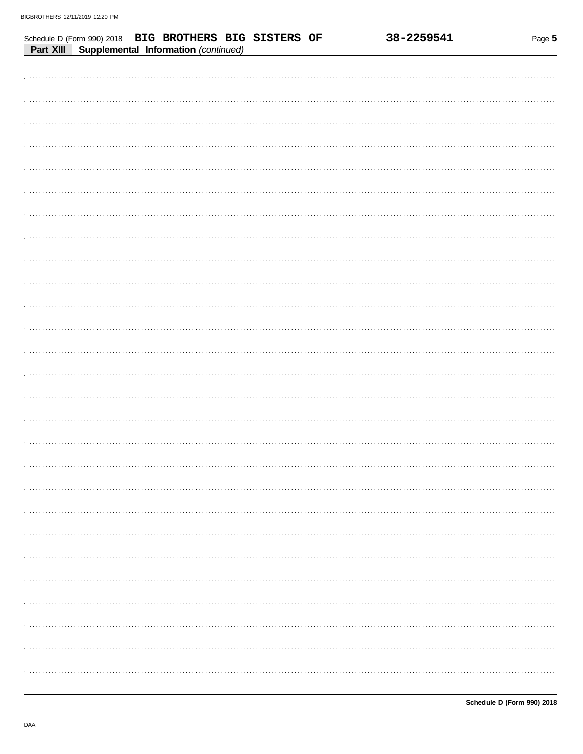|           |  |                                      | Schedule D (Form 990) 2018 BIG BROTHERS BIG SISTERS OF |  | 38-2259541 | Page 5 |
|-----------|--|--------------------------------------|--------------------------------------------------------|--|------------|--------|
| Part XIII |  | Supplemental Information (continued) |                                                        |  |            |        |
|           |  |                                      |                                                        |  |            |        |
|           |  |                                      |                                                        |  |            |        |
|           |  |                                      |                                                        |  |            |        |
|           |  |                                      |                                                        |  |            |        |
|           |  |                                      |                                                        |  |            |        |
|           |  |                                      |                                                        |  |            |        |
|           |  |                                      |                                                        |  |            |        |
|           |  |                                      |                                                        |  |            |        |
|           |  |                                      |                                                        |  |            |        |
|           |  |                                      |                                                        |  |            |        |
|           |  |                                      |                                                        |  |            |        |
|           |  |                                      |                                                        |  |            |        |
|           |  |                                      |                                                        |  |            |        |
|           |  |                                      |                                                        |  |            |        |
|           |  |                                      |                                                        |  |            |        |
|           |  |                                      |                                                        |  |            |        |
|           |  |                                      |                                                        |  |            |        |
|           |  |                                      |                                                        |  |            |        |
|           |  |                                      |                                                        |  |            |        |
|           |  |                                      |                                                        |  |            |        |
|           |  |                                      |                                                        |  |            |        |
|           |  |                                      |                                                        |  |            |        |
|           |  |                                      |                                                        |  |            |        |
|           |  |                                      |                                                        |  |            |        |
|           |  |                                      |                                                        |  |            |        |
|           |  |                                      |                                                        |  |            |        |
|           |  |                                      |                                                        |  |            |        |
|           |  |                                      |                                                        |  |            |        |
|           |  |                                      |                                                        |  |            |        |
|           |  |                                      |                                                        |  |            |        |
|           |  |                                      |                                                        |  |            |        |
|           |  |                                      |                                                        |  |            |        |
|           |  |                                      |                                                        |  |            |        |
|           |  |                                      |                                                        |  |            |        |
|           |  |                                      |                                                        |  |            |        |
|           |  |                                      |                                                        |  |            |        |
|           |  |                                      |                                                        |  |            |        |
|           |  |                                      |                                                        |  |            |        |
|           |  |                                      |                                                        |  |            |        |
|           |  |                                      |                                                        |  |            |        |
|           |  |                                      |                                                        |  |            |        |
|           |  |                                      |                                                        |  |            |        |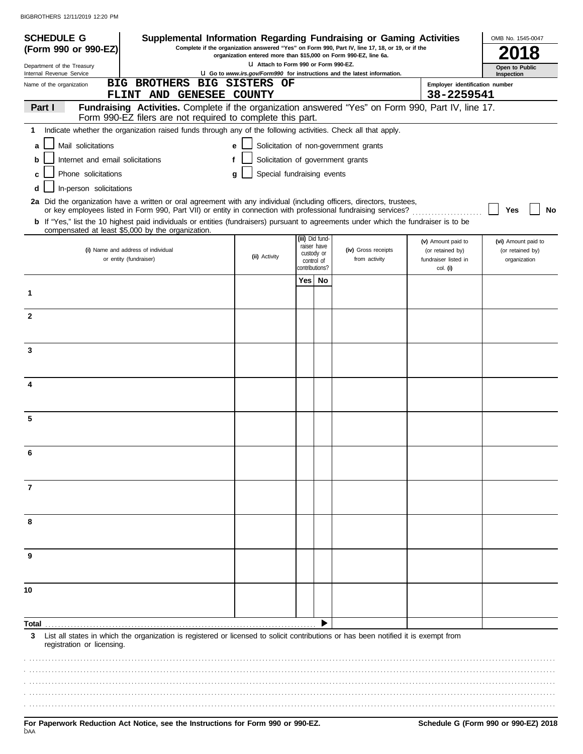| <b>SCHEDULE G</b>                                      | Supplemental Information Regarding Fundraising or Gaming Activities                                                                                                                        |                                                                  |                                |                                                                                                 |                                          | OMB No. 1545-0047                |
|--------------------------------------------------------|--------------------------------------------------------------------------------------------------------------------------------------------------------------------------------------------|------------------------------------------------------------------|--------------------------------|-------------------------------------------------------------------------------------------------|------------------------------------------|----------------------------------|
| (Form 990 or 990-EZ)                                   |                                                                                                                                                                                            | organization entered more than \$15,000 on Form 990-EZ, line 6a. |                                | Complete if the organization answered "Yes" on Form 990, Part IV, line 17, 18, or 19, or if the |                                          |                                  |
| Department of the Treasury<br>Internal Revenue Service |                                                                                                                                                                                            | LI Attach to Form 990 or Form 990-EZ.                            |                                | U Go to www.irs.gov/Form990 for instructions and the latest information.                        |                                          | Open to Public<br>Inspection     |
| Name of the organization                               | <b>BIG BROTHERS</b>                                                                                                                                                                        | <b>BIG SISTERS OF</b>                                            |                                |                                                                                                 | Employer identification number           |                                  |
|                                                        | FLINT AND GENESEE COUNTY                                                                                                                                                                   |                                                                  |                                |                                                                                                 | 38-2259541                               |                                  |
| Part I                                                 | Fundraising Activities. Complete if the organization answered "Yes" on Form 990, Part IV, line 17.<br>Form 990-EZ filers are not required to complete this part.                           |                                                                  |                                |                                                                                                 |                                          |                                  |
| 1                                                      | Indicate whether the organization raised funds through any of the following activities. Check all that apply.                                                                              |                                                                  |                                |                                                                                                 |                                          |                                  |
| Mail solicitations<br>a                                |                                                                                                                                                                                            | e                                                                |                                | Solicitation of non-government grants                                                           |                                          |                                  |
| Internet and email solicitations<br>b                  | f                                                                                                                                                                                          |                                                                  |                                | Solicitation of government grants                                                               |                                          |                                  |
| Phone solicitations<br>c                               |                                                                                                                                                                                            | Special fundraising events<br>q                                  |                                |                                                                                                 |                                          |                                  |
| In-person solicitations<br>d                           |                                                                                                                                                                                            |                                                                  |                                |                                                                                                 |                                          |                                  |
|                                                        | 2a Did the organization have a written or oral agreement with any individual (including officers, directors, trustees,                                                                     |                                                                  |                                |                                                                                                 |                                          |                                  |
|                                                        | or key employees listed in Form 990, Part VII) or entity in connection with professional fundraising services?                                                                             |                                                                  |                                |                                                                                                 |                                          | No<br>Yes                        |
|                                                        | b If "Yes," list the 10 highest paid individuals or entities (fundraisers) pursuant to agreements under which the fundraiser is to be<br>compensated at least \$5,000 by the organization. |                                                                  |                                |                                                                                                 |                                          |                                  |
|                                                        |                                                                                                                                                                                            |                                                                  | (iii) Did fund-<br>raiser have |                                                                                                 | (v) Amount paid to                       | (vi) Amount paid to              |
|                                                        | (i) Name and address of individual<br>or entity (fundraiser)                                                                                                                               | (ii) Activity                                                    | custody or<br>control of       | (iv) Gross receipts<br>from activity                                                            | (or retained by)<br>fundraiser listed in | (or retained by)<br>organization |
|                                                        |                                                                                                                                                                                            |                                                                  | contributions?                 |                                                                                                 | col. (i)                                 |                                  |
|                                                        |                                                                                                                                                                                            |                                                                  | Yes   No                       |                                                                                                 |                                          |                                  |
| 1                                                      |                                                                                                                                                                                            |                                                                  |                                |                                                                                                 |                                          |                                  |
| $\mathbf{2}$                                           |                                                                                                                                                                                            |                                                                  |                                |                                                                                                 |                                          |                                  |
|                                                        |                                                                                                                                                                                            |                                                                  |                                |                                                                                                 |                                          |                                  |
|                                                        |                                                                                                                                                                                            |                                                                  |                                |                                                                                                 |                                          |                                  |
| 3                                                      |                                                                                                                                                                                            |                                                                  |                                |                                                                                                 |                                          |                                  |
|                                                        |                                                                                                                                                                                            |                                                                  |                                |                                                                                                 |                                          |                                  |
| 4                                                      |                                                                                                                                                                                            |                                                                  |                                |                                                                                                 |                                          |                                  |
|                                                        |                                                                                                                                                                                            |                                                                  |                                |                                                                                                 |                                          |                                  |
|                                                        |                                                                                                                                                                                            |                                                                  |                                |                                                                                                 |                                          |                                  |
| 5                                                      |                                                                                                                                                                                            |                                                                  |                                |                                                                                                 |                                          |                                  |
|                                                        |                                                                                                                                                                                            |                                                                  |                                |                                                                                                 |                                          |                                  |
|                                                        |                                                                                                                                                                                            |                                                                  |                                |                                                                                                 |                                          |                                  |
|                                                        |                                                                                                                                                                                            |                                                                  |                                |                                                                                                 |                                          |                                  |
| 7                                                      |                                                                                                                                                                                            |                                                                  |                                |                                                                                                 |                                          |                                  |
|                                                        |                                                                                                                                                                                            |                                                                  |                                |                                                                                                 |                                          |                                  |
|                                                        |                                                                                                                                                                                            |                                                                  |                                |                                                                                                 |                                          |                                  |
| 8                                                      |                                                                                                                                                                                            |                                                                  |                                |                                                                                                 |                                          |                                  |
|                                                        |                                                                                                                                                                                            |                                                                  |                                |                                                                                                 |                                          |                                  |
| 9                                                      |                                                                                                                                                                                            |                                                                  |                                |                                                                                                 |                                          |                                  |
|                                                        |                                                                                                                                                                                            |                                                                  |                                |                                                                                                 |                                          |                                  |
|                                                        |                                                                                                                                                                                            |                                                                  |                                |                                                                                                 |                                          |                                  |
| 10                                                     |                                                                                                                                                                                            |                                                                  |                                |                                                                                                 |                                          |                                  |
|                                                        |                                                                                                                                                                                            |                                                                  |                                |                                                                                                 |                                          |                                  |
| Total                                                  |                                                                                                                                                                                            |                                                                  |                                |                                                                                                 |                                          |                                  |
| 3                                                      | List all states in which the organization is registered or licensed to solicit contributions or has been notified it is exempt from                                                        |                                                                  |                                |                                                                                                 |                                          |                                  |
| registration or licensing.                             |                                                                                                                                                                                            |                                                                  |                                |                                                                                                 |                                          |                                  |
|                                                        |                                                                                                                                                                                            |                                                                  |                                |                                                                                                 |                                          |                                  |
|                                                        |                                                                                                                                                                                            |                                                                  |                                |                                                                                                 |                                          |                                  |
|                                                        |                                                                                                                                                                                            |                                                                  |                                |                                                                                                 |                                          |                                  |
|                                                        |                                                                                                                                                                                            |                                                                  |                                |                                                                                                 |                                          |                                  |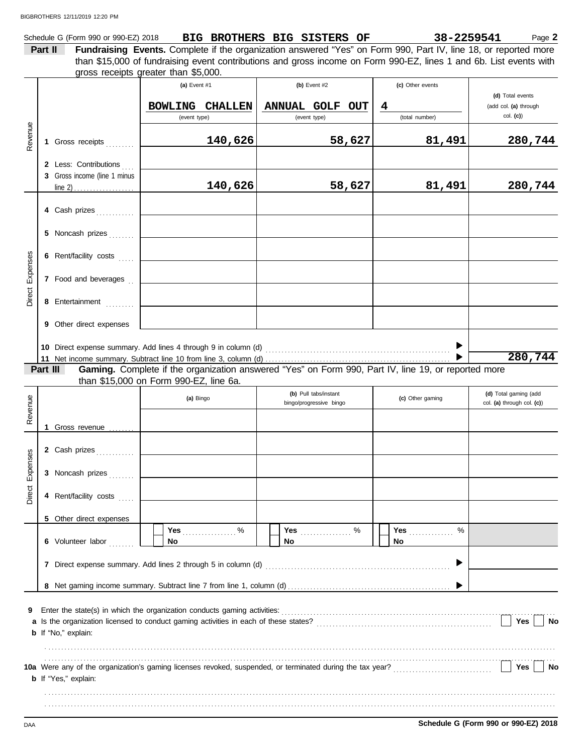|         | Schedule G (Form 990 or 990-EZ) 2018 | BIG BROTHERS BIG SISTERS OF |  | 38-2259541                                                                                                             | Page 2 |
|---------|--------------------------------------|-----------------------------|--|------------------------------------------------------------------------------------------------------------------------|--------|
| Part II |                                      |                             |  | <b>Fundraising Events.</b> Complete if the organization answered "Yes" on Form 990, Part IV, line 18, or reported more |        |
|         |                                      |                             |  | than \$15,000 of fundraising event contributions and gross income on Form 990-EZ, lines 1 and 6b. List events with     |        |
|         | arnes receints areater than \$5,000  |                             |  |                                                                                                                        |        |

|                 |          |                              | gross receipts greater than \$5,000.                                     |                                                                                                     |                     |                                                       |
|-----------------|----------|------------------------------|--------------------------------------------------------------------------|-----------------------------------------------------------------------------------------------------|---------------------|-------------------------------------------------------|
|                 |          |                              | (a) Event $#1$                                                           | (b) Event $#2$                                                                                      | (c) Other events    |                                                       |
|                 |          |                              | <b>BOWLING CHALLEN</b><br>(event type)                                   | ANNUAL GOLF OUT<br>(event type)                                                                     | 4<br>(total number) | (d) Total events<br>(add col. (a) through<br>col. (c) |
| Revenue         |          | 1 Gross receipts             | 140,626                                                                  | 58,627                                                                                              | 81,491              | 280,744                                               |
|                 |          | 2 Less: Contributions        |                                                                          |                                                                                                     |                     |                                                       |
|                 |          | 3 Gross income (line 1 minus | 140,626                                                                  | 58,627                                                                                              | 81,491              | 280,744                                               |
|                 |          |                              |                                                                          |                                                                                                     |                     |                                                       |
|                 |          | 4 Cash prizes                |                                                                          |                                                                                                     |                     |                                                       |
|                 |          | 5 Noncash prizes             |                                                                          |                                                                                                     |                     |                                                       |
|                 |          | 6 Rent/facility costs        |                                                                          |                                                                                                     |                     |                                                       |
| Direct Expenses |          | 7 Food and beverages         |                                                                          |                                                                                                     |                     |                                                       |
|                 |          | 8 Entertainment              |                                                                          |                                                                                                     |                     |                                                       |
|                 |          | 9 Other direct expenses      |                                                                          |                                                                                                     |                     |                                                       |
|                 |          |                              |                                                                          |                                                                                                     |                     | 280,744                                               |
|                 | Part III |                              |                                                                          | Gaming. Complete if the organization answered "Yes" on Form 990, Part IV, line 19, or reported more |                     |                                                       |
|                 |          |                              | than \$15,000 on Form 990-EZ, line 6a.                                   |                                                                                                     |                     |                                                       |
|                 |          |                              | (a) Bingo                                                                | (b) Pull tabs/instant<br>bingo/progressive bingo                                                    | (c) Other gaming    | (d) Total gaming (add<br>col. (a) through col. (c))   |
| Revenue         |          |                              |                                                                          |                                                                                                     |                     |                                                       |
|                 |          | 1 Gross revenue              |                                                                          |                                                                                                     |                     |                                                       |
|                 |          | 2 Cash prizes                |                                                                          |                                                                                                     |                     |                                                       |
| Direct Expenses |          | 3 Noncash prizes             |                                                                          |                                                                                                     |                     |                                                       |
|                 |          | 4 Rent/facility costs        |                                                                          |                                                                                                     |                     |                                                       |
|                 |          | 5 Other direct expenses      |                                                                          |                                                                                                     |                     |                                                       |
|                 |          | 6 Volunteer labor            | Yes $\sum_{n=1}^{n}$<br>$\sim$ %<br>No                                   | No                                                                                                  | Yes<br>$\%$<br>No   |                                                       |
|                 |          |                              | 7 Direct expense summary. Add lines 2 through 5 in column (d)            |                                                                                                     |                     |                                                       |
|                 |          |                              |                                                                          |                                                                                                     |                     |                                                       |
| 9               |          | <b>b</b> If "No," explain:   | Enter the state(s) in which the organization conducts gaming activities: |                                                                                                     |                     | Yes<br>No                                             |
|                 |          |                              |                                                                          |                                                                                                     |                     |                                                       |
|                 |          | <b>b</b> If "Yes," explain:  |                                                                          |                                                                                                     |                     | Yes<br>No                                             |
|                 |          |                              |                                                                          |                                                                                                     |                     |                                                       |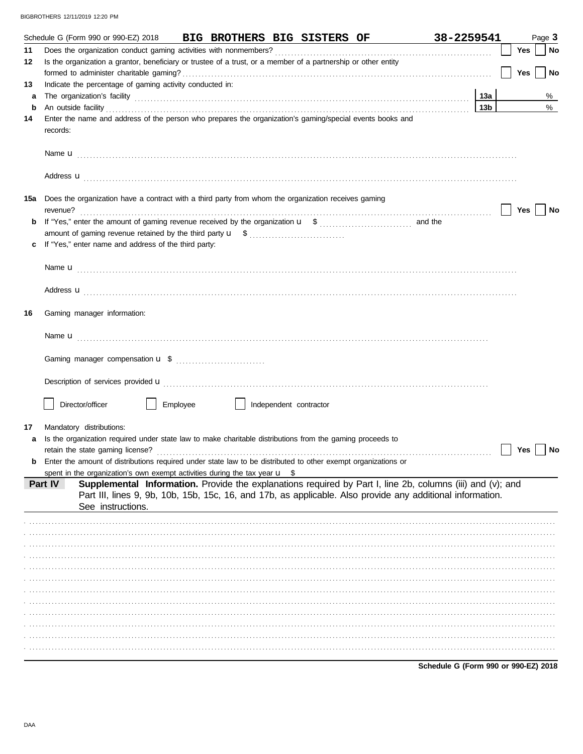|     | Schedule G (Form 990 or 990-EZ) 2018<br>BIG BROTHERS BIG SISTERS OF                                                                                                                                                                                      | 38-2259541                           |  |     | Page 3    |
|-----|----------------------------------------------------------------------------------------------------------------------------------------------------------------------------------------------------------------------------------------------------------|--------------------------------------|--|-----|-----------|
| 11  |                                                                                                                                                                                                                                                          |                                      |  | Yes | No        |
| 12  | Is the organization a grantor, beneficiary or trustee of a trust, or a member of a partnership or other entity                                                                                                                                           |                                      |  | Yes | <b>No</b> |
| 13  | Indicate the percentage of gaming activity conducted in:                                                                                                                                                                                                 |                                      |  |     |           |
| a   | The organization's facility encourance and contact the organization's facility encourance and a set of the organization's facility                                                                                                                       | 13a                                  |  |     | %         |
| b   | An outside facility <b>contract and the contract of a contract and a</b> contract of a contract of a contract of a contract of a contract of a contract of a contract of a contract of a contract of a contract of a contract of a                       | 13b                                  |  |     | %         |
| 14  | Enter the name and address of the person who prepares the organization's gaming/special events books and<br>records:                                                                                                                                     |                                      |  |     |           |
|     |                                                                                                                                                                                                                                                          |                                      |  |     |           |
|     | Address <b>u</b>                                                                                                                                                                                                                                         |                                      |  |     |           |
| 15a | Does the organization have a contract with a third party from whom the organization receives gaming                                                                                                                                                      |                                      |  | Yes | No        |
| b   |                                                                                                                                                                                                                                                          |                                      |  |     |           |
| c   | If "Yes," enter name and address of the third party:                                                                                                                                                                                                     |                                      |  |     |           |
|     |                                                                                                                                                                                                                                                          |                                      |  |     |           |
|     | Address <b>u</b>                                                                                                                                                                                                                                         |                                      |  |     |           |
| 16  | Gaming manager information:                                                                                                                                                                                                                              |                                      |  |     |           |
|     |                                                                                                                                                                                                                                                          |                                      |  |     |           |
|     |                                                                                                                                                                                                                                                          |                                      |  |     |           |
|     |                                                                                                                                                                                                                                                          |                                      |  |     |           |
|     | Director/officer<br>Employee<br>Independent contractor                                                                                                                                                                                                   |                                      |  |     |           |
| 17  | Mandatory distributions:                                                                                                                                                                                                                                 |                                      |  |     |           |
| a   | Is the organization required under state law to make charitable distributions from the gaming proceeds to                                                                                                                                                |                                      |  |     |           |
|     |                                                                                                                                                                                                                                                          |                                      |  | Yes | No        |
| b   | Enter the amount of distributions required under state law to be distributed to other exempt organizations or                                                                                                                                            |                                      |  |     |           |
|     | spent in the organization's own exempt activities during the tax year $\mathbf{u}$ \$                                                                                                                                                                    |                                      |  |     |           |
|     | Supplemental Information. Provide the explanations required by Part I, line 2b, columns (iii) and (v); and<br>Part IV<br>Part III, lines 9, 9b, 10b, 15b, 15c, 16, and 17b, as applicable. Also provide any additional information.<br>See instructions. |                                      |  |     |           |
|     |                                                                                                                                                                                                                                                          |                                      |  |     |           |
|     |                                                                                                                                                                                                                                                          |                                      |  |     |           |
|     |                                                                                                                                                                                                                                                          |                                      |  |     |           |
|     |                                                                                                                                                                                                                                                          |                                      |  |     |           |
|     |                                                                                                                                                                                                                                                          |                                      |  |     |           |
|     |                                                                                                                                                                                                                                                          |                                      |  |     |           |
|     |                                                                                                                                                                                                                                                          |                                      |  |     |           |
|     |                                                                                                                                                                                                                                                          |                                      |  |     |           |
|     |                                                                                                                                                                                                                                                          |                                      |  |     |           |
|     |                                                                                                                                                                                                                                                          |                                      |  |     |           |
|     |                                                                                                                                                                                                                                                          |                                      |  |     |           |
|     |                                                                                                                                                                                                                                                          | Schedule G (Form 990 or 990-EZ) 2018 |  |     |           |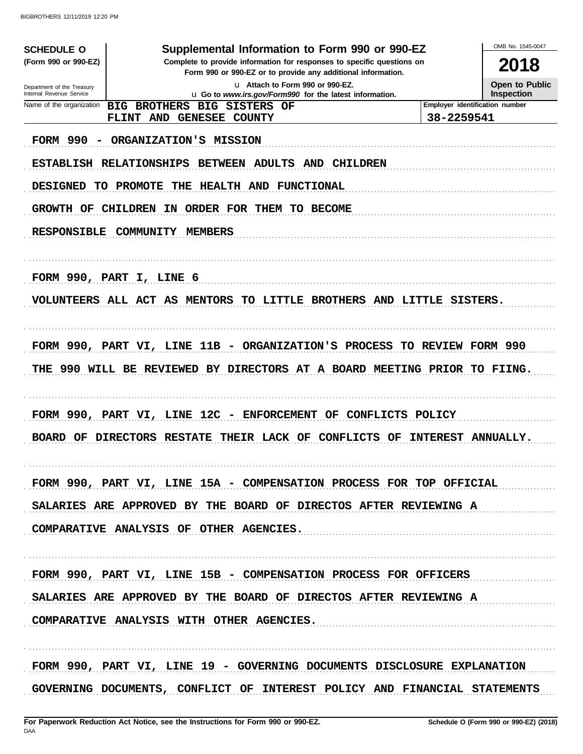| <b>SCHEDULE O</b>          | Supplemental Information to Form 990 or 990-EZ                                                                                         |                                | OMB No. 1545-0047     |
|----------------------------|----------------------------------------------------------------------------------------------------------------------------------------|--------------------------------|-----------------------|
| (Form 990 or 990-EZ)       | Complete to provide information for responses to specific questions on<br>Form 990 or 990-EZ or to provide any additional information. |                                | 2018                  |
| Department of the Treasury | u Attach to Form 990 or 990-EZ.                                                                                                        |                                | <b>Open to Public</b> |
| Internal Revenue Service   | u Go to www.irs.gov/Form990 for the latest information.                                                                                |                                | <b>Inspection</b>     |
| Name of the organization   | BIG BROTHERS BIG SISTERS OF                                                                                                            | Employer identification number |                       |
|                            | FLINT AND GENESEE COUNTY                                                                                                               | 38-2259541                     |                       |
|                            | FORM 990 - ORGANIZATION'S MISSION                                                                                                      |                                |                       |
|                            | ESTABLISH RELATIONSHIPS BETWEEN ADULTS AND CHILDREN                                                                                    |                                |                       |
| <b>DESIGNED</b>            | TO PROMOTE THE HEALTH AND FUNCTIONAL                                                                                                   |                                |                       |
|                            | GROWTH OF CHILDREN IN ORDER FOR THEM TO BECOME                                                                                         |                                |                       |
| <b>RESPONSIBLE</b>         | <b>COMMUNITY</b><br>MEMBERS                                                                                                            |                                |                       |
|                            |                                                                                                                                        |                                |                       |
|                            | FORM 990, PART I, LINE 6                                                                                                               |                                |                       |
|                            |                                                                                                                                        |                                |                       |
|                            | VOLUNTEERS ALL ACT AS MENTORS TO LITTLE BROTHERS AND LITTLE SISTERS.                                                                   |                                |                       |
|                            |                                                                                                                                        |                                |                       |
|                            | FORM 990, PART VI, LINE 11B - ORGANIZATION'S PROCESS TO REVIEW FORM 990                                                                |                                |                       |
|                            | THE 990 WILL BE REVIEWED BY DIRECTORS AT A BOARD MEETING PRIOR TO FIING.                                                               |                                |                       |
|                            |                                                                                                                                        |                                |                       |
|                            | FORM 990, PART VI, LINE 12C - ENFORCEMENT<br>OF CONFLICTS POLICY                                                                       |                                |                       |
|                            |                                                                                                                                        |                                |                       |
|                            | BOARD OF DIRECTORS RESTATE<br><b>THEIR LACK OF</b><br>CONFLICTS OF                                                                     | INTEREST ANNUALLY.             |                       |
|                            |                                                                                                                                        |                                |                       |
|                            | FORM 990, PART VI, LINE 15A - COMPENSATION PROCESS FOR TOP OFFICIAL                                                                    |                                |                       |
|                            | SALARIES ARE APPROVED BY THE BOARD OF DIRECTOS AFTER REVIEWING A                                                                       |                                |                       |
|                            | COMPARATIVE ANALYSIS OF OTHER AGENCIES.                                                                                                |                                |                       |
|                            |                                                                                                                                        |                                |                       |
|                            | FORM 990, PART VI, LINE 15B - COMPENSATION PROCESS FOR OFFICERS                                                                        |                                |                       |
|                            | SALARIES ARE APPROVED BY THE BOARD OF DIRECTOS AFTER REVIEWING A                                                                       |                                |                       |
|                            |                                                                                                                                        |                                |                       |
|                            | COMPARATIVE ANALYSIS WITH OTHER AGENCIES.                                                                                              |                                |                       |
|                            |                                                                                                                                        |                                |                       |
|                            | FORM 990, PART VI, LINE 19 - GOVERNING DOCUMENTS DISCLOSURE EXPLANATION                                                                |                                |                       |
|                            | GOVERNING DOCUMENTS, CONFLICT OF INTEREST POLICY AND FINANCIAL STATEMENTS                                                              |                                |                       |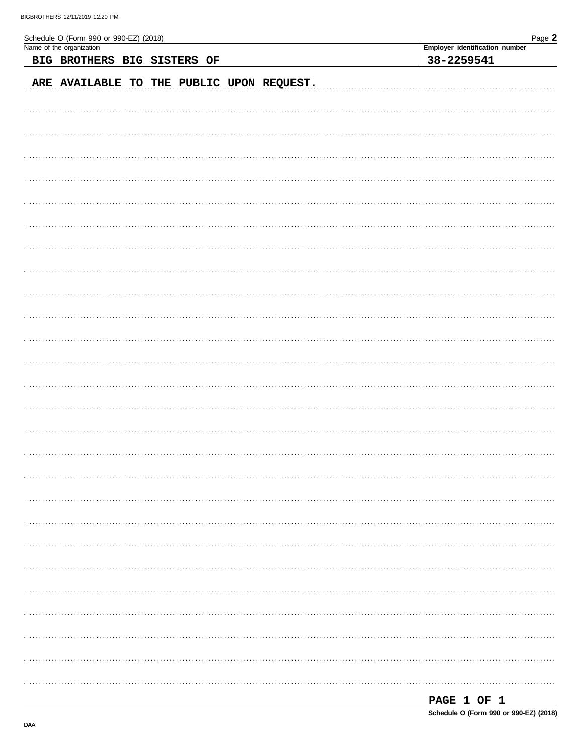| Schedule O (Form 990 or 990-EZ) (2018)    | Page 2                         |
|-------------------------------------------|--------------------------------|
| Name of the organization                  | Employer identification number |
| BIG BROTHERS BIG SISTERS OF               | 38-2259541                     |
| ARE AVAILABLE TO THE PUBLIC UPON REQUEST. |                                |
|                                           |                                |
|                                           |                                |
|                                           |                                |
|                                           |                                |
|                                           |                                |
|                                           |                                |
|                                           |                                |
|                                           |                                |
|                                           |                                |
|                                           |                                |
|                                           |                                |
|                                           |                                |
|                                           |                                |
|                                           |                                |
|                                           |                                |
|                                           |                                |
|                                           |                                |
|                                           |                                |
|                                           |                                |
|                                           |                                |
|                                           |                                |
|                                           |                                |
|                                           |                                |
|                                           |                                |
|                                           |                                |

| . 10 L<br>PAGE |  |  |  |
|----------------|--|--|--|
|                |  |  |  |

Schedule O (Form 990 or 990-EZ) (2018)

DAA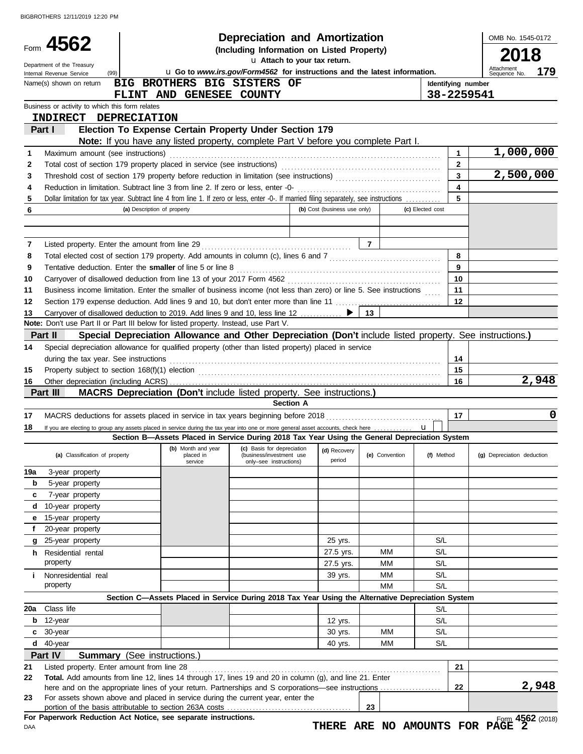|          |                                                                                                                                         |                                                                           |                          |                                                        | <b>Depreciation and Amortization</b>                                                                     |                                 |                    |                         | OMB No. 1545-0172          |
|----------|-----------------------------------------------------------------------------------------------------------------------------------------|---------------------------------------------------------------------------|--------------------------|--------------------------------------------------------|----------------------------------------------------------------------------------------------------------|---------------------------------|--------------------|-------------------------|----------------------------|
|          | Form 4562                                                                                                                               |                                                                           |                          |                                                        | (Including Information on Listed Property)                                                               |                                 |                    |                         | 2018                       |
|          | Department of the Treasury                                                                                                              |                                                                           |                          |                                                        | u Attach to your tax return.                                                                             |                                 |                    |                         | Attachment                 |
|          | (99)<br>Internal Revenue Service                                                                                                        | u Go to www.irs.gov/Form4562 for instructions and the latest information. |                          | 179<br>Sequence No.                                    |                                                                                                          |                                 |                    |                         |                            |
|          | Name(s) shown on return                                                                                                                 |                                                                           |                          | BIG BROTHERS BIG SISTERS OF                            |                                                                                                          |                                 | Identifying number |                         |                            |
|          | Business or activity to which this form relates                                                                                         |                                                                           | FLINT AND GENESEE COUNTY |                                                        |                                                                                                          |                                 | 38-2259541         |                         |                            |
|          | <b>INDIRECT DEPRECIATION</b>                                                                                                            |                                                                           |                          |                                                        |                                                                                                          |                                 |                    |                         |                            |
|          | Part I                                                                                                                                  |                                                                           |                          | Election To Expense Certain Property Under Section 179 |                                                                                                          |                                 |                    |                         |                            |
|          |                                                                                                                                         |                                                                           |                          |                                                        | <b>Note:</b> If you have any listed property, complete Part V before you complete Part I.                |                                 |                    |                         |                            |
| 1        | Maximum amount (see instructions)                                                                                                       |                                                                           |                          |                                                        |                                                                                                          |                                 |                    | $\mathbf{1}$            | 1,000,000                  |
| 2        |                                                                                                                                         |                                                                           |                          |                                                        |                                                                                                          |                                 |                    | $\mathbf{2}$            |                            |
| 3        |                                                                                                                                         |                                                                           |                          |                                                        |                                                                                                          |                                 |                    | $\mathbf{3}$            | 2,500,000                  |
| 4        |                                                                                                                                         |                                                                           |                          |                                                        |                                                                                                          |                                 |                    | $\overline{\mathbf{4}}$ |                            |
| 5        | Dollar limitation for tax year. Subtract line 4 from line 1. If zero or less, enter -0-. If married filing separately, see instructions |                                                                           |                          |                                                        |                                                                                                          |                                 |                    | 5                       |                            |
| 6        |                                                                                                                                         | (a) Description of property                                               |                          |                                                        | (b) Cost (business use only)                                                                             |                                 | (c) Elected cost   |                         |                            |
|          |                                                                                                                                         |                                                                           |                          |                                                        |                                                                                                          |                                 |                    |                         |                            |
|          |                                                                                                                                         |                                                                           |                          |                                                        |                                                                                                          |                                 |                    |                         |                            |
| 7        |                                                                                                                                         |                                                                           |                          |                                                        |                                                                                                          | $\overline{7}$                  |                    |                         |                            |
| 8        |                                                                                                                                         |                                                                           |                          |                                                        |                                                                                                          |                                 |                    | 8                       |                            |
| 9        | Tentative deduction. Enter the smaller of line 5 or line 8                                                                              |                                                                           |                          |                                                        |                                                                                                          |                                 |                    | 9<br>10                 |                            |
| 10<br>11 | Business income limitation. Enter the smaller of business income (not less than zero) or line 5. See instructions                       |                                                                           |                          |                                                        |                                                                                                          |                                 |                    | 11                      |                            |
| 12       |                                                                                                                                         |                                                                           |                          |                                                        |                                                                                                          |                                 |                    | 12                      |                            |
| 13       | Carryover of disallowed deduction to 2019. Add lines 9 and 10, less line 12                                                             |                                                                           |                          |                                                        |                                                                                                          | 13                              |                    |                         |                            |
|          | Note: Don't use Part II or Part III below for listed property. Instead, use Part V.                                                     |                                                                           |                          |                                                        |                                                                                                          |                                 |                    |                         |                            |
|          | Part II                                                                                                                                 |                                                                           |                          |                                                        | Special Depreciation Allowance and Other Depreciation (Don't include listed property. See instructions.) |                                 |                    |                         |                            |
| 14       | Special depreciation allowance for qualified property (other than listed property) placed in service                                    |                                                                           |                          |                                                        |                                                                                                          |                                 |                    |                         |                            |
|          | during the tax year. See instructions                                                                                                   |                                                                           |                          |                                                        |                                                                                                          |                                 |                    | 14                      |                            |
| 15       |                                                                                                                                         |                                                                           |                          |                                                        |                                                                                                          |                                 |                    | 15                      |                            |
| 16       |                                                                                                                                         |                                                                           |                          |                                                        |                                                                                                          |                                 |                    | 16                      | 2,948                      |
|          | Part III                                                                                                                                |                                                                           |                          |                                                        | MACRS Depreciation (Don't include listed property. See instructions.)                                    |                                 |                    |                         |                            |
|          |                                                                                                                                         |                                                                           |                          | <b>Section A</b>                                       |                                                                                                          |                                 |                    |                         |                            |
| 17       | MACRS deductions for assets placed in service in tax years beginning before 2018                                                        |                                                                           |                          |                                                        |                                                                                                          |                                 |                    | 17                      | 0                          |
| 18       | If you are electing to group any assets placed in service during the tax year into one or more general asset accounts, check here       |                                                                           |                          |                                                        | Section B-Assets Placed in Service During 2018 Tax Year Using the General Depreciation System            |                                 |                    |                         |                            |
|          |                                                                                                                                         |                                                                           |                          |                                                        | (b) Month and year (c) Basis for depreciation (d) Recovery (c) Convention                                |                                 |                    |                         |                            |
|          | (a) Classification of property                                                                                                          |                                                                           | placed in<br>service     | (business/investment use<br>only-see instructions)     | period                                                                                                   | (e) Convention                  | (f) Method         |                         | (g) Depreciation deduction |
| 19a      | 3-year property                                                                                                                         |                                                                           |                          |                                                        |                                                                                                          |                                 |                    |                         |                            |
| b        | 5-year property                                                                                                                         |                                                                           |                          |                                                        |                                                                                                          |                                 |                    |                         |                            |
| c        | 7-year property                                                                                                                         |                                                                           |                          |                                                        |                                                                                                          |                                 |                    |                         |                            |
| d        | 10-year property                                                                                                                        |                                                                           |                          |                                                        |                                                                                                          |                                 |                    |                         |                            |
| е        | 15-year property                                                                                                                        |                                                                           |                          |                                                        |                                                                                                          |                                 |                    |                         |                            |
|          | 20-year property                                                                                                                        |                                                                           |                          |                                                        |                                                                                                          |                                 |                    |                         |                            |
| g        | 25-year property                                                                                                                        |                                                                           |                          |                                                        | 25 yrs.                                                                                                  |                                 | S/L                |                         |                            |
|          | <b>h</b> Residential rental                                                                                                             |                                                                           |                          |                                                        | 27.5 yrs.                                                                                                | МM                              | S/L                |                         |                            |
|          | property                                                                                                                                |                                                                           |                          |                                                        | 27.5 yrs.                                                                                                | ΜМ                              | S/L                |                         |                            |
| i.       | Nonresidential real<br>property                                                                                                         |                                                                           |                          |                                                        | 39 yrs.                                                                                                  | ΜМ                              | S/L                |                         |                            |
|          |                                                                                                                                         |                                                                           |                          |                                                        | Section C-Assets Placed in Service During 2018 Tax Year Using the Alternative Depreciation System        | MМ                              | S/L                |                         |                            |
| 20a      | Class life                                                                                                                              |                                                                           |                          |                                                        |                                                                                                          |                                 | S/L                |                         |                            |
| b        | 12-year                                                                                                                                 |                                                                           |                          |                                                        | 12 yrs.                                                                                                  |                                 | S/L                |                         |                            |
| c        | 30-year                                                                                                                                 |                                                                           |                          |                                                        | 30 yrs.                                                                                                  | MM                              | S/L                |                         |                            |
|          | d 40-year                                                                                                                               |                                                                           |                          |                                                        | 40 yrs.                                                                                                  | MM                              | S/L                |                         |                            |
|          | Part IV                                                                                                                                 | <b>Summary</b> (See instructions.)                                        |                          |                                                        |                                                                                                          |                                 |                    |                         |                            |
| 21       | Listed property. Enter amount from line 28                                                                                              |                                                                           |                          |                                                        |                                                                                                          |                                 |                    | 21                      |                            |
| 22       | Total. Add amounts from line 12, lines 14 through 17, lines 19 and 20 in column (g), and line 21. Enter                                 |                                                                           |                          |                                                        |                                                                                                          |                                 |                    |                         |                            |
|          |                                                                                                                                         |                                                                           |                          |                                                        |                                                                                                          |                                 |                    | 22                      | 2,948                      |
| 23       | For assets shown above and placed in service during the current year, enter the                                                         |                                                                           |                          |                                                        |                                                                                                          |                                 |                    |                         |                            |
|          | For Paperwork Reduction Act Notice, see separate instructions.                                                                          |                                                                           |                          |                                                        |                                                                                                          | 23                              |                    |                         | Form 4562 (2018)           |
| DAA      |                                                                                                                                         |                                                                           |                          |                                                        |                                                                                                          | THERE ARE NO AMOUNTS FOR PAGE 2 |                    |                         |                            |